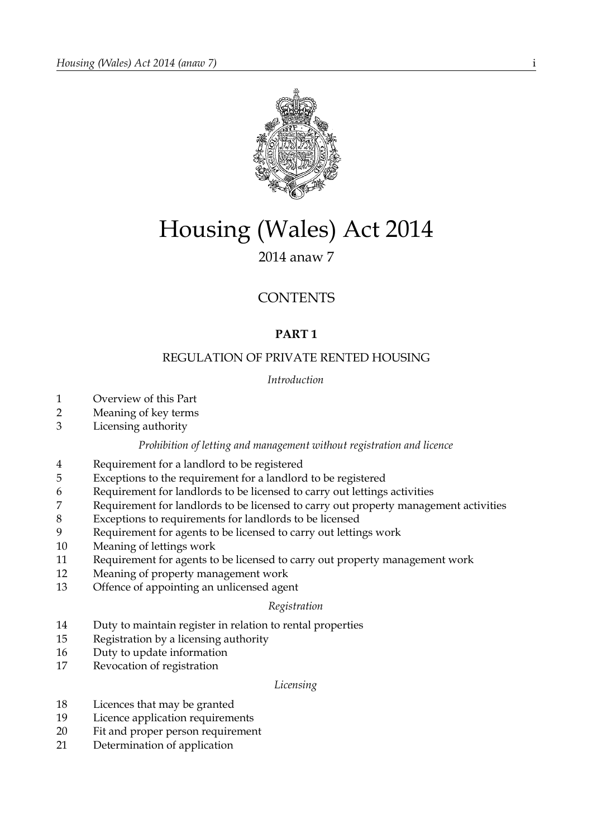

# Housing (Wales) Act 2014

# 2014 anaw 7

# **CONTENTS**

# **PART 1**

## REGULATION OF PRIVATE RENTED HOUSING

## *Introduction*

- Overview of this Part
- Meaning of key terms
- Licensing authority

## *Prohibition of letting and management without registration and licence*

- Requirement for a landlord to be registered
- Exceptions to the requirement for a landlord to be registered
- Requirement for landlords to be licensed to carry out lettings activities
- Requirement for landlords to be licensed to carry out property management activities
- Exceptions to requirements for landlords to be licensed
- Requirement for agents to be licensed to carry out lettings work
- Meaning of lettings work
- Requirement for agents to be licensed to carry out property management work
- Meaning of property management work
- Offence of appointing an unlicensed agent

## *Registration*

- Duty to maintain register in relation to rental properties
- Registration by a licensing authority
- Duty to update information
- Revocation of registration

## *Licensing*

- Licences that may be granted
- Licence application requirements
- Fit and proper person requirement
- Determination of application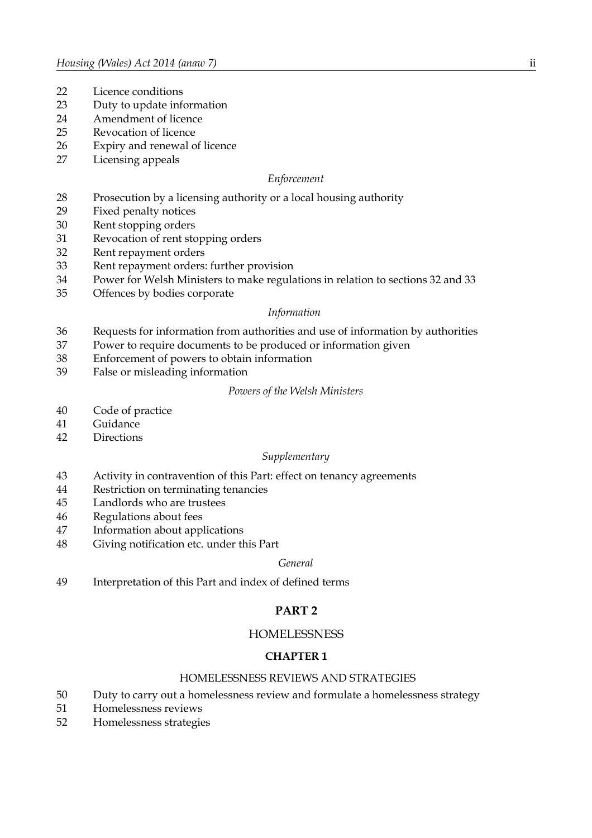- Licence conditions
- Duty to update information
- Amendment of licence
- Revocation of licence
- Expiry and renewal of licence
- Licensing appeals

## *Enforcement*

- Prosecution by a licensing authority or a local housing authority
- Fixed penalty notices
- Rent stopping orders
- Revocation of rent stopping orders
- Rent repayment orders
- Rent repayment orders: further provision
- Power for Welsh Ministers to make regulations in relation to sections 32 and 33
- Offences by bodies corporate

## *Information*

- Requests for information from authorities and use of information by authorities
- Power to require documents to be produced or information given
- Enforcement of powers to obtain information
- False or misleading information

#### *Powers of the Welsh Ministers*

- Code of practice
- Guidance
- Directions

## *Supplementary*

- Activity in contravention of this Part: effect on tenancy agreements
- Restriction on terminating tenancies
- Landlords who are trustees
- Regulations about fees
- Information about applications
- Giving notification etc. under this Part

## *General*

Interpretation of this Part and index of defined terms

## **PART 2**

## **HOMELESSNESS**

## **CHAPTER 1**

## HOMELESSNESS REVIEWS AND STRATEGIES

- Duty to carry out a homelessness review and formulate a homelessness strategy
- Homelessness reviews
- Homelessness strategies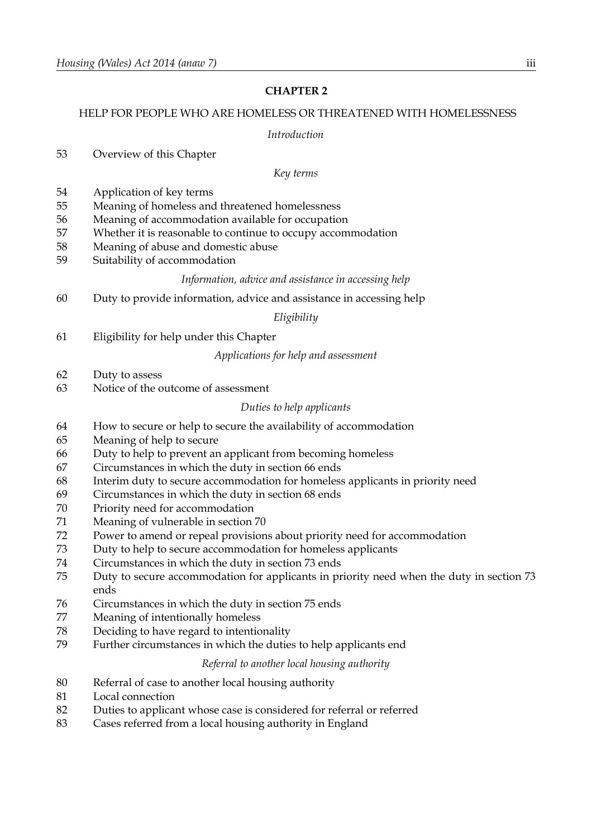## **CHAPTER 2**

## HELP FOR PEOPLE WHO ARE HOMELESS OR THREATENED WITH HOMELESSNESS

*Introduction*

| 53                                                                                           | Overview of this Chapter                                                                                                                                                                                                                                                                                                                                                                                                                                                                                                                                                                                                                                                                                                                                                                                                                                                            |
|----------------------------------------------------------------------------------------------|-------------------------------------------------------------------------------------------------------------------------------------------------------------------------------------------------------------------------------------------------------------------------------------------------------------------------------------------------------------------------------------------------------------------------------------------------------------------------------------------------------------------------------------------------------------------------------------------------------------------------------------------------------------------------------------------------------------------------------------------------------------------------------------------------------------------------------------------------------------------------------------|
|                                                                                              | Key terms                                                                                                                                                                                                                                                                                                                                                                                                                                                                                                                                                                                                                                                                                                                                                                                                                                                                           |
| 54<br>55<br>56<br>57<br>58<br>59                                                             | Application of key terms<br>Meaning of homeless and threatened homelessness<br>Meaning of accommodation available for occupation<br>Whether it is reasonable to continue to occupy accommodation<br>Meaning of abuse and domestic abuse<br>Suitability of accommodation                                                                                                                                                                                                                                                                                                                                                                                                                                                                                                                                                                                                             |
|                                                                                              | Information, advice and assistance in accessing help                                                                                                                                                                                                                                                                                                                                                                                                                                                                                                                                                                                                                                                                                                                                                                                                                                |
| 60                                                                                           | Duty to provide information, advice and assistance in accessing help                                                                                                                                                                                                                                                                                                                                                                                                                                                                                                                                                                                                                                                                                                                                                                                                                |
|                                                                                              | Eligibility                                                                                                                                                                                                                                                                                                                                                                                                                                                                                                                                                                                                                                                                                                                                                                                                                                                                         |
| 61                                                                                           | Eligibility for help under this Chapter                                                                                                                                                                                                                                                                                                                                                                                                                                                                                                                                                                                                                                                                                                                                                                                                                                             |
|                                                                                              | Applications for help and assessment                                                                                                                                                                                                                                                                                                                                                                                                                                                                                                                                                                                                                                                                                                                                                                                                                                                |
| 62                                                                                           | Duty to assess                                                                                                                                                                                                                                                                                                                                                                                                                                                                                                                                                                                                                                                                                                                                                                                                                                                                      |
| 63                                                                                           | Notice of the outcome of assessment                                                                                                                                                                                                                                                                                                                                                                                                                                                                                                                                                                                                                                                                                                                                                                                                                                                 |
|                                                                                              | Duties to help applicants                                                                                                                                                                                                                                                                                                                                                                                                                                                                                                                                                                                                                                                                                                                                                                                                                                                           |
| 64<br>65<br>66<br>67<br>68<br>69<br>70<br>71<br>72<br>73<br>74<br>75<br>76<br>77<br>78<br>79 | How to secure or help to secure the availability of accommodation<br>Meaning of help to secure<br>Duty to help to prevent an applicant from becoming homeless<br>Circumstances in which the duty in section 66 ends<br>Interim duty to secure accommodation for homeless applicants in priority need<br>Circumstances in which the duty in section 68 ends<br>Priority need for accommodation<br>Meaning of vulnerable in section 70<br>Power to amend or repeal provisions about priority need for accommodation<br>Duty to help to secure accommodation for homeless applicants<br>Circumstances in which the duty in section 73 ends<br>Duty to secure accommodation for applicants in priority need when the duty in section 73<br>ends<br>Circumstances in which the duty in section 75 ends<br>Meaning of intentionally homeless<br>Deciding to have regard to intentionality |
|                                                                                              | Further circumstances in which the duties to help applicants end                                                                                                                                                                                                                                                                                                                                                                                                                                                                                                                                                                                                                                                                                                                                                                                                                    |
|                                                                                              | Referral to another local housing authority                                                                                                                                                                                                                                                                                                                                                                                                                                                                                                                                                                                                                                                                                                                                                                                                                                         |
| 80<br>81<br>82<br>83                                                                         | Referral of case to another local housing authority<br>Local connection<br>Duties to applicant whose case is considered for referral or referred<br>Cases referred from a local housing authority in England                                                                                                                                                                                                                                                                                                                                                                                                                                                                                                                                                                                                                                                                        |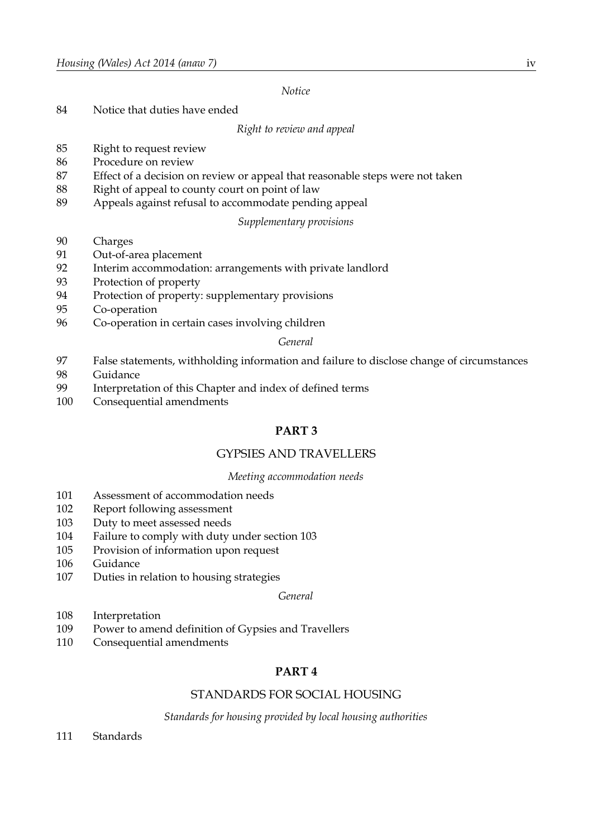*Notice*

Notice that duties have ended

*Right to review and appeal*

- Right to request review
- Procedure on review
- Effect of a decision on review or appeal that reasonable steps were not taken
- 88 Right of appeal to county court on point of law
- Appeals against refusal to accommodate pending appeal

## *Supplementary provisions*

- Charges
- Out-of-area placement
- Interim accommodation: arrangements with private landlord
- Protection of property
- Protection of property: supplementary provisions
- Co-operation
- Co-operation in certain cases involving children

## *General*

- False statements, withholding information and failure to disclose change of circumstances
- Guidance
- Interpretation of this Chapter and index of defined terms
- Consequential amendments

## **PART 3**

## GYPSIES AND TRAVELLERS

## *Meeting accommodation needs*

- Assessment of accommodation needs
- Report following assessment
- Duty to meet assessed needs
- Failure to comply with duty under section 103
- Provision of information upon request
- Guidance
- Duties in relation to housing strategies

## *General*

- Interpretation
- Power to amend definition of Gypsies and Travellers
- Consequential amendments

## **PART 4**

## STANDARDS FOR SOCIAL HOUSING

*Standards for housing provided by local housing authorities*

Standards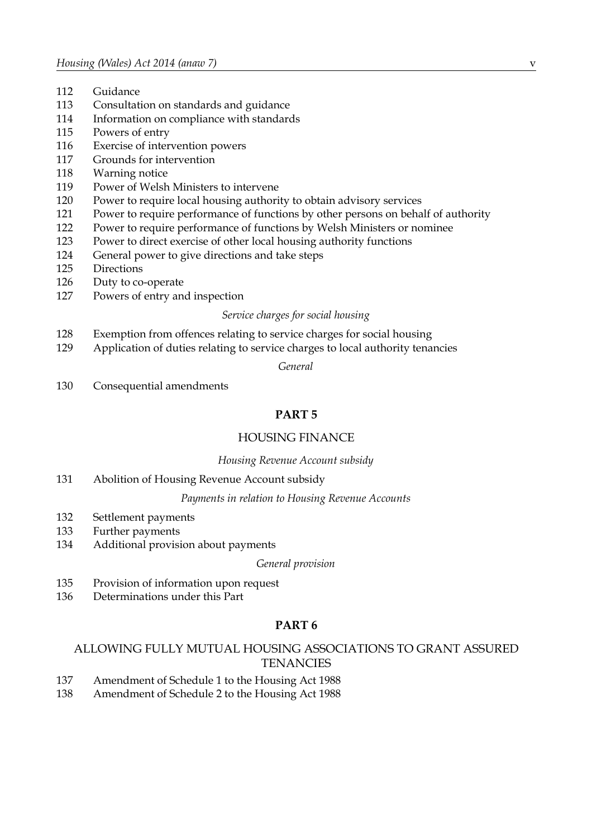- Guidance
- Consultation on standards and guidance
- Information on compliance with standards
- Powers of entry
- Exercise of intervention powers
- Grounds for intervention
- Warning notice
- Power of Welsh Ministers to intervene
- Power to require local housing authority to obtain advisory services
- Power to require performance of functions by other persons on behalf of authority
- Power to require performance of functions by Welsh Ministers or nominee
- Power to direct exercise of other local housing authority functions
- General power to give directions and take steps
- Directions
- Duty to co-operate
- Powers of entry and inspection

#### *Service charges for social housing*

- Exemption from offences relating to service charges for social housing
- Application of duties relating to service charges to local authority tenancies

*General*

Consequential amendments

## **PART 5**

## HOUSING FINANCE

## *Housing Revenue Account subsidy*

Abolition of Housing Revenue Account subsidy

## *Payments in relation to Housing Revenue Accounts*

- Settlement payments
- Further payments
- Additional provision about payments

## *General provision*

- Provision of information upon request
- Determinations under this Part

## **PART 6**

## ALLOWING FULLY MUTUAL HOUSING ASSOCIATIONS TO GRANT ASSURED **TENANCIES**

- Amendment of Schedule 1 to the Housing Act 1988
- Amendment of Schedule 2 to the Housing Act 1988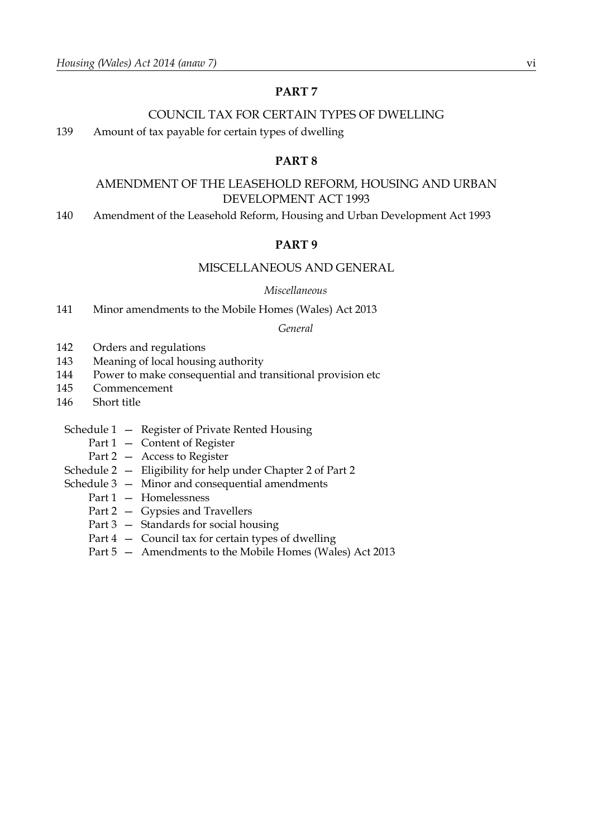## **PART 7**

## COUNCIL TAX FOR CERTAIN TYPES OF DWELLING

139 Amount of tax payable for certain types of dwelling

## **PART 8**

## AMENDMENT OF THE LEASEHOLD REFORM, HOUSING AND URBAN DEVELOPMENT ACT 1993

140 Amendment of the Leasehold Reform, Housing and Urban Development Act 1993

## **PART 9**

## MISCELLANEOUS AND GENERAL

#### *Miscellaneous*

141 Minor amendments to the Mobile Homes (Wales) Act 2013

## *General*

- 142 Orders and regulations
- 143 Meaning of local housing authority
- 144 Power to make consequential and transitional provision etc
- 145 Commencement
- 146 Short title
	- Schedule 1 Register of Private Rented Housing
		- Part 1 Content of Register
		- Part 2 Access to Register
	- Schedule 2 Eligibility for help under Chapter 2 of Part 2
	- Schedule 3 Minor and consequential amendments
		- Part 1 Homelessness
		- Part 2 Gypsies and Travellers
		- Part 3 Standards for social housing
		- Part 4 Council tax for certain types of dwelling
		- Part 5 Amendments to the Mobile Homes (Wales) Act 2013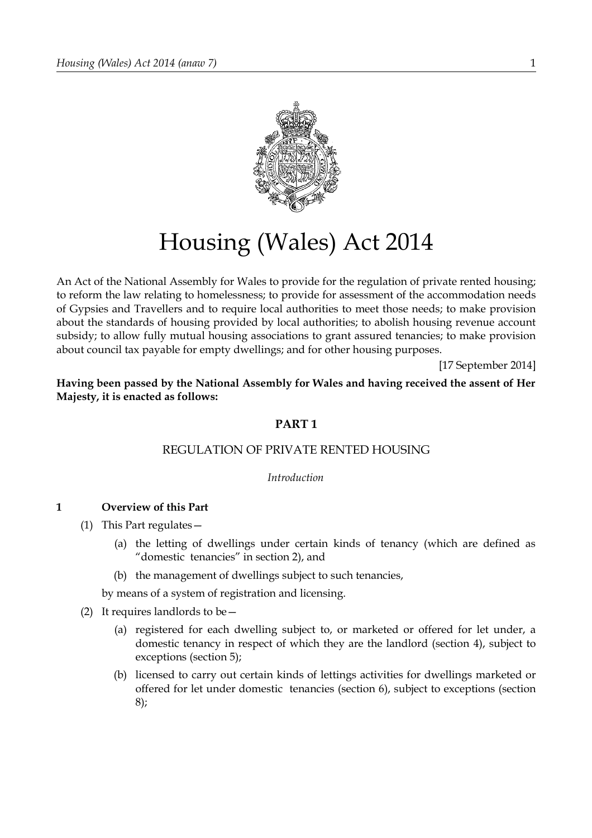

# Housing (Wales) Act 2014

An Act of the National Assembly for Wales to provide for the regulation of private rented housing; to reform the law relating to homelessness; to provide for assessment of the accommodation needs of Gypsies and Travellers and to require local authorities to meet those needs; to make provision about the standards of housing provided by local authorities; to abolish housing revenue account subsidy; to allow fully mutual housing associations to grant assured tenancies; to make provision about council tax payable for empty dwellings; and for other housing purposes.

[17 September 2014]

**Having been passed by the National Assembly for Wales and having received the assent of Her Majesty, it is enacted as follows:**

## **PART 1**

## REGULATION OF PRIVATE RENTED HOUSING

*Introduction*

## **1 Overview of this Part**

- (1) This Part regulates—
	- (a) the letting of dwellings under certain kinds of tenancy (which are defined as "domestic tenancies" in section [2\)](#page-8-0), and
	- (b) the management of dwellings subject to such tenancies,

by means of a system of registration and licensing.

- <span id="page-6-0"></span>(2) It requires landlords to be  $-$ 
	- (a) registered for each dwelling subject to, or marketed or offered for let under, a domestic tenancy in respect of which they are the landlord (section [4\)](#page-9-2), subject to exceptions (section [5\)](#page-9-1);
	- (b) licensed to carry out certain kinds of lettings activities for dwellings marketed or offered for let under domestic tenancies (section [6\)](#page-9-0), subject to exceptions (section [8\)](#page-11-0);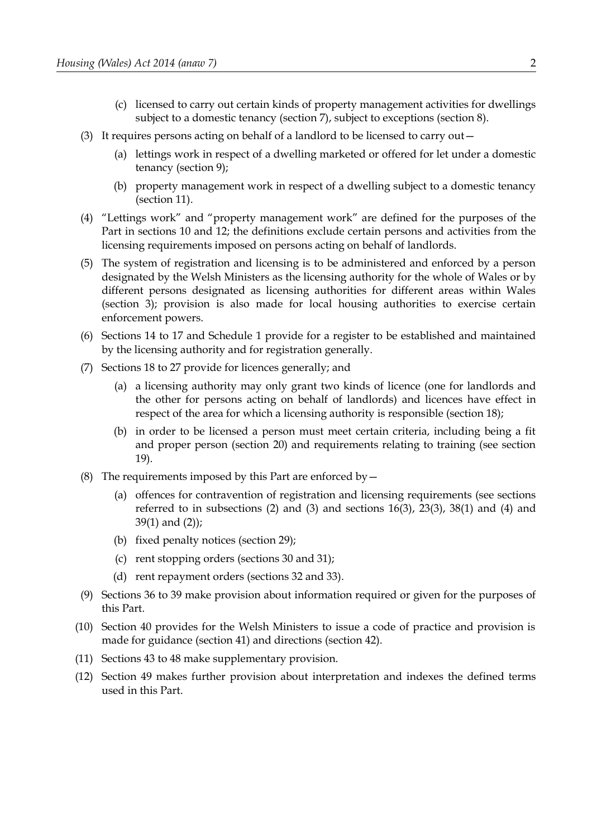- (c) licensed to carry out certain kinds of property management activities for dwellings subject to a domestic tenancy (section [7\)](#page-10-0), subject to exceptions (section [8\)](#page-11-0).
- <span id="page-7-0"></span>(3) It requires persons acting on behalf of a landlord to be licensed to carry out—
	- (a) lettings work in respect of a dwelling marketed or offered for let under a domestic tenancy (section [9\)](#page-12-1);
	- (b) property management work in respect of a dwelling subject to a domestic tenancy (section [11\)](#page-13-0).
- (4) "Lettings work" and "property management work" are defined for the purposes of the Part in sections [10](#page-12-0) and [12;](#page-14-0) the definitions exclude certain persons and activities from the licensing requirements imposed on persons acting on behalf of landlords.
- (5) The system of registration and licensing is to be administered and enforced by a person designated by the Welsh Ministers as the licensing authority for the whole of Wales or by different persons designated as licensing authorities for different areas within Wales (section [3\)](#page-8-1); provision is also made for local housing authorities to exercise certain enforcement powers.
- (6) Sections [14](#page-15-0) to 17 and Schedule [1](#page-97-0) provide for a register to be established and maintained by the licensing authority and for registration generally.
- (7) Sections [18](#page-17-0) to [27](#page-23-0) provide for licences generally; and
	- (a) a licensing authority may only grant two kinds of licence (one for landlords and the other for persons acting on behalf of landlords) and licences have effect in respect of the area for which a licensing authority is responsible (section [18\)](#page-17-0);
	- (b) in order to be licensed a person must meet certain criteria, including being a fit and proper person (section [20\)](#page-18-0) and requirements relating to training (see section 19).
- (8) The requirements imposed by this Part are enforced by  $-$ 
	- (a) offences for contravention of registration and licensing requirements (see sections referred to in subsections  $(2)$  and  $(3)$  and sections  $16(3)$ ,  $23(3)$ ,  $38(1)$  and  $(4)$  and 39(1) and (2));
	- (b) fixed penalty notices (section [29\)](#page-24-0);
	- (c) rent stopping orders (sections 30 and [31\)](#page-27-0);
	- (d) rent repayment orders (sections [32](#page-28-0) and [33\)](#page-30-0).
- (9) Sections [36](#page-33-0) to [39](#page-35-0) make provision about information required or given for the purposes of this Part.
- (10) Section [40](#page-36-0) provides for the Welsh Ministers to issue a code of practice and provision is made for guidance (section [41\)](#page-37-1) and directions (section [42\)](#page-37-0).
- (11) Sections [43](#page-38-0) to 48 make supplementary provision.
- (12) Section [49](#page-40-0) makes further provision about interpretation and indexes the defined terms used in this Part.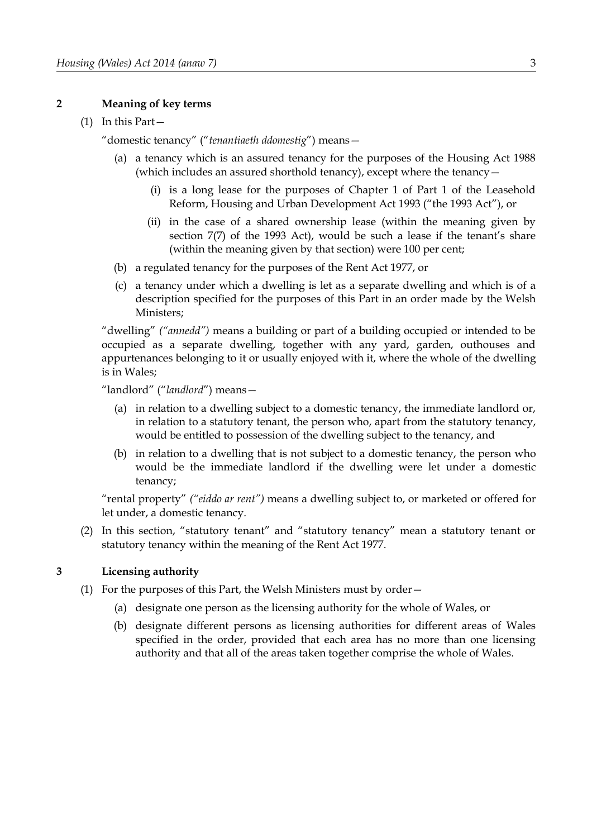#### <span id="page-8-0"></span>**2 Meaning of key terms**

#### (1) In this Part—

"domestic tenancy" ("*tenantiaeth ddomestig*") means—

- (a) a tenancy which is an assured tenancy for the purposes of the Housing Act 1988 (which includes an assured shorthold tenancy), except where the tenancy—
	- (i) is a long lease for the purposes of Chapter 1 of Part 1 of the Leasehold Reform, Housing and Urban Development Act 1993 ("the 1993 Act"), or
	- (ii) in the case of a shared ownership lease (within the meaning given by section 7(7) of the 1993 Act), would be such a lease if the tenant's share (within the meaning given by that section) were 100 per cent;
- (b) a regulated tenancy for the purposes of the Rent Act 1977, or
- (c) a tenancy under which a dwelling is let as a separate dwelling and which is of a description specified for the purposes of this Part in an order made by the Welsh Ministers;

"dwelling" *("annedd")* means a building or part of a building occupied or intended to be occupied as a separate dwelling, together with any yard, garden, outhouses and appurtenances belonging to it or usually enjoyed with it, where the whole of the dwelling is in Wales;

"landlord" ("*landlord*") means—

- (a) in relation to a dwelling subject to a domestic tenancy, the immediate landlord or, in relation to a statutory tenant, the person who, apart from the statutory tenancy, would be entitled to possession of the dwelling subject to the tenancy, and
- (b) in relation to a dwelling that is not subject to a domestic tenancy, the person who would be the immediate landlord if the dwelling were let under a domestic tenancy;

"rental property" *("eiddo ar rent")* means a dwelling subject to, or marketed or offered for let under, a domestic tenancy.

(2) In this section, "statutory tenant" and "statutory tenancy" mean a statutory tenant or statutory tenancy within the meaning of the Rent Act 1977.

## <span id="page-8-1"></span>**3 Licensing authority**

- (1) For the purposes of this Part, the Welsh Ministers must by order—
	- (a) designate one person as the licensing authority for the whole of Wales, or
	- (b) designate different persons as licensing authorities for different areas of Wales specified in the order, provided that each area has no more than one licensing authority and that all of the areas taken together comprise the whole of Wales.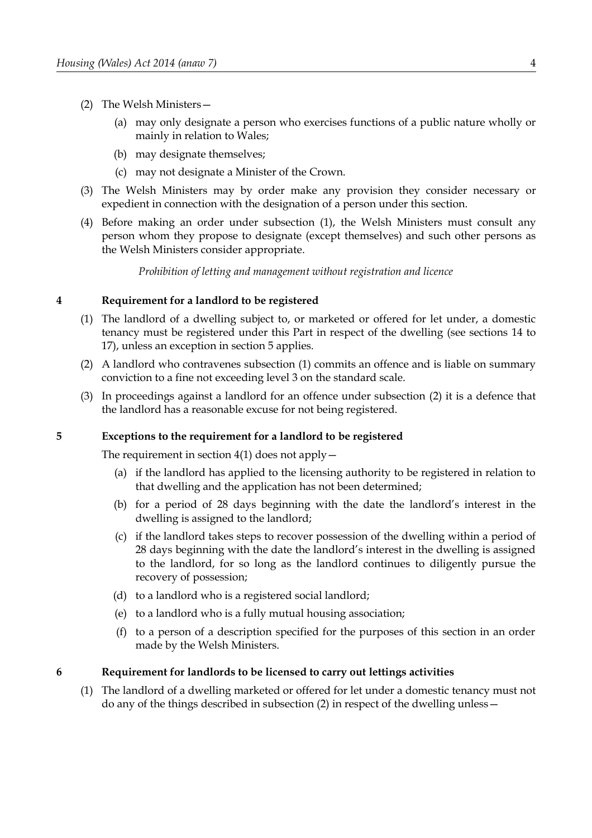- (2) The Welsh Ministers—
	- (a) may only designate a person who exercises functions of a public nature wholly or mainly in relation to Wales;
	- (b) may designate themselves;
	- (c) may not designate a Minister of the Crown.
- (3) The Welsh Ministers may by order make any provision they consider necessary or expedient in connection with the designation of a person under this section.
- (4) Before making an order under subsection (1), the Welsh Ministers must consult any person whom they propose to designate (except themselves) and such other persons as the Welsh Ministers consider appropriate.

*Prohibition of letting and management without registration and licence*

## <span id="page-9-2"></span>**4 Requirement for a landlord to be registered**

- <span id="page-9-3"></span>(1) The landlord of a dwelling subject to, or marketed or offered for let under, a domestic tenancy must be registered under this Part in respect of the dwelling (see sections [14](#page-15-0) to [17\)](#page-16-0), unless an exception in section [5](#page-9-1) applies.
- <span id="page-9-4"></span>(2) A landlord who contravenes subsection [\(1\)](#page-9-3) commits an offence and is liable on summary conviction to a fine not exceeding level 3 on the standard scale.
- (3) In proceedings against a landlord for an offence under subsection [\(2\)](#page-9-4) it is a defence that the landlord has a reasonable excuse for not being registered.

#### <span id="page-9-1"></span>**5 Exceptions to the requirement for a landlord to be registered**

The requirement in section  $4(1)$  does not apply  $-$ 

- (a) if the landlord has applied to the licensing authority to be registered in relation to that dwelling and the application has not been determined;
- (b) for a period of 28 days beginning with the date the landlord's interest in the dwelling is assigned to the landlord;
- (c) if the landlord takes steps to recover possession of the dwelling within a period of 28 days beginning with the date the landlord's interest in the dwelling is assigned to the landlord, for so long as the landlord continues to diligently pursue the recovery of possession;
- (d) to a landlord who is a registered social landlord;
- (e) to a landlord who is a fully mutual housing association;
- (f) to a person of a description specified for the purposes of this section in an order made by the Welsh Ministers.

#### <span id="page-9-0"></span>**6 Requirement for landlords to be licensed to carry out lettings activities**

<span id="page-9-5"></span>(1) The landlord of a dwelling marketed or offered for let under a domestic tenancy must not do any of the things described in subsection [\(2\)](#page-10-1) in respect of the dwelling unless—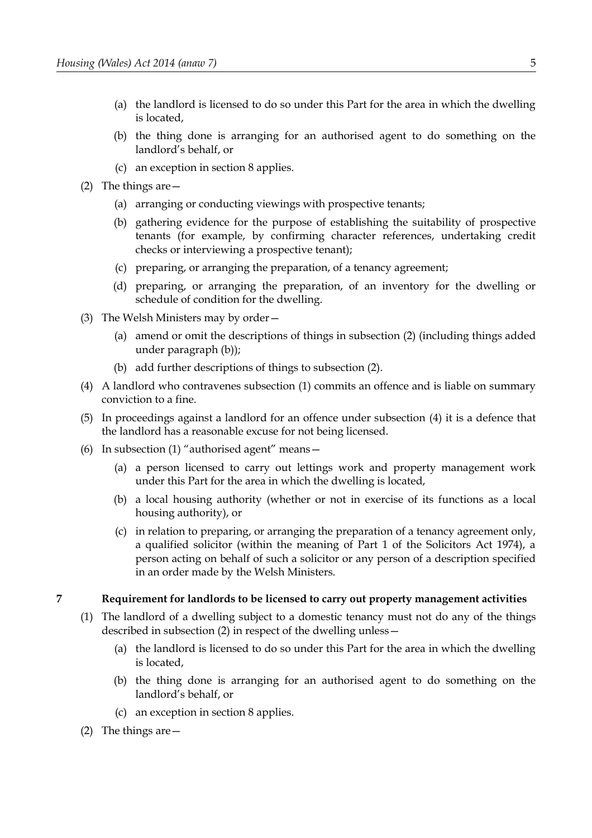- (a) the landlord is licensed to do so under this Part for the area in which the dwelling is located,
- (b) the thing done is arranging for an authorised agent to do something on the landlord's behalf, or
- (c) an exception in section [8](#page-11-0) applies.
- <span id="page-10-1"></span>(2) The things are—
	- (a) arranging or conducting viewings with prospective tenants;
	- (b) gathering evidence for the purpose of establishing the suitability of prospective tenants (for example, by confirming character references, undertaking credit checks or interviewing a prospective tenant);
	- (c) preparing, or arranging the preparation, of a tenancy agreement;
	- (d) preparing, or arranging the preparation, of an inventory for the dwelling or schedule of condition for the dwelling.
- (3) The Welsh Ministers may by order—
	- (a) amend or omit the descriptions of things in subsection [\(2\)](#page-10-1) (including things added under paragraph [\(b\)\)](#page-10-4);
	- (b) add further descriptions of things to subsection [\(2\).](#page-10-1)
- <span id="page-10-4"></span><span id="page-10-3"></span>(4) A landlord who contravenes subsection [\(1\)](#page-9-5) commits an offence and is liable on summary conviction to a fine.
- (5) In proceedings against a landlord for an offence under subsection [\(4\)](#page-10-3) it is a defence that the landlord has a reasonable excuse for not being licensed.
- (6) In subsection [\(1\)](#page-9-5) "authorised agent" means—
	- (a) a person licensed to carry out lettings work and property management work under this Part for the area in which the dwelling is located,
	- (b) a local housing authority (whether or not in exercise of its functions as a local housing authority), or
	- (c) in relation to preparing, or arranging the preparation of a tenancy agreement only, a qualified solicitor (within the meaning of Part 1 of the Solicitors Act 1974), a person acting on behalf of such a solicitor or any person of a description specified in an order made by the Welsh Ministers.

## <span id="page-10-0"></span>**7 Requirement for landlords to be licensed to carry out property management activities**

- <span id="page-10-7"></span><span id="page-10-5"></span>(1) The landlord of a dwelling subject to a domestic tenancy must not do any of the things described in subsection [\(2\)](#page-10-2) in respect of the dwelling unless—
	- (a) the landlord is licensed to do so under this Part for the area in which the dwelling is located,
	- (b) the thing done is arranging for an authorised agent to do something on the landlord's behalf, or
	- (c) an exception in section 8 applies.
- <span id="page-10-6"></span><span id="page-10-2"></span>(2) The things are—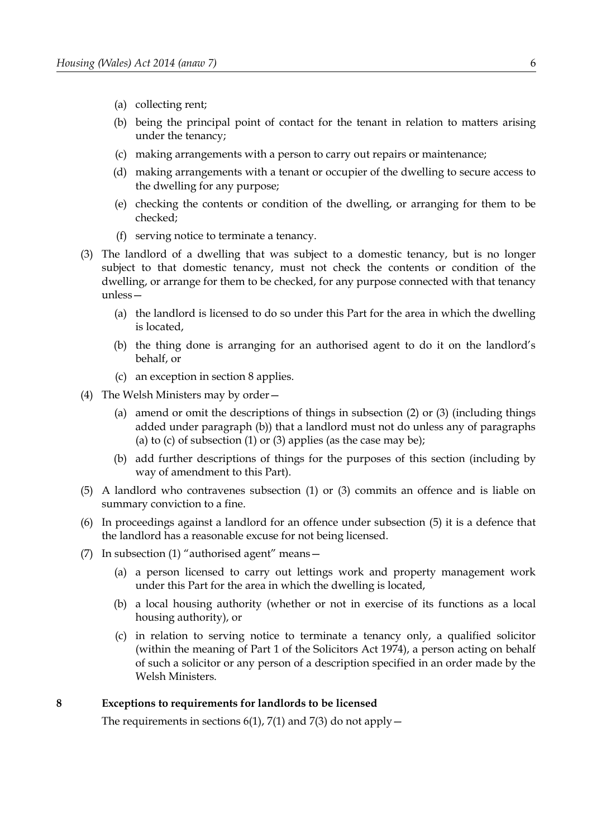- (a) collecting rent;
- (b) being the principal point of contact for the tenant in relation to matters arising under the tenancy;
- (c) making arrangements with a person to carry out repairs or maintenance;
- (d) making arrangements with a tenant or occupier of the dwelling to secure access to the dwelling for any purpose;
- (e) checking the contents or condition of the dwelling, or arranging for them to be checked;
- (f) serving notice to terminate a tenancy.
- <span id="page-11-2"></span>(3) The landlord of a dwelling that was subject to a domestic tenancy, but is no longer subject to that domestic tenancy, must not check the contents or condition of the dwelling, or arrange for them to be checked, for any purpose connected with that tenancy unless—
	- (a) the landlord is licensed to do so under this Part for the area in which the dwelling is located,
	- (b) the thing done is arranging for an authorised agent to do it on the landlord's behalf, or
	- (c) an exception in section 8 applies.
- (4) The Welsh Ministers may by order—
	- (a) amend or omit the descriptions of things in subsection [\(2\)](#page-10-2) or [\(3\)](#page-11-2) (including things added under paragraph [\(b\)\)](#page-11-3) that a landlord must not do unless any of paragraphs [\(a\)](#page-10-7) to [\(c\)](#page-10-6) of subsection  $(1)$  or  $(3)$  applies (as the case may be);
	- (b) add further descriptions of things for the purposes of this section (including by way of amendment to this Part).
- <span id="page-11-3"></span><span id="page-11-1"></span>(5) A landlord who contravenes subsection [\(1\)](#page-10-5) or [\(3\)](#page-11-2) commits an offence and is liable on summary conviction to a fine.
- (6) In proceedings against a landlord for an offence under subsection [\(5\)](#page-11-1) it is a defence that the landlord has a reasonable excuse for not being licensed.
- (7) In subsection [\(1\)](#page-10-5) "authorised agent" means—
	- (a) a person licensed to carry out lettings work and property management work under this Part for the area in which the dwelling is located,
	- (b) a local housing authority (whether or not in exercise of its functions as a local housing authority), or
	- (c) in relation to serving notice to terminate a tenancy only, a qualified solicitor (within the meaning of Part 1 of the Solicitors Act 1974), a person acting on behalf of such a solicitor or any person of a description specified in an order made by the Welsh Ministers.

## <span id="page-11-0"></span>**8 Exceptions to requirements for landlords to be licensed**

The requirements in sections [6](#page-9-0)[\(1\),](#page-9-5) 7(1) and 7(3) do not apply  $-$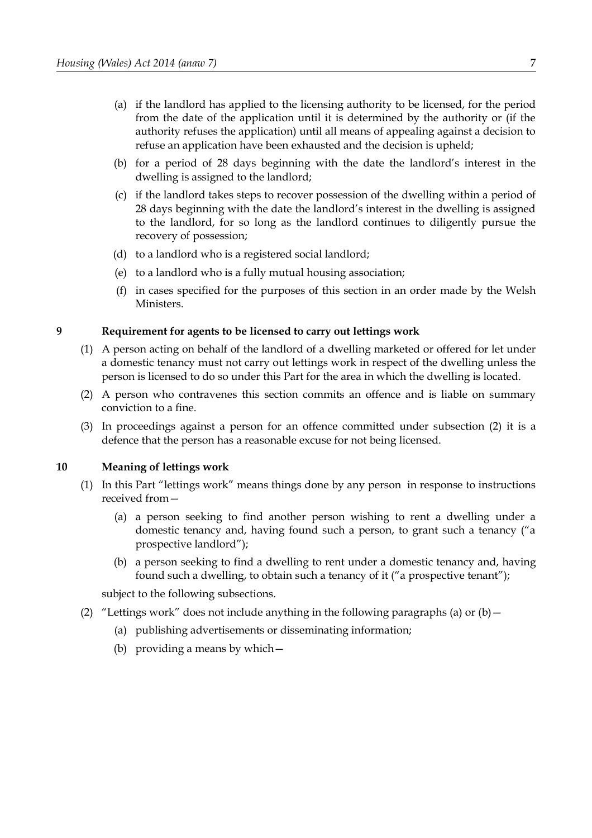- (a) if the landlord has applied to the licensing authority to be licensed, for the period from the date of the application until it is determined by the authority or (if the authority refuses the application) until all means of appealing against a decision to refuse an application have been exhausted and the decision is upheld;
- (b) for a period of 28 days beginning with the date the landlord's interest in the dwelling is assigned to the landlord;
- (c) if the landlord takes steps to recover possession of the dwelling within a period of 28 days beginning with the date the landlord's interest in the dwelling is assigned to the landlord, for so long as the landlord continues to diligently pursue the recovery of possession;
- (d) to a landlord who is a registered social landlord;
- (e) to a landlord who is a fully mutual housing association;
- (f) in cases specified for the purposes of this section in an order made by the Welsh Ministers.

## <span id="page-12-1"></span>**9 Requirement for agents to be licensed to carry out lettings work**

- (1) A person acting on behalf of the landlord of a dwelling marketed or offered for let under a domestic tenancy must not carry out lettings work in respect of the dwelling unless the person is licensed to do so under this Part for the area in which the dwelling is located.
- <span id="page-12-4"></span>(2) A person who contravenes this section commits an offence and is liable on summary conviction to a fine.
- (3) In proceedings against a person for an offence committed under subsection [\(2\)](#page-12-4) it is a defence that the person has a reasonable excuse for not being licensed.

#### <span id="page-12-0"></span>**10 Meaning of lettings work**

- <span id="page-12-5"></span>(1) In this Part "lettings work" means things done by any person in response to instructions received from—
	- (a) a person seeking to find another person wishing to rent a dwelling under a domestic tenancy and, having found such a person, to grant such a tenancy ("a prospective landlord");
	- (b) a person seeking to find a dwelling to rent under a domestic tenancy and, having found such a dwelling, to obtain such a tenancy of it ("a prospective tenant");

<span id="page-12-3"></span>subject to the following subsections.

- <span id="page-12-2"></span>(2) "Lettings work" does not include anything in the following paragraphs [\(a\)](#page-12-3) or (b)  $-$ 
	- (a) publishing advertisements or disseminating information;
	- (b) providing a means by which—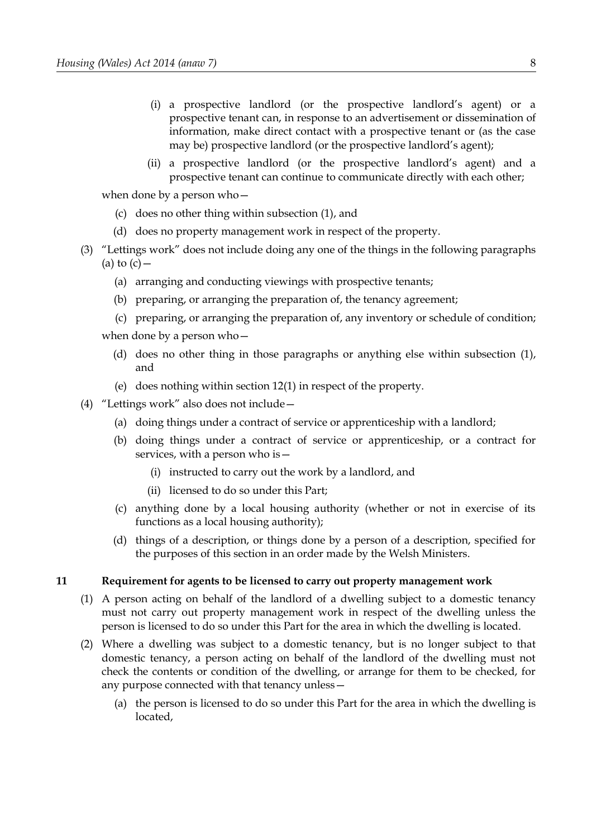- (i) a prospective landlord (or the prospective landlord's agent) or a prospective tenant can, in response to an advertisement or dissemination of information, make direct contact with a prospective tenant or (as the case may be) prospective landlord (or the prospective landlord's agent);
- (ii) a prospective landlord (or the prospective landlord's agent) and a prospective tenant can continue to communicate directly with each other;

when done by a person who—

- (c) does no other thing within subsection [\(1\),](#page-12-5) and
- (d) does no property management work in respect of the property.
- <span id="page-13-2"></span><span id="page-13-1"></span>(3) "Lettings work" does not include doing any one of the things in the following paragraphs [\(a\)](#page-13-2) to  $(c)$  —
	- (a) arranging and conducting viewings with prospective tenants;
	- (b) preparing, or arranging the preparation of, the tenancy agreement;
	- (c) preparing, or arranging the preparation of, any inventory or schedule of condition; when done by a person who—
		- (d) does no other thing in those paragraphs or anything else within subsection [\(1\),](#page-12-5) and
		- (e) does nothing within section 12(1) in respect of the property.
- (4) "Lettings work" also does not include—
	- (a) doing things under a contract of service or apprenticeship with a landlord;
	- (b) doing things under a contract of service or apprenticeship, or a contract for services, with a person who is—
		- (i) instructed to carry out the work by a landlord, and
		- (ii) licensed to do so under this Part;
	- (c) anything done by a local housing authority (whether or not in exercise of its functions as a local housing authority);
	- (d) things of a description, or things done by a person of a description, specified for the purposes of this section in an order made by the Welsh Ministers.

## <span id="page-13-0"></span>**11 Requirement for agents to be licensed to carry out property management work**

- <span id="page-13-4"></span>(1) A person acting on behalf of the landlord of a dwelling subject to a domestic tenancy must not carry out property management work in respect of the dwelling unless the person is licensed to do so under this Part for the area in which the dwelling is located.
- <span id="page-13-3"></span>(2) Where a dwelling was subject to a domestic tenancy, but is no longer subject to that domestic tenancy, a person acting on behalf of the landlord of the dwelling must not check the contents or condition of the dwelling, or arrange for them to be checked, for any purpose connected with that tenancy unless—
	- (a) the person is licensed to do so under this Part for the area in which the dwelling is located,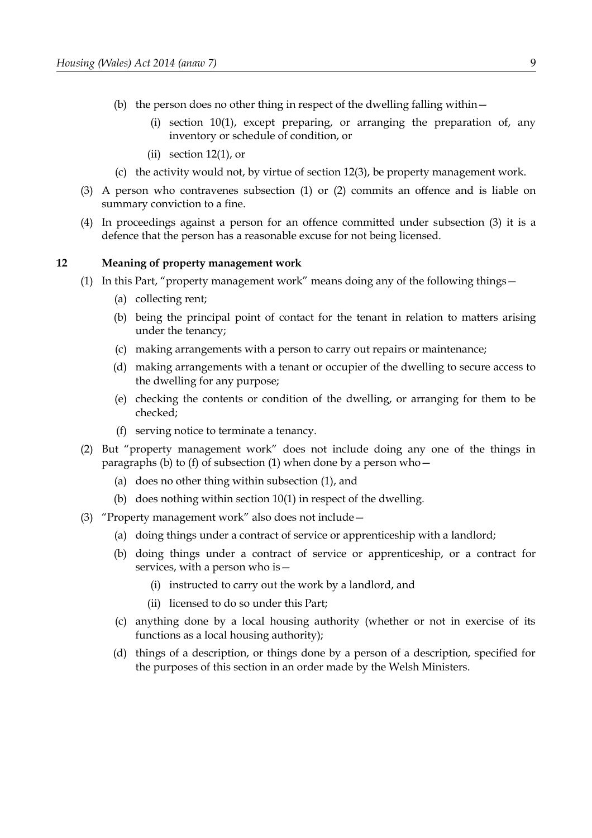- (b) the person does no other thing in respect of the dwelling falling within—
	- (i) section 10(1), except preparing, or arranging the preparation of, any inventory or schedule of condition, or
	- (ii) section  $12(1)$ , or
- (c) the activity would not, by virtue of section 12(3), be property management work.
- <span id="page-14-4"></span>(3) A person who contravenes subsection [\(1\)](#page-13-4) or [\(2\)](#page-13-3) commits an offence and is liable on summary conviction to a fine.
- (4) In proceedings against a person for an offence committed under subsection [\(3\)](#page-14-4) it is a defence that the person has a reasonable excuse for not being licensed.

#### <span id="page-14-0"></span>**12 Meaning of property management work**

- <span id="page-14-3"></span><span id="page-14-1"></span>(1) In this Part, "property management work" means doing any of the following things—
	- (a) collecting rent;
	- (b) being the principal point of contact for the tenant in relation to matters arising under the tenancy;
	- (c) making arrangements with a person to carry out repairs or maintenance;
	- (d) making arrangements with a tenant or occupier of the dwelling to secure access to the dwelling for any purpose;
	- (e) checking the contents or condition of the dwelling, or arranging for them to be checked;
	- (f) serving notice to terminate a tenancy.
- <span id="page-14-2"></span>(2) But "property management work" does not include doing any one of the things in paragraphs [\(b\)](#page-14-3) to [\(f\)](#page-14-2) of subsection [\(1\)](#page-14-1) when done by a person who—
	- (a) does no other thing within subsection [\(1\),](#page-14-1) and
	- (b) does nothing within section 10(1) in respect of the dwelling.
- (3) "Property management work" also does not include—
	- (a) doing things under a contract of service or apprenticeship with a landlord;
	- (b) doing things under a contract of service or apprenticeship, or a contract for services, with a person who is—
		- (i) instructed to carry out the work by a landlord, and
		- (ii) licensed to do so under this Part;
	- (c) anything done by a local housing authority (whether or not in exercise of its functions as a local housing authority);
	- (d) things of a description, or things done by a person of a description, specified for the purposes of this section in an order made by the Welsh Ministers.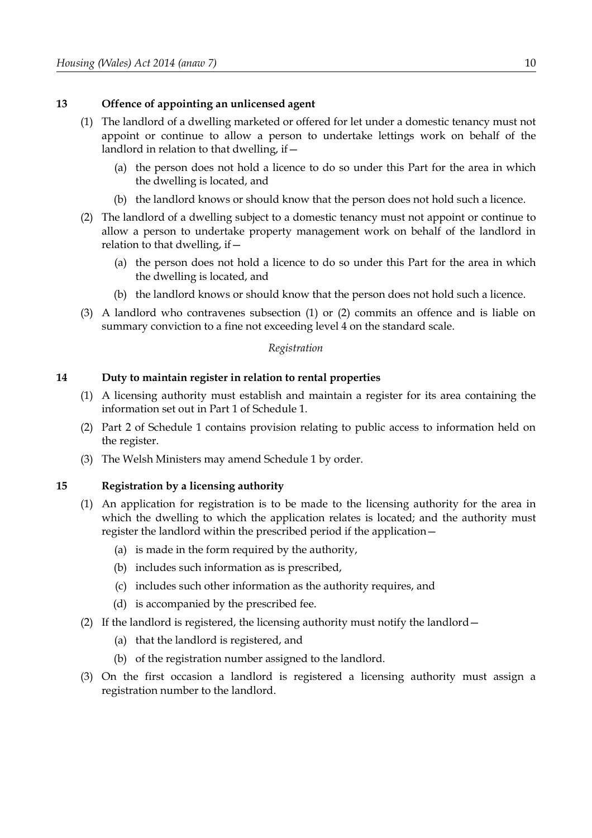## **13 Offence of appointing an unlicensed agent**

- (1) The landlord of a dwelling marketed or offered for let under a domestic tenancy must not appoint or continue to allow a person to undertake lettings work on behalf of the landlord in relation to that dwelling, if—
	- (a) the person does not hold a licence to do so under this Part for the area in which the dwelling is located, and
	- (b) the landlord knows or should know that the person does not hold such a licence.
- (2) The landlord of a dwelling subject to a domestic tenancy must not appoint or continue to allow a person to undertake property management work on behalf of the landlord in relation to that dwelling, if—
	- (a) the person does not hold a licence to do so under this Part for the area in which the dwelling is located, and
	- (b) the landlord knows or should know that the person does not hold such a licence.
- (3) A landlord who contravenes subsection (1) or (2) commits an offence and is liable on summary conviction to a fine not exceeding level 4 on the standard scale.

#### *Registration*

## <span id="page-15-0"></span>**14 Duty to maintain register in relation to rental properties**

- (1) A licensing authority must establish and maintain a register for its area containing the information set out in Part [1](#page-97-1) of Schedule [1.](#page-97-0)
- (2) Part [2](#page-98-0) of Schedule [1](#page-97-0) contains provision relating to public access to information held on the register.
- (3) The Welsh Ministers may amend Schedule [1](#page-97-0) by order.

## <span id="page-15-1"></span>**15 Registration by a licensing authority**

- (1) An application for registration is to be made to the licensing authority for the area in which the dwelling to which the application relates is located; and the authority must register the landlord within the prescribed period if the application—
	- (a) is made in the form required by the authority,
	- (b) includes such information as is prescribed,
	- (c) includes such other information as the authority requires, and
	- (d) is accompanied by the prescribed fee.
- (2) If the landlord is registered, the licensing authority must notify the landlord—
	- (a) that the landlord is registered, and
	- (b) of the registration number assigned to the landlord.
- (3) On the first occasion a landlord is registered a licensing authority must assign a registration number to the landlord.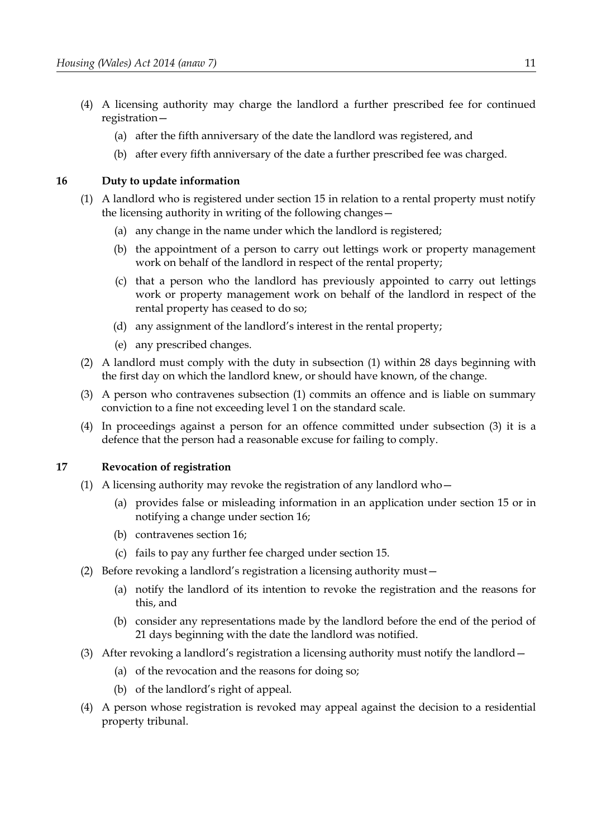- (4) A licensing authority may charge the landlord a further prescribed fee for continued registration—
	- (a) after the fifth anniversary of the date the landlord was registered, and
	- (b) after every fifth anniversary of the date a further prescribed fee was charged.

## <span id="page-16-1"></span>**16 Duty to update information**

- <span id="page-16-3"></span>(1) A landlord who is registered under section [15](#page-15-1) in relation to a rental property must notify the licensing authority in writing of the following changes—
	- (a) any change in the name under which the landlord is registered;
	- (b) the appointment of a person to carry out lettings work or property management work on behalf of the landlord in respect of the rental property;
	- (c) that a person who the landlord has previously appointed to carry out lettings work or property management work on behalf of the landlord in respect of the rental property has ceased to do so;
	- (d) any assignment of the landlord's interest in the rental property;
	- (e) any prescribed changes.
- (2) A landlord must comply with the duty in subsection [\(1\)](#page-16-3) within 28 days beginning with the first day on which the landlord knew, or should have known, of the change.
- <span id="page-16-2"></span>(3) A person who contravenes subsection [\(1\)](#page-16-3) commits an offence and is liable on summary conviction to a fine not exceeding level 1 on the standard scale.
- (4) In proceedings against a person for an offence committed under subsection [\(3\)](#page-16-2) it is a defence that the person had a reasonable excuse for failing to comply.

## <span id="page-16-0"></span>**17 Revocation of registration**

- (1) A licensing authority may revoke the registration of any landlord who—
	- (a) provides false or misleading information in an application under section [15](#page-15-1) or in notifying a change under section [16;](#page-16-1)
	- (b) contravenes section [16;](#page-16-1)
	- (c) fails to pay any further fee charged under section [15.](#page-15-1)
- (2) Before revoking a landlord's registration a licensing authority must—
	- (a) notify the landlord of its intention to revoke the registration and the reasons for this, and
	- (b) consider any representations made by the landlord before the end of the period of 21 days beginning with the date the landlord was notified.
- (3) After revoking a landlord's registration a licensing authority must notify the landlord  $-$ 
	- (a) of the revocation and the reasons for doing so;
	- (b) of the landlord's right of appeal.
- (4) A person whose registration is revoked may appeal against the decision to a residential property tribunal.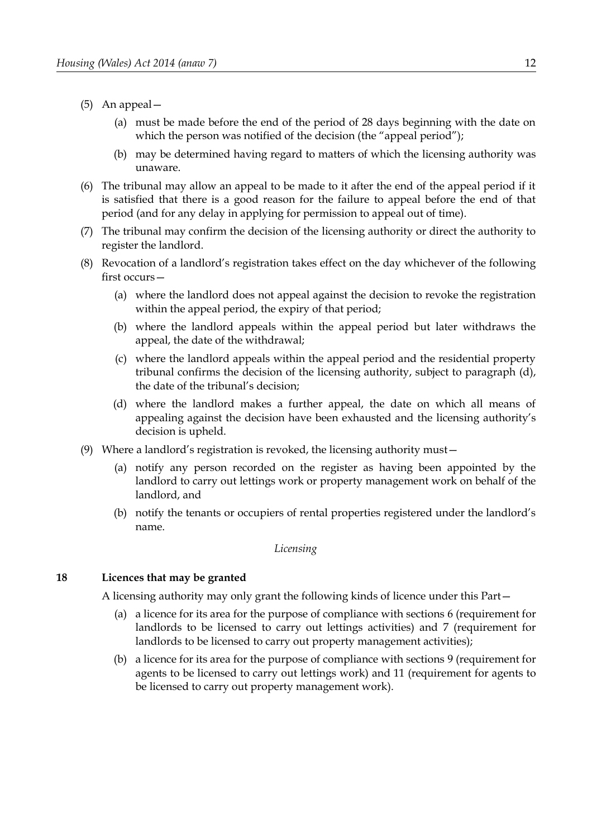- (5) An appeal—
	- (a) must be made before the end of the period of 28 days beginning with the date on which the person was notified of the decision (the "appeal period");
	- (b) may be determined having regard to matters of which the licensing authority was unaware.
- (6) The tribunal may allow an appeal to be made to it after the end of the appeal period if it is satisfied that there is a good reason for the failure to appeal before the end of that period (and for any delay in applying for permission to appeal out of time).
- (7) The tribunal may confirm the decision of the licensing authority or direct the authority to register the landlord.
- (8) Revocation of a landlord's registration takes effect on the day whichever of the following first occurs—
	- (a) where the landlord does not appeal against the decision to revoke the registration within the appeal period, the expiry of that period;
	- (b) where the landlord appeals within the appeal period but later withdraws the appeal, the date of the withdrawal;
	- (c) where the landlord appeals within the appeal period and the residential property tribunal confirms the decision of the licensing authority, subject to paragraph [\(d\),](#page-17-1) the date of the tribunal's decision;
	- (d) where the landlord makes a further appeal, the date on which all means of appealing against the decision have been exhausted and the licensing authority's decision is upheld.
- <span id="page-17-1"></span>(9) Where a landlord's registration is revoked, the licensing authority must—
	- (a) notify any person recorded on the register as having been appointed by the landlord to carry out lettings work or property management work on behalf of the landlord, and
	- (b) notify the tenants or occupiers of rental properties registered under the landlord's name.

#### *Licensing*

## <span id="page-17-0"></span>**18 Licences that may be granted**

A licensing authority may only grant the following kinds of licence under this Part—

- (a) a licence for its area for the purpose of compliance with sections [6](#page-9-0) (requirement for landlords to be licensed to carry out lettings activities) and [7](#page-10-0) (requirement for landlords to be licensed to carry out property management activities);
- (b) a licence for its area for the purpose of compliance with sections [9](#page-12-1) (requirement for agents to be licensed to carry out lettings work) and [11](#page-13-0) (requirement for agents to be licensed to carry out property management work).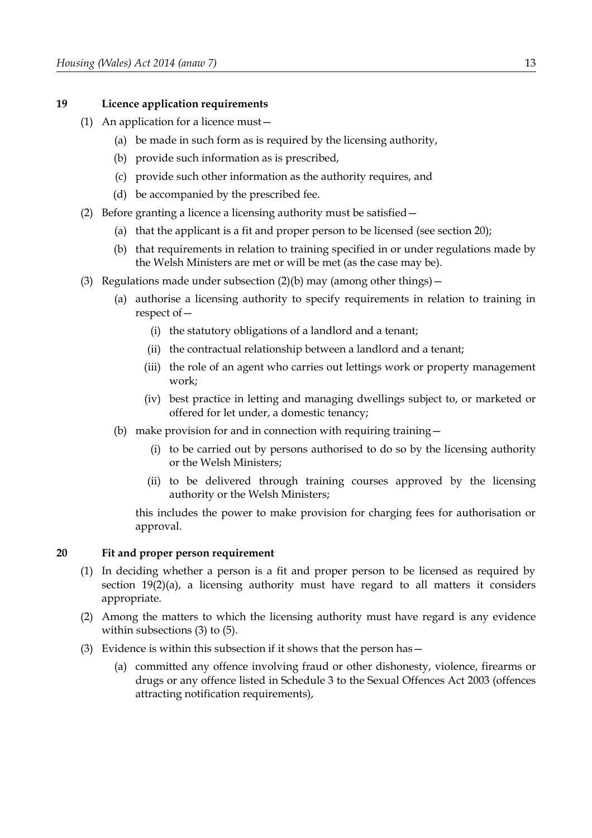## <span id="page-18-4"></span>**19 Licence application requirements**

- (1) An application for a licence must—
	- (a) be made in such form as is required by the licensing authority,
	- (b) provide such information as is prescribed,
	- (c) provide such other information as the authority requires, and
	- (d) be accompanied by the prescribed fee.
- <span id="page-18-3"></span><span id="page-18-2"></span>(2) Before granting a licence a licensing authority must be satisfied—
	- (a) that the applicant is a fit and proper person to be licensed (see section [20\)](#page-18-0);
	- (b) that requirements in relation to training specified in or under regulations made by the Welsh Ministers are met or will be met (as the case may be).
- (3) Regulations made under subsection  $(2)(b)$  may (among other things)
	- (a) authorise a licensing authority to specify requirements in relation to training in respect of—
		- (i) the statutory obligations of a landlord and a tenant;
		- (ii) the contractual relationship between a landlord and a tenant;
		- (iii) the role of an agent who carries out lettings work or property management work;
		- (iv) best practice in letting and managing dwellings subject to, or marketed or offered for let under, a domestic tenancy;
	- (b) make provision for and in connection with requiring training  $-$ 
		- (i) to be carried out by persons authorised to do so by the licensing authority or the Welsh Ministers;
		- (ii) to be delivered through training courses approved by the licensing authority or the Welsh Ministers;

this includes the power to make provision for charging fees for authorisation or approval.

## <span id="page-18-0"></span>**20 Fit and proper person requirement**

- (1) In deciding whether a person is a fit and proper person to be licensed as required by section [19](#page-18-4)[\(2\)](#page-18-3)[\(a\),](#page-18-2) a licensing authority must have regard to all matters it considers appropriate.
- (2) Among the matters to which the licensing authority must have regard is any evidence within subsections [\(3\)](#page-18-1) to [\(5\).](#page-19-0)
- <span id="page-18-1"></span>(3) Evidence is within this subsection if it shows that the person has—
	- (a) committed any offence involving fraud or other dishonesty, violence, firearms or drugs or any offence listed in Schedule 3 to the Sexual Offences Act 2003 (offences attracting notification requirements),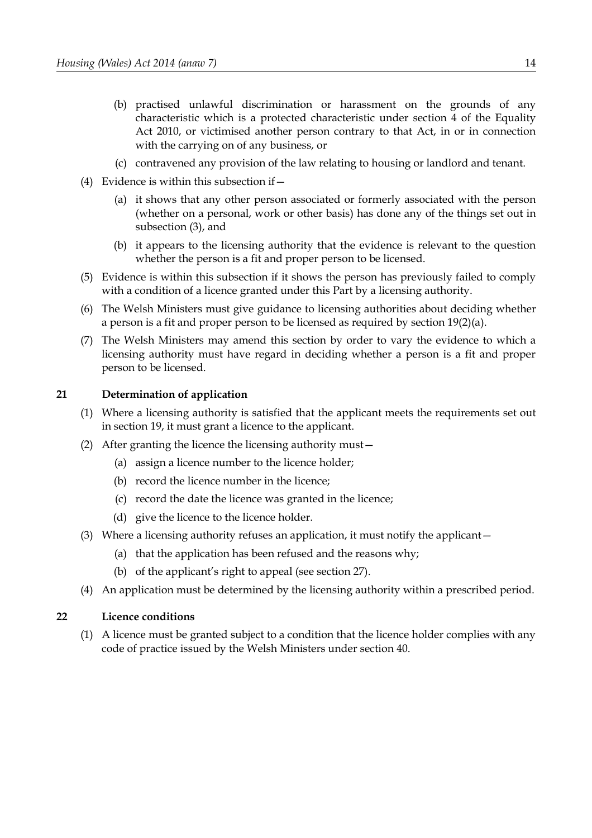- (b) practised unlawful discrimination or harassment on the grounds of any characteristic which is a protected characteristic under section 4 of the Equality Act 2010, or victimised another person contrary to that Act, in or in connection with the carrying on of any business, or
- (c) contravened any provision of the law relating to housing or landlord and tenant.
- (4) Evidence is within this subsection if  $-$ 
	- (a) it shows that any other person associated or formerly associated with the person (whether on a personal, work or other basis) has done any of the things set out in subsection [\(3\),](#page-18-1) and
	- (b) it appears to the licensing authority that the evidence is relevant to the question whether the person is a fit and proper person to be licensed.
- <span id="page-19-0"></span>(5) Evidence is within this subsection if it shows the person has previously failed to comply with a condition of a licence granted under this Part by a licensing authority.
- (6) The Welsh Ministers must give guidance to licensing authorities about deciding whether a person is a fit and proper person to be licensed as required by section [19](#page-18-4)[\(2\)](#page-18-3)[\(a\).](#page-18-2)
- (7) The Welsh Ministers may amend this section by order to vary the evidence to which a licensing authority must have regard in deciding whether a person is a fit and proper person to be licensed.

## <span id="page-19-2"></span>**21 Determination of application**

- <span id="page-19-1"></span>(1) Where a licensing authority is satisfied that the applicant meets the requirements set out in section [19,](#page-18-4) it must grant a licence to the applicant.
- (2) After granting the licence the licensing authority must—
	- (a) assign a licence number to the licence holder;
	- (b) record the licence number in the licence;
	- (c) record the date the licence was granted in the licence;
	- (d) give the licence to the licence holder.
- (3) Where a licensing authority refuses an application, it must notify the applicant—
	- (a) that the application has been refused and the reasons why;
	- (b) of the applicant's right to appeal (see section [27\)](#page-23-0).
- (4) An application must be determined by the licensing authority within a prescribed period.

## **22 Licence conditions**

(1) A licence must be granted subject to a condition that the licence holder complies with any code of practice issued by the Welsh Ministers under section [40.](#page-36-0)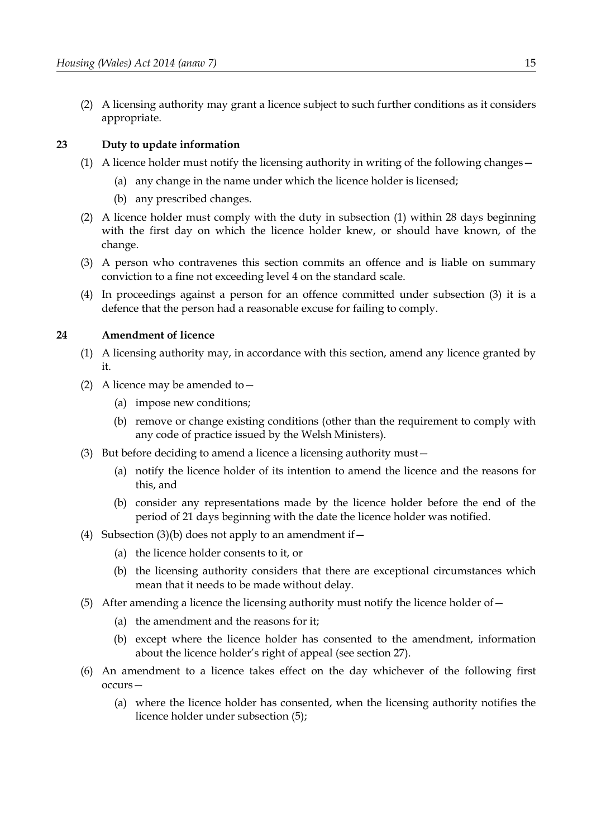(2) A licensing authority may grant a licence subject to such further conditions as it considers appropriate.

## <span id="page-20-6"></span>**23 Duty to update information**

- <span id="page-20-4"></span>(1) A licence holder must notify the licensing authority in writing of the following changes—
	- (a) any change in the name under which the licence holder is licensed;
	- (b) any prescribed changes.
- (2) A licence holder must comply with the duty in subsection [\(1\)](#page-20-4) within 28 days beginning with the first day on which the licence holder knew, or should have known, of the change.
- <span id="page-20-3"></span>(3) A person who contravenes this section commits an offence and is liable on summary conviction to a fine not exceeding level 4 on the standard scale.
- (4) In proceedings against a person for an offence committed under subsection [\(3\)](#page-20-3) it is a defence that the person had a reasonable excuse for failing to comply.

## **24 Amendment of licence**

- (1) A licensing authority may, in accordance with this section, amend any licence granted by it.
- (2) A licence may be amended to  $-$ 
	- (a) impose new conditions;
	- (b) remove or change existing conditions (other than the requirement to comply with any code of practice issued by the Welsh Ministers).
- <span id="page-20-2"></span>(3) But before deciding to amend a licence a licensing authority must—
	- (a) notify the licence holder of its intention to amend the licence and the reasons for this, and
	- (b) consider any representations made by the licence holder before the end of the period of 21 days beginning with the date the licence holder was notified.
- <span id="page-20-1"></span>(4) Subsection [\(3\)](#page-20-2)[\(b\)](#page-20-1) does not apply to an amendment if  $-$ 
	- (a) the licence holder consents to it, or
	- (b) the licensing authority considers that there are exceptional circumstances which mean that it needs to be made without delay.
- <span id="page-20-0"></span>(5) After amending a licence the licensing authority must notify the licence holder of—
	- (a) the amendment and the reasons for it;
	- (b) except where the licence holder has consented to the amendment, information about the licence holder's right of appeal (see section [27\)](#page-23-0).
- <span id="page-20-5"></span>(6) An amendment to a licence takes effect on the day whichever of the following first occurs—
	- (a) where the licence holder has consented, when the licensing authority notifies the licence holder under subsection [\(5\);](#page-20-0)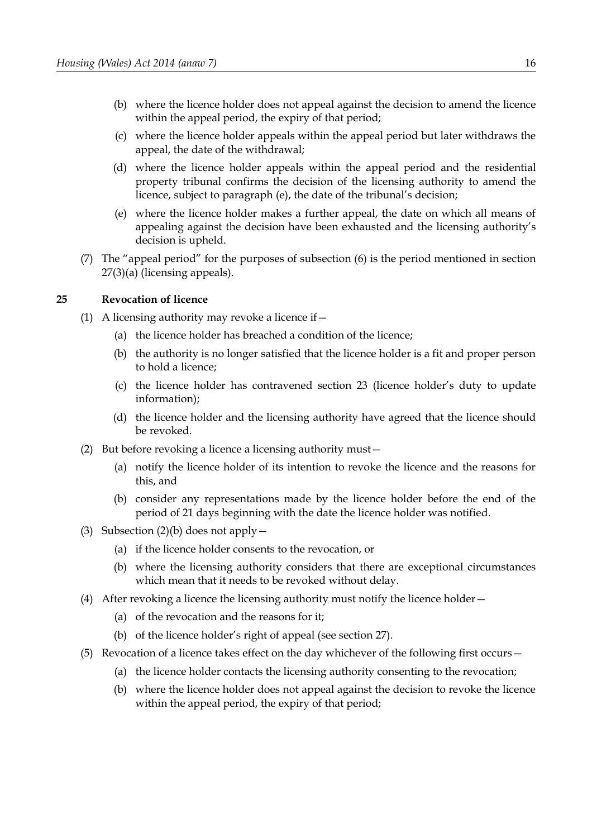- (b) where the licence holder does not appeal against the decision to amend the licence within the appeal period, the expiry of that period;
- (c) where the licence holder appeals within the appeal period but later withdraws the appeal, the date of the withdrawal;
- (d) where the licence holder appeals within the appeal period and the residential property tribunal confirms the decision of the licensing authority to amend the licence, subject to paragraph [\(e\),](#page-21-2) the date of the tribunal's decision;
- <span id="page-21-2"></span>(e) where the licence holder makes a further appeal, the date on which all means of appealing against the decision have been exhausted and the licensing authority's decision is upheld.
- (7) The "appeal period" for the purposes of subsection [\(6\)](#page-20-5) is the period mentioned in section [27](#page-23-0)[\(3\)](#page-23-2)[\(a\)](#page-23-1) (licensing appeals).

## **25 Revocation of licence**

- (1) A licensing authority may revoke a licence if  $-$ 
	- (a) the licence holder has breached a condition of the licence;
	- (b) the authority is no longer satisfied that the licence holder is a fit and proper person to hold a licence;
	- (c) the licence holder has contravened section 23 (licence holder's duty to update information);
	- (d) the licence holder and the licensing authority have agreed that the licence should be revoked.
- <span id="page-21-1"></span>(2) But before revoking a licence a licensing authority must—
	- (a) notify the licence holder of its intention to revoke the licence and the reasons for this, and
	- (b) consider any representations made by the licence holder before the end of the period of 21 days beginning with the date the licence holder was notified.
- <span id="page-21-0"></span>(3) Subsection  $(2)(b)$  does not apply  $-$ 
	- (a) if the licence holder consents to the revocation, or
	- (b) where the licensing authority considers that there are exceptional circumstances which mean that it needs to be revoked without delay.
- (4) After revoking a licence the licensing authority must notify the licence holder—
	- (a) of the revocation and the reasons for it;
	- (b) of the licence holder's right of appeal (see section [27\)](#page-23-0).
- <span id="page-21-3"></span>(5) Revocation of a licence takes effect on the day whichever of the following first occurs—
	- (a) the licence holder contacts the licensing authority consenting to the revocation;
	- (b) where the licence holder does not appeal against the decision to revoke the licence within the appeal period, the expiry of that period;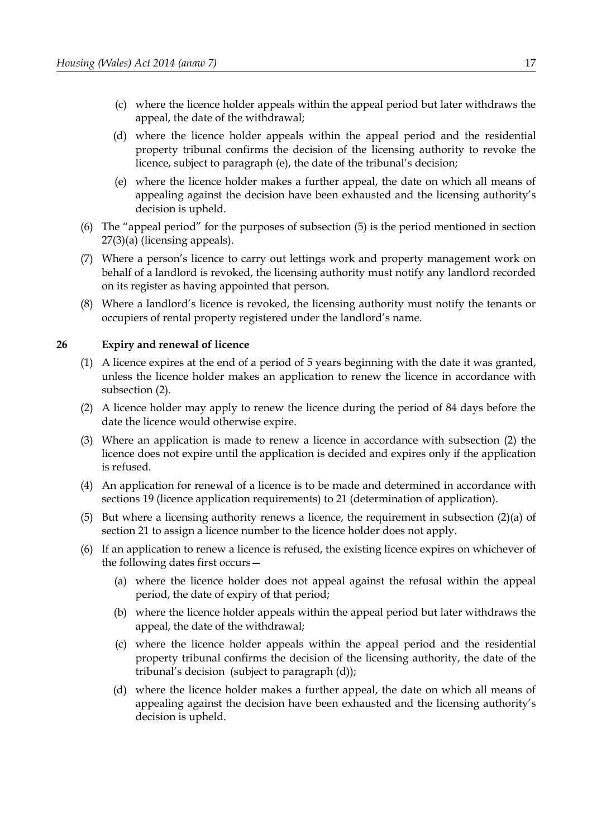- (c) where the licence holder appeals within the appeal period but later withdraws the appeal, the date of the withdrawal;
- (d) where the licence holder appeals within the appeal period and the residential property tribunal confirms the decision of the licensing authority to revoke the licence, subject to paragraph [\(e\),](#page-22-2) the date of the tribunal's decision;
- <span id="page-22-2"></span>(e) where the licence holder makes a further appeal, the date on which all means of appealing against the decision have been exhausted and the licensing authority's decision is upheld.
- (6) The "appeal period" for the purposes of subsection [\(5\)](#page-21-3) is the period mentioned in section [27](#page-23-0)[\(3\)](#page-23-2)[\(a\)](#page-23-1) (licensing appeals).
- (7) Where a person's licence to carry out lettings work and property management work on behalf of a landlord is revoked, the licensing authority must notify any landlord recorded on its register as having appointed that person.
- (8) Where a landlord's licence is revoked, the licensing authority must notify the tenants or occupiers of rental property registered under the landlord's name.

## **26 Expiry and renewal of licence**

- (1) A licence expires at the end of a period of 5 years beginning with the date it was granted, unless the licence holder makes an application to renew the licence in accordance with subsection [\(2\).](#page-22-1)
- <span id="page-22-1"></span>(2) A licence holder may apply to renew the licence during the period of 84 days before the date the licence would otherwise expire.
- (3) Where an application is made to renew a licence in accordance with subsection [\(2\)](#page-22-1) the licence does not expire until the application is decided and expires only if the application is refused.
- (4) An application for renewal of a licence is to be made and determined in accordance with sections 19 (licence application requirements) to 21 (determination of application).
- (5) But where a licensing authority renews a licence, the requirement in subsection (2)(a) of section 21 to assign a licence number to the licence holder does not apply.
- <span id="page-22-3"></span><span id="page-22-0"></span>(6) If an application to renew a licence is refused, the existing licence expires on whichever of the following dates first occurs—
	- (a) where the licence holder does not appeal against the refusal within the appeal period, the date of expiry of that period;
	- (b) where the licence holder appeals within the appeal period but later withdraws the appeal, the date of the withdrawal;
	- (c) where the licence holder appeals within the appeal period and the residential property tribunal confirms the decision of the licensing authority, the date of the tribunal's decision (subject to paragraph [\(d\)\)](#page-22-0);
	- (d) where the licence holder makes a further appeal, the date on which all means of appealing against the decision have been exhausted and the licensing authority's decision is upheld.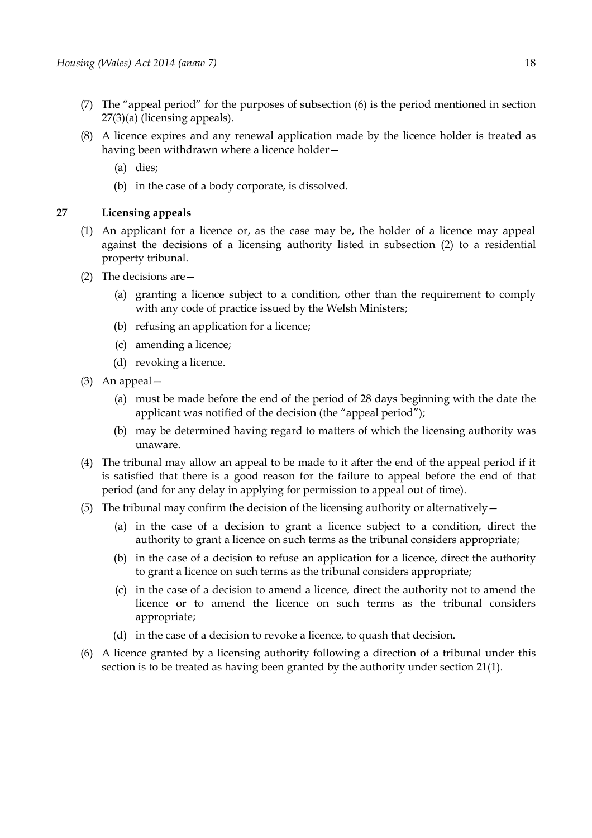- (7) The "appeal period" for the purposes of subsection [\(6\)](#page-22-3) is the period mentioned in section [27](#page-23-0)[\(3\)](#page-23-2)[\(a\)](#page-23-1) (licensing appeals).
- (8) A licence expires and any renewal application made by the licence holder is treated as having been withdrawn where a licence holder—
	- (a) dies;
	- (b) in the case of a body corporate, is dissolved.

## <span id="page-23-0"></span>**27 Licensing appeals**

- (1) An applicant for a licence or, as the case may be, the holder of a licence may appeal against the decisions of a licensing authority listed in subsection [\(2\)](#page-23-3) to a residential property tribunal.
- <span id="page-23-3"></span>(2) The decisions are—
	- (a) granting a licence subject to a condition, other than the requirement to comply with any code of practice issued by the Welsh Ministers;
	- (b) refusing an application for a licence;
	- (c) amending a licence;
	- (d) revoking a licence.
- <span id="page-23-2"></span><span id="page-23-1"></span>(3) An appeal—
	- (a) must be made before the end of the period of 28 days beginning with the date the applicant was notified of the decision (the "appeal period");
	- (b) may be determined having regard to matters of which the licensing authority was unaware.
- (4) The tribunal may allow an appeal to be made to it after the end of the appeal period if it is satisfied that there is a good reason for the failure to appeal before the end of that period (and for any delay in applying for permission to appeal out of time).
- (5) The tribunal may confirm the decision of the licensing authority or alternatively  $-$ 
	- (a) in the case of a decision to grant a licence subject to a condition, direct the authority to grant a licence on such terms as the tribunal considers appropriate;
	- (b) in the case of a decision to refuse an application for a licence, direct the authority to grant a licence on such terms as the tribunal considers appropriate;
	- (c) in the case of a decision to amend a licence, direct the authority not to amend the licence or to amend the licence on such terms as the tribunal considers appropriate;
	- (d) in the case of a decision to revoke a licence, to quash that decision.
- (6) A licence granted by a licensing authority following a direction of a tribunal under this section is to be treated as having been granted by the authority under section [21](#page-19-2)[\(1\).](#page-19-1)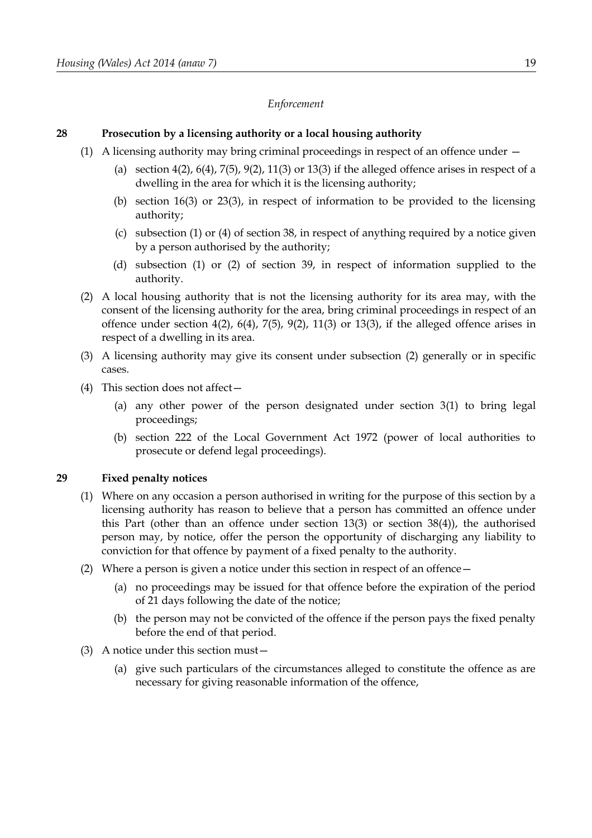## *Enforcement*

## **28 Prosecution by a licensing authority or a local housing authority**

- (1) A licensing authority may bring criminal proceedings in respect of an offence under
	- (a) section  $4(2)$ ,  $6(4)$ ,  $7(5)$ ,  $9(2)$ ,  $11(3)$  or  $13(3)$  if the alleged offence arises in respect of a dwelling in the area for which it is the licensing authority;
	- (b) section [16](#page-16-1)[\(3\)](#page-16-2) or [23](#page-20-6)[\(3\),](#page-20-3) in respect of information to be provided to the licensing authority;
	- (c) subsection [\(1\)](#page-35-4) or [\(4\)](#page-35-1) of section [38,](#page-35-2) in respect of anything required by a notice given by a person authorised by the authority;
	- (d) subsection [\(1\)](#page-35-3) or [\(2\)](#page-36-1) of section [39,](#page-35-0) in respect of information supplied to the authority.
- <span id="page-24-1"></span>(2) A local housing authority that is not the licensing authority for its area may, with the consent of the licensing authority for the area, bring criminal proceedings in respect of an offence under section  $4(2)$ ,  $6(4)$ ,  $7(5)$ ,  $9(2)$ ,  $11(3)$  or  $13(3)$ , if the alleged offence arises in respect of a dwelling in its area.
- (3) A licensing authority may give its consent under subsection [\(2\)](#page-24-1) generally or in specific cases.
- (4) This section does not affect—
	- (a) any other power of the person designated under section [3\(](#page-8-1)1) to bring legal proceedings;
	- (b) section 222 of the Local Government Act 1972 (power of local authorities to prosecute or defend legal proceedings).

## <span id="page-24-0"></span>**29 Fixed penalty notices**

- <span id="page-24-2"></span>(1) Where on any occasion a person authorised in writing for the purpose of this section by a licensing authority has reason to believe that a person has committed an offence under this Part (other than an offence under section 13(3) or section [38](#page-35-2)[\(4\)\)](#page-35-1), the authorised person may, by notice, offer the person the opportunity of discharging any liability to conviction for that offence by payment of a fixed penalty to the authority.
- (2) Where a person is given a notice under this section in respect of an offence—
	- (a) no proceedings may be issued for that offence before the expiration of the period of 21 days following the date of the notice;
	- (b) the person may not be convicted of the offence if the person pays the fixed penalty before the end of that period.
- <span id="page-24-3"></span>(3) A notice under this section must—
	- (a) give such particulars of the circumstances alleged to constitute the offence as are necessary for giving reasonable information of the offence,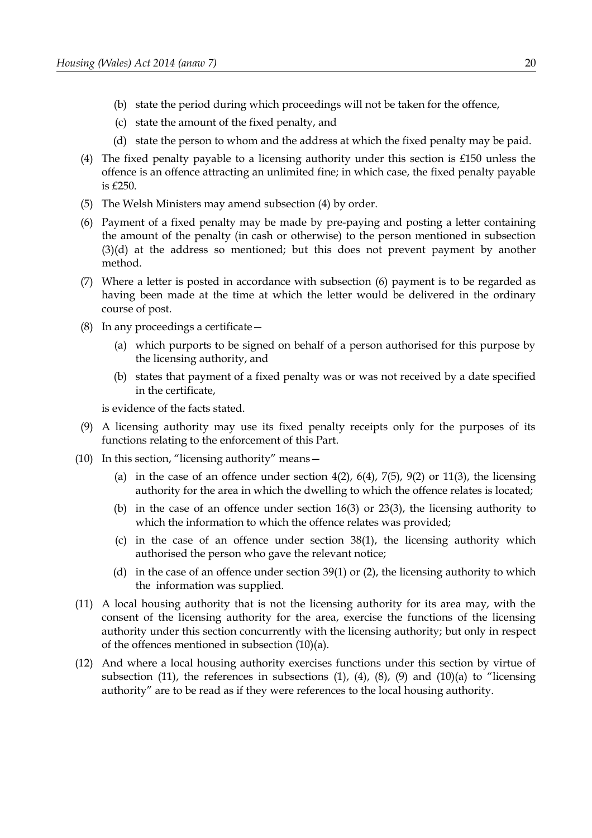- (b) state the period during which proceedings will not be taken for the offence,
- (c) state the amount of the fixed penalty, and
- <span id="page-25-7"></span>(d) state the person to whom and the address at which the fixed penalty may be paid.
- <span id="page-25-4"></span>(4) The fixed penalty payable to a licensing authority under this section is  $£150$  unless the offence is an offence attracting an unlimited fine; in which case, the fixed penalty payable is £250.
- (5) The Welsh Ministers may amend subsection [\(4\)](#page-25-4) by order.
- <span id="page-25-6"></span>(6) Payment of a fixed penalty may be made by pre-paying and posting a letter containing the amount of the penalty (in cash or otherwise) to the person mentioned in subsection [\(3\)](#page-24-3)[\(d\)](#page-25-7) at the address so mentioned; but this does not prevent payment by another method.
- (7) Where a letter is posted in accordance with subsection [\(6\)](#page-25-6) payment is to be regarded as having been made at the time at which the letter would be delivered in the ordinary course of post.
- <span id="page-25-3"></span>(8) In any proceedings a certificate—
	- (a) which purports to be signed on behalf of a person authorised for this purpose by the licensing authority, and
	- (b) states that payment of a fixed penalty was or was not received by a date specified in the certificate,

is evidence of the facts stated.

- <span id="page-25-2"></span>(9) A licensing authority may use its fixed penalty receipts only for the purposes of its functions relating to the enforcement of this Part.
- <span id="page-25-1"></span><span id="page-25-0"></span>(10) In this section, "licensing authority" means—
	- (a) in the case of an offence under section  $4(2)$ ,  $6(4)$ ,  $7(5)$ ,  $9(2)$  or  $11(3)$ , the licensing authority for the area in which the dwelling to which the offence relates is located;
	- (b) in the case of an offence under section [16](#page-16-1)[\(3\)](#page-16-2) or [23](#page-20-6)[\(3\),](#page-20-3) the licensing authority to which the information to which the offence relates was provided;
	- (c) in the case of an offence under section [38](#page-35-2)[\(1\),](#page-35-4) the licensing authority which authorised the person who gave the relevant notice;
	- (d) in the case of an offence under section [39](#page-35-0)[\(1\)](#page-35-3) or [\(2\),](#page-36-1) the licensing authority to which the information was supplied.
- <span id="page-25-5"></span>(11) A local housing authority that is not the licensing authority for its area may, with the consent of the licensing authority for the area, exercise the functions of the licensing authority under this section concurrently with the licensing authority; but only in respect of the offences mentioned in subsection [\(10\)](#page-25-1)[\(a\).](#page-25-0)
- (12) And where a local housing authority exercises functions under this section by virtue of subsection [\(11\),](#page-25-5) the references in subsections [\(1\),](#page-24-2) [\(4\),](#page-25-4) [\(8\),](#page-25-3) [\(9\)](#page-25-2) and [\(10\)](#page-25-1)[\(a\)](#page-25-0) to "licensing authority" are to be read as if they were references to the local housing authority.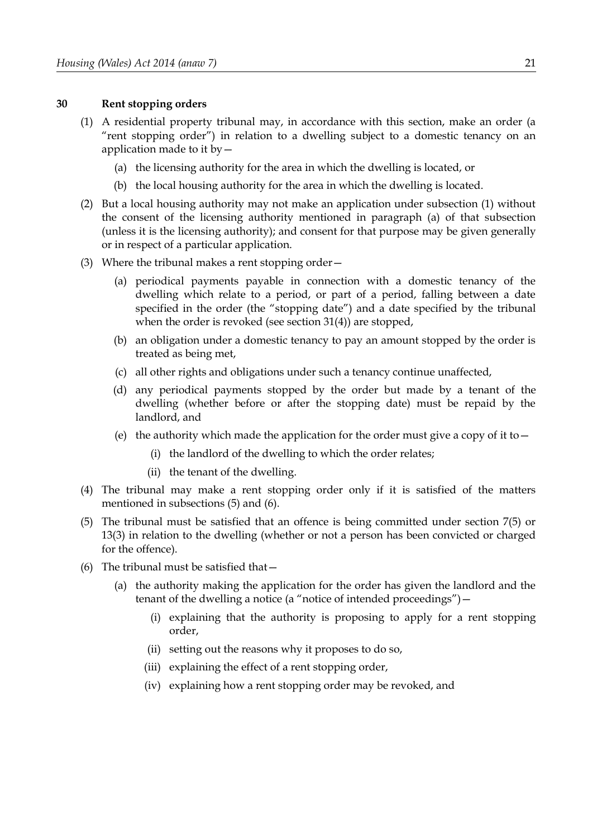#### **30 Rent stopping orders**

- (1) A residential property tribunal may, in accordance with this section, make an order (a "rent stopping order") in relation to a dwelling subject to a domestic tenancy on an application made to it  $by$   $-$ 
	- (a) the licensing authority for the area in which the dwelling is located, or
	- (b) the local housing authority for the area in which the dwelling is located.
- (2) But a local housing authority may not make an application under subsection (1) without the consent of the licensing authority mentioned in paragraph (a) of that subsection (unless it is the licensing authority); and consent for that purpose may be given generally or in respect of a particular application.
- (3) Where the tribunal makes a rent stopping order—
	- (a) periodical payments payable in connection with a domestic tenancy of the dwelling which relate to a period, or part of a period, falling between a date specified in the order (the "stopping date") and a date specified by the tribunal when the order is revoked (see section 31(4)) are stopped,
	- (b) an obligation under a domestic tenancy to pay an amount stopped by the order is treated as being met,
	- (c) all other rights and obligations under such a tenancy continue unaffected,
	- (d) any periodical payments stopped by the order but made by a tenant of the dwelling (whether before or after the stopping date) must be repaid by the landlord, and
	- (e) the authority which made the application for the order must give a copy of it to  $-$ 
		- (i) the landlord of the dwelling to which the order relates;
		- (ii) the tenant of the dwelling.
- (4) The tribunal may make a rent stopping order only if it is satisfied of the matters mentioned in subsections (5) and (6).
- (5) The tribunal must be satisfied that an offence is being committed under section 7(5) or 13(3) in relation to the dwelling (whether or not a person has been convicted or charged for the offence).
- (6) The tribunal must be satisfied that—
	- (a) the authority making the application for the order has given the landlord and the tenant of the dwelling a notice (a "notice of intended proceedings") -
		- (i) explaining that the authority is proposing to apply for a rent stopping order,
		- (ii) setting out the reasons why it proposes to do so,
		- (iii) explaining the effect of a rent stopping order,
		- (iv) explaining how a rent stopping order may be revoked, and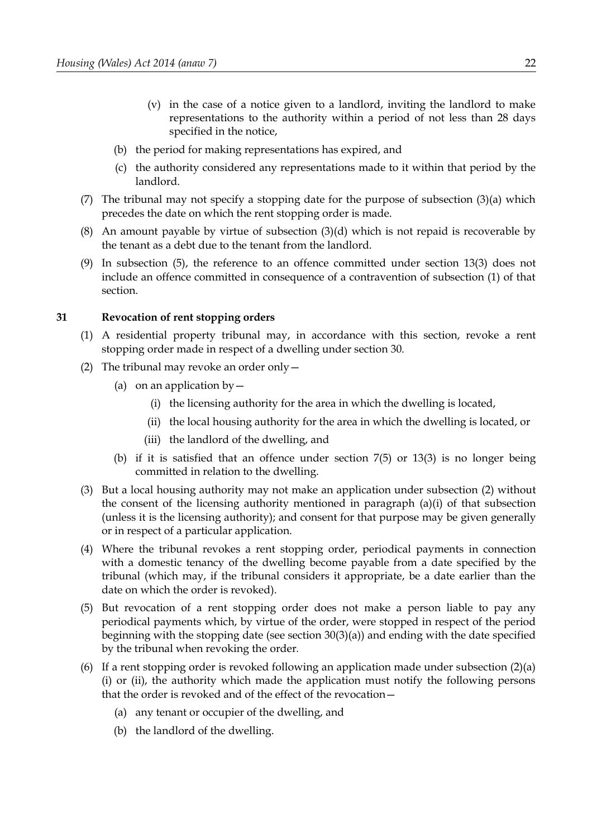- (v) in the case of a notice given to a landlord, inviting the landlord to make representations to the authority within a period of not less than 28 days specified in the notice,
- (b) the period for making representations has expired, and
- (c) the authority considered any representations made to it within that period by the landlord.
- (7) The tribunal may not specify a stopping date for the purpose of subsection (3)(a) which precedes the date on which the rent stopping order is made.
- (8) An amount payable by virtue of subsection (3)(d) which is not repaid is recoverable by the tenant as a debt due to the tenant from the landlord.
- (9) In subsection (5), the reference to an offence committed under section 13(3) does not include an offence committed in consequence of a contravention of subsection (1) of that section.

## <span id="page-27-0"></span>**31 Revocation of rent stopping orders**

- (1) A residential property tribunal may, in accordance with this section, revoke a rent stopping order made in respect of a dwelling under section 30.
- <span id="page-27-1"></span>(2) The tribunal may revoke an order only  $-$ 
	- (a) on an application by  $-$ 
		- (i) the licensing authority for the area in which the dwelling is located,
		- (ii) the local housing authority for the area in which the dwelling is located, or
		- (iii) the landlord of the dwelling, and
	- (b) if it is satisfied that an offence under section [7](#page-10-0)[\(5\)](#page-11-1) or 13(3) is no longer being committed in relation to the dwelling.
- (3) But a local housing authority may not make an application under subsection [\(2\)](#page-27-1) without the consent of the licensing authority mentioned in paragraph  $(a)(i)$  of that subsection (unless it is the licensing authority); and consent for that purpose may be given generally or in respect of a particular application.
- (4) Where the tribunal revokes a rent stopping order, periodical payments in connection with a domestic tenancy of the dwelling become payable from a date specified by the tribunal (which may, if the tribunal considers it appropriate, be a date earlier than the date on which the order is revoked).
- (5) But revocation of a rent stopping order does not make a person liable to pay any periodical payments which, by virtue of the order, were stopped in respect of the period beginning with the stopping date (see section 30(3)(a)) and ending with the date specified by the tribunal when revoking the order*.*
- (6) If a rent stopping order is revoked following an application made under subsection  $(2)(a)$ (i) or (ii), the authority which made the application must notify the following persons that the order is revoked and of the effect of the revocation—
	- (a) any tenant or occupier of the dwelling, and
	- (b) the landlord of the dwelling.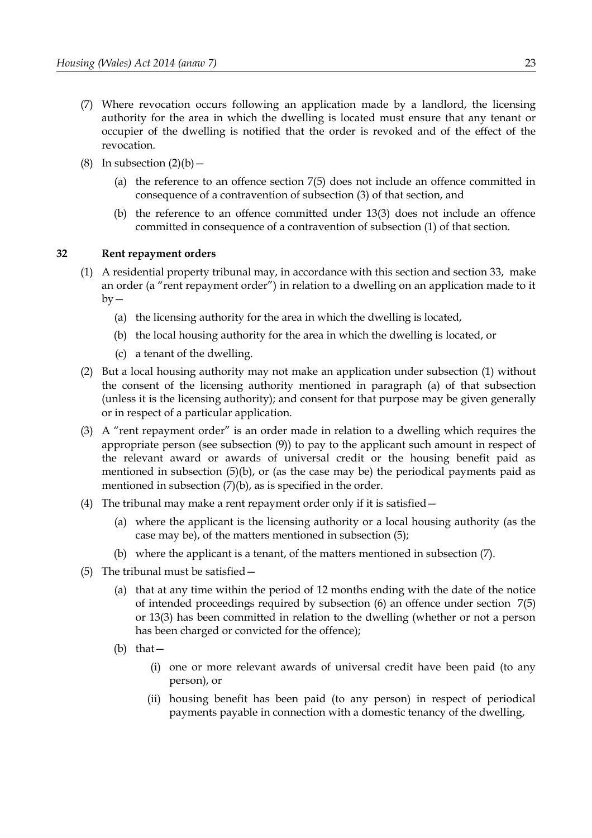- (7) Where revocation occurs following an application made by a landlord, the licensing authority for the area in which the dwelling is located must ensure that any tenant or occupier of the dwelling is notified that the order is revoked and of the effect of the revocation.
- (8) In subsection  $(2)(b)$ 
	- (a) the reference to an offence section 7(5) does not include an offence committed in consequence of a contravention of subsection (3) of that section, and
	- (b) the reference to an offence committed under 13(3) does not include an offence committed in consequence of a contravention of subsection (1) of that section.

## <span id="page-28-0"></span>**32 Rent repayment orders**

- <span id="page-28-4"></span><span id="page-28-3"></span>(1) A residential property tribunal may, in accordance with this section and section [33,](#page-30-0) make an order (a "rent repayment order") in relation to a dwelling on an application made to it  $by -$ 
	- (a) the licensing authority for the area in which the dwelling is located,
	- (b) the local housing authority for the area in which the dwelling is located, or
	- (c) a tenant of the dwelling.
- (2) But a local housing authority may not make an application under subsection [\(1\)](#page-28-4) without the consent of the licensing authority mentioned in paragraph [\(a\)](#page-28-3) of that subsection (unless it is the licensing authority); and consent for that purpose may be given generally or in respect of a particular application.
- (3) A "rent repayment order" is an order made in relation to a dwelling which requires the appropriate person (see subsection (9)) to pay to the applicant such amount in respect of the relevant award or awards of universal credit or the housing benefit paid as mentioned in subsection [\(5\)](#page-28-1)[\(b\),](#page-28-2) or (as the case may be) the periodical payments paid as mentioned in subsection [\(7\)](#page-29-1)[\(b\),](#page-29-2) as is specified in the order.
- (4) The tribunal may make a rent repayment order only if it is satisfied—
	- (a) where the applicant is the licensing authority or a local housing authority (as the case may be), of the matters mentioned in subsection [\(5\);](#page-28-1)
	- (b) where the applicant is a tenant, of the matters mentioned in subsection [\(7\).](#page-29-1)
- <span id="page-28-2"></span><span id="page-28-1"></span>(5) The tribunal must be satisfied—
	- (a) that at any time within the period of 12 months ending with the date of the notice of intended proceedings required by subsection [\(6\)](#page-29-0) an offence under section [7](#page-10-0)[\(5\)](#page-11-1) or 13(3) has been committed in relation to the dwelling (whether or not a person has been charged or convicted for the offence);
	- (b) that—
		- (i) one or more relevant awards of universal credit have been paid (to any person), or
		- (ii) housing benefit has been paid (to any person) in respect of periodical payments payable in connection with a domestic tenancy of the dwelling,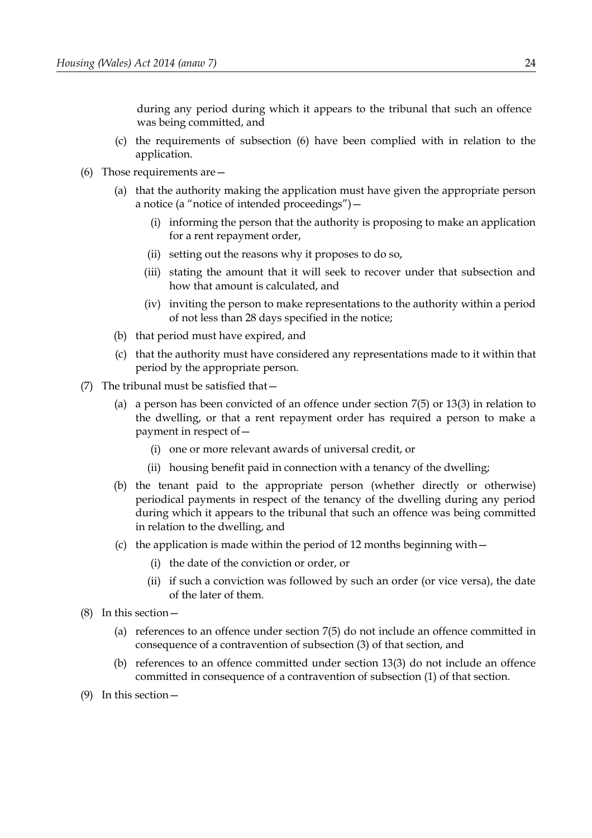during any period during which it appears to the tribunal that such an offence was being committed, and

- (c) the requirements of subsection [\(6\)](#page-29-0) have been complied with in relation to the application.
- <span id="page-29-0"></span>(6) Those requirements are—
	- (a) that the authority making the application must have given the appropriate person a notice (a "notice of intended proceedings")—
		- (i) informing the person that the authority is proposing to make an application for a rent repayment order,
		- (ii) setting out the reasons why it proposes to do so,
		- (iii) stating the amount that it will seek to recover under that subsection and how that amount is calculated, and
		- (iv) inviting the person to make representations to the authority within a period of not less than 28 days specified in the notice;
	- (b) that period must have expired, and
	- (c) that the authority must have considered any representations made to it within that period by the appropriate person.
- <span id="page-29-2"></span><span id="page-29-1"></span>(7) The tribunal must be satisfied that—
	- (a) a person has been convicted of an offence under section [7](#page-10-0)[\(5\)](#page-11-1) or 13(3) in relation to the dwelling, or that a rent repayment order has required a person to make a payment in respect of—
		- (i) one or more relevant awards of universal credit, or
		- (ii) housing benefit paid in connection with a tenancy of the dwelling;
	- (b) the tenant paid to the appropriate person (whether directly or otherwise) periodical payments in respect of the tenancy of the dwelling during any period during which it appears to the tribunal that such an offence was being committed in relation to the dwelling, and
	- (c) the application is made within the period of 12 months beginning with  $-$ 
		- (i) the date of the conviction or order, or
		- (ii) if such a conviction was followed by such an order (or vice versa), the date of the later of them.
- (8) In this section—
	- (a) references to an offence under section 7(5) do not include an offence committed in consequence of a contravention of subsection (3) of that section, and
	- (b) references to an offence committed under section 13(3) do not include an offence committed in consequence of a contravention of subsection (1) of that section.
- (9) In this section—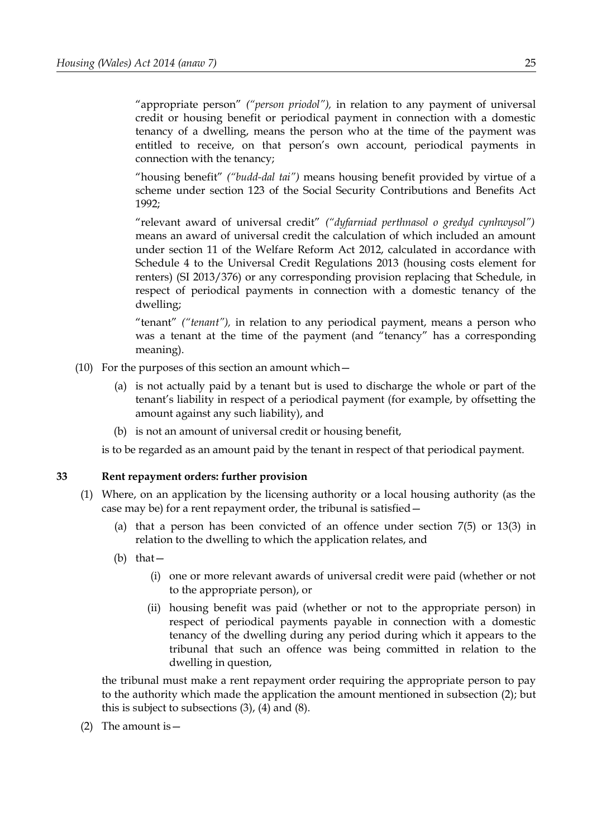"appropriate person" *("person priodol"),* in relation to any payment of universal credit or housing benefit or periodical payment in connection with a domestic tenancy of a dwelling, means the person who at the time of the payment was entitled to receive, on that person's own account, periodical payments in connection with the tenancy;

"housing benefit" *("budd-dal tai")* means housing benefit provided by virtue of a scheme under section 123 of the Social Security Contributions and Benefits Act 1992;

"relevant award of universal credit" *("dyfarniad perthnasol o gredyd cynhwysol")* means an award of universal credit the calculation of which included an amount under section 11 of the Welfare Reform Act 2012, calculated in accordance with Schedule 4 to the Universal Credit Regulations 2013 (housing costs element for renters) (SI 2013/376) or any corresponding provision replacing that Schedule, in respect of periodical payments in connection with a domestic tenancy of the dwelling;

"tenant" *("tenant"),* in relation to any periodical payment, means a person who was a tenant at the time of the payment (and "tenancy" has a corresponding meaning).

- (10) For the purposes of this section an amount which  $-$ 
	- (a) is not actually paid by a tenant but is used to discharge the whole or part of the tenant's liability in respect of a periodical payment (for example, by offsetting the amount against any such liability), and
	- (b) is not an amount of universal credit or housing benefit,

is to be regarded as an amount paid by the tenant in respect of that periodical payment.

## <span id="page-30-0"></span>**33 Rent repayment orders: further provision**

- <span id="page-30-5"></span><span id="page-30-3"></span><span id="page-30-2"></span>(1) Where, on an application by the licensing authority or a local housing authority (as the case may be) for a rent repayment order, the tribunal is satisfied—
	- (a) that a person has been convicted of an offence under section [7](#page-10-0)[\(5\)](#page-11-1) or 13(3) in relation to the dwelling to which the application relates, and
	- (b) that—
		- (i) one or more relevant awards of universal credit were paid (whether or not to the appropriate person), or
		- (ii) housing benefit was paid (whether or not to the appropriate person) in respect of periodical payments payable in connection with a domestic tenancy of the dwelling during any period during which it appears to the tribunal that such an offence was being committed in relation to the dwelling in question,

<span id="page-30-4"></span>the tribunal must make a rent repayment order requiring the appropriate person to pay to the authority which made the application the amount mentioned in subsection [\(2\);](#page-30-1) but this is subject to subsections [\(3\),](#page-31-1) [\(4\)](#page-31-0) and [\(8\).](#page-32-0)

<span id="page-30-1"></span>(2) The amount is—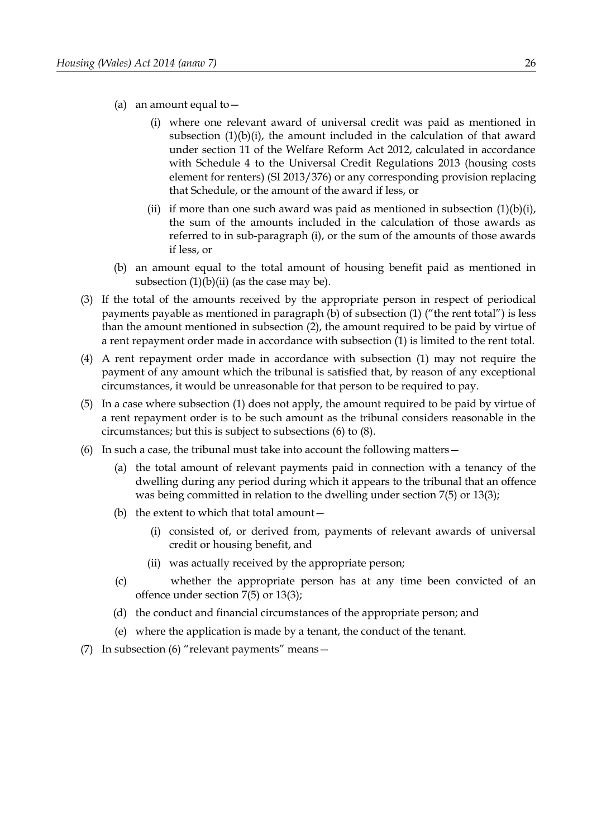- <span id="page-31-4"></span>(a) an amount equal to  $-$ 
	- (i) where one relevant award of universal credit was paid as mentioned in subsection [\(1\)](#page-30-2)[\(b\)](#page-30-3)[\(i\),](#page-30-5) the amount included in the calculation of that award under section 11 of the Welfare Reform Act 2012, calculated in accordance with Schedule 4 to the Universal Credit Regulations 2013 (housing costs element for renters) (SI 2013/376) or any corresponding provision replacing that Schedule, or the amount of the award if less, or
	- (ii) if more than one such award was paid as mentioned in subsection  $(1)(b)(i)$  $(1)(b)(i)$  $(1)(b)(i)$ , the sum of the amounts included in the calculation of those awards as referred to in sub-paragraph [\(i\),](#page-30-5) or the sum of the amounts of those awards if less, or
- (b) an amount equal to the total amount of housing benefit paid as mentioned in subsection  $(1)(b)(ii)$  $(1)(b)(ii)$  $(1)(b)(ii)$  (as the case may be).
- <span id="page-31-1"></span>(3) If the total of the amounts received by the appropriate person in respect of periodical payments payable as mentioned in paragraph [\(b\)](#page-30-3) of subsection [\(1\)](#page-30-2) ("the rent total") is less than the amount mentioned in subsection [\(2\),](#page-30-1) the amount required to be paid by virtue of a rent repayment order made in accordance with subsection [\(1\)](#page-30-2) is limited to the rent total.
- <span id="page-31-0"></span>(4) A rent repayment order made in accordance with subsection [\(1\)](#page-30-2) may not require the payment of any amount which the tribunal is satisfied that, by reason of any exceptional circumstances, it would be unreasonable for that person to be required to pay.
- (5) In a case where subsection [\(1\)](#page-30-2) does not apply, the amount required to be paid by virtue of a rent repayment order is to be such amount as the tribunal considers reasonable in the circumstances; but this is subject to subsections [\(6\)](#page-31-2) to [\(8\).](#page-32-0)
- <span id="page-31-3"></span><span id="page-31-2"></span>(6) In such a case, the tribunal must take into account the following matters—
	- (a) the total amount of relevant payments paid in connection with a tenancy of the dwelling during any period during which it appears to the tribunal that an offence was being committed in relation to the dwelling under section [7](#page-10-0)[\(5\)](#page-11-1) or 13(3);
	- (b) the extent to which that total amount—
		- (i) consisted of, or derived from, payments of relevant awards of universal credit or housing benefit, and
		- (ii) was actually received by the appropriate person;
	- (c) whether the appropriate person has at any time been convicted of an offence under section [7](#page-10-0)[\(5\)](#page-11-1) or 13(3);
	- (d) the conduct and financial circumstances of the appropriate person; and
	- (e) where the application is made by a tenant, the conduct of the tenant.
- (7) In subsection [\(6\)](#page-31-2) "relevant payments" means—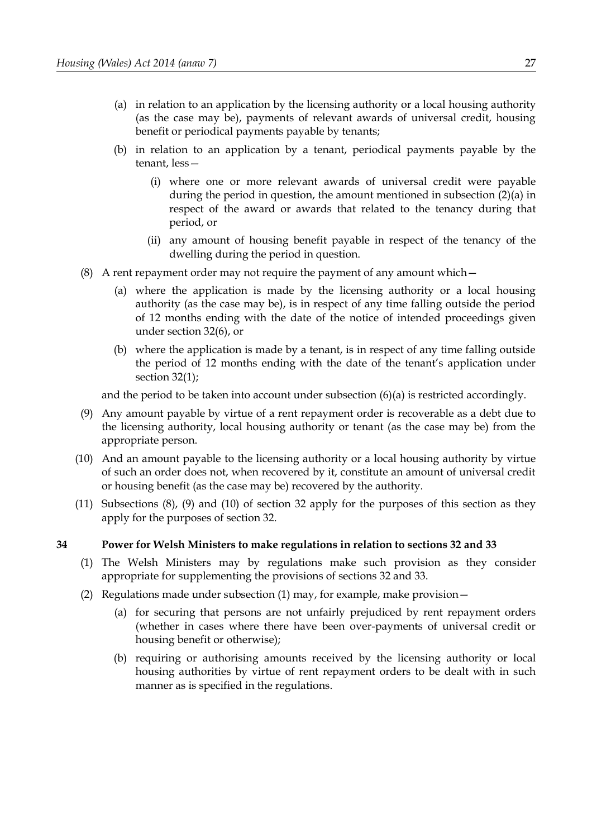- (a) in relation to an application by the licensing authority or a local housing authority (as the case may be), payments of relevant awards of universal credit, housing benefit or periodical payments payable by tenants;
- (b) in relation to an application by a tenant, periodical payments payable by the tenant, less—
	- (i) where one or more relevant awards of universal credit were payable during the period in question, the amount mentioned in subsection [\(2\)](#page-30-1)[\(a\)](#page-31-4) in respect of the award or awards that related to the tenancy during that period, or
	- (ii) any amount of housing benefit payable in respect of the tenancy of the dwelling during the period in question.
- <span id="page-32-0"></span>(8) A rent repayment order may not require the payment of any amount which—
	- (a) where the application is made by the licensing authority or a local housing authority (as the case may be), is in respect of any time falling outside the period of 12 months ending with the date of the notice of intended proceedings given under section 32(6), or
	- (b) where the application is made by a tenant, is in respect of any time falling outside the period of 12 months ending with the date of the tenant's application under section 32(1);

and the period to be taken into account under subsection [\(6\)](#page-31-2)[\(a\)](#page-31-3) is restricted accordingly.

- (9) Any amount payable by virtue of a rent repayment order is recoverable as a debt due to the licensing authority, local housing authority or tenant (as the case may be) from the appropriate person.
- (10) And an amount payable to the licensing authority or a local housing authority by virtue of such an order does not, when recovered by it, constitute an amount of universal credit or housing benefit (as the case may be) recovered by the authority.
- (11) Subsections (8), (9) and (10) of section 32 apply for the purposes of this section as they apply for the purposes of section 32.

## **34 Power for Welsh Ministers to make regulations in relation to sections 32 and [33](#page-30-0)**

- <span id="page-32-1"></span>(1) The Welsh Ministers may by regulations make such provision as they consider appropriate for supplementing the provisions of sections 32 and [33.](#page-30-0)
- (2) Regulations made under subsection [\(1\)](#page-32-1) may, for example, make provision—
	- (a) for securing that persons are not unfairly prejudiced by rent repayment orders (whether in cases where there have been over-payments of universal credit or housing benefit or otherwise);
	- (b) requiring or authorising amounts received by the licensing authority or local housing authorities by virtue of rent repayment orders to be dealt with in such manner as is specified in the regulations.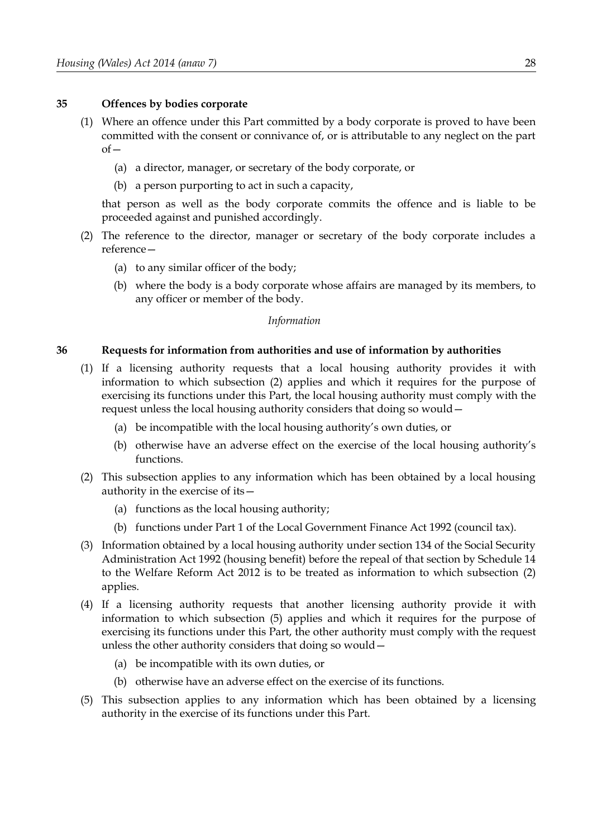## **35 Offences by bodies corporate**

- (1) Where an offence under this Part committed by a body corporate is proved to have been committed with the consent or connivance of, or is attributable to any neglect on the part  $of$ 
	- (a) a director, manager, or secretary of the body corporate, or
	- (b) a person purporting to act in such a capacity,

that person as well as the body corporate commits the offence and is liable to be proceeded against and punished accordingly.

- (2) The reference to the director, manager or secretary of the body corporate includes a reference—
	- (a) to any similar officer of the body;
	- (b) where the body is a body corporate whose affairs are managed by its members, to any officer or member of the body.

## *Information*

## <span id="page-33-0"></span>**36 Requests for information from authorities and use of information by authorities**

- <span id="page-33-4"></span>(1) If a licensing authority requests that a local housing authority provides it with information to which subsection [\(2\)](#page-33-2) applies and which it requires for the purpose of exercising its functions under this Part, the local housing authority must comply with the request unless the local housing authority considers that doing so would—
	- (a) be incompatible with the local housing authority's own duties, or
	- (b) otherwise have an adverse effect on the exercise of the local housing authority's functions.
- <span id="page-33-2"></span>(2) This subsection applies to any information which has been obtained by a local housing authority in the exercise of its—
	- (a) functions as the local housing authority;
	- (b) functions under Part 1 of the Local Government Finance Act 1992 (council tax).
- (3) Information obtained by a local housing authority under section 134 of the Social Security Administration Act 1992 (housing benefit) before the repeal of that section by Schedule 14 to the Welfare Reform Act 2012 is to be treated as information to which subsection [\(2\)](#page-33-2) applies.
- <span id="page-33-3"></span>(4) If a licensing authority requests that another licensing authority provide it with information to which subsection [\(5\)](#page-33-1) applies and which it requires for the purpose of exercising its functions under this Part, the other authority must comply with the request unless the other authority considers that doing so would—
	- (a) be incompatible with its own duties, or
	- (b) otherwise have an adverse effect on the exercise of its functions.
- <span id="page-33-1"></span>(5) This subsection applies to any information which has been obtained by a licensing authority in the exercise of its functions under this Part.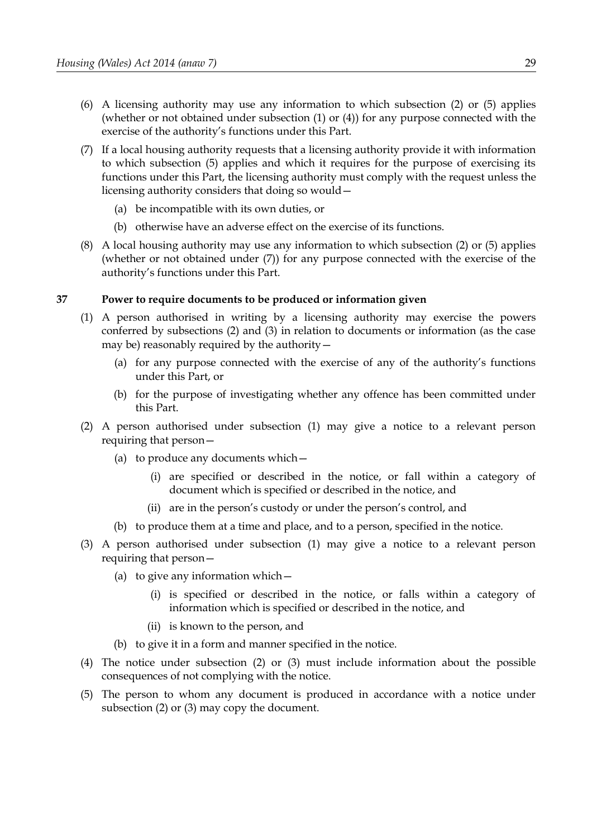- (6) A licensing authority may use any information to which subsection [\(2\)](#page-33-2) or [\(5\)](#page-33-1) applies (whether or not obtained under subsection [\(1\)](#page-33-4) or [\(4\)\)](#page-33-3) for any purpose connected with the exercise of the authority's functions under this Part.
- <span id="page-34-3"></span>(7) If a local housing authority requests that a licensing authority provide it with information to which subsection [\(5\)](#page-33-1) applies and which it requires for the purpose of exercising its functions under this Part, the licensing authority must comply with the request unless the licensing authority considers that doing so would—
	- (a) be incompatible with its own duties, or
	- (b) otherwise have an adverse effect on the exercise of its functions.
- (8) A local housing authority may use any information to which subsection [\(2\)](#page-33-2) or [\(5\)](#page-33-1) applies (whether or not obtained under [\(7\)\)](#page-34-3) for any purpose connected with the exercise of the authority's functions under this Part.

## <span id="page-34-4"></span>**37 Power to require documents to be produced or information given**

- <span id="page-34-2"></span>(1) A person authorised in writing by a licensing authority may exercise the powers conferred by subsections [\(2\)](#page-34-1) and [\(3\)](#page-34-0) in relation to documents or information (as the case may be) reasonably required by the authority—
	- (a) for any purpose connected with the exercise of any of the authority's functions under this Part, or
	- (b) for the purpose of investigating whether any offence has been committed under this Part.
- <span id="page-34-1"></span>(2) A person authorised under subsection [\(1\)](#page-34-2) may give a notice to a relevant person requiring that person—
	- (a) to produce any documents which—
		- (i) are specified or described in the notice, or fall within a category of document which is specified or described in the notice, and
		- (ii) are in the person's custody or under the person's control, and
	- (b) to produce them at a time and place, and to a person, specified in the notice.
- <span id="page-34-0"></span>(3) A person authorised under subsection [\(1\)](#page-34-2) may give a notice to a relevant person requiring that person—
	- (a) to give any information which—
		- (i) is specified or described in the notice, or falls within a category of information which is specified or described in the notice, and
		- (ii) is known to the person, and
	- (b) to give it in a form and manner specified in the notice.
- (4) The notice under subsection [\(2\)](#page-34-1) or [\(3\)](#page-34-0) must include information about the possible consequences of not complying with the notice.
- (5) The person to whom any document is produced in accordance with a notice under subsection [\(2\)](#page-34-1) or [\(3\)](#page-34-0) may copy the document.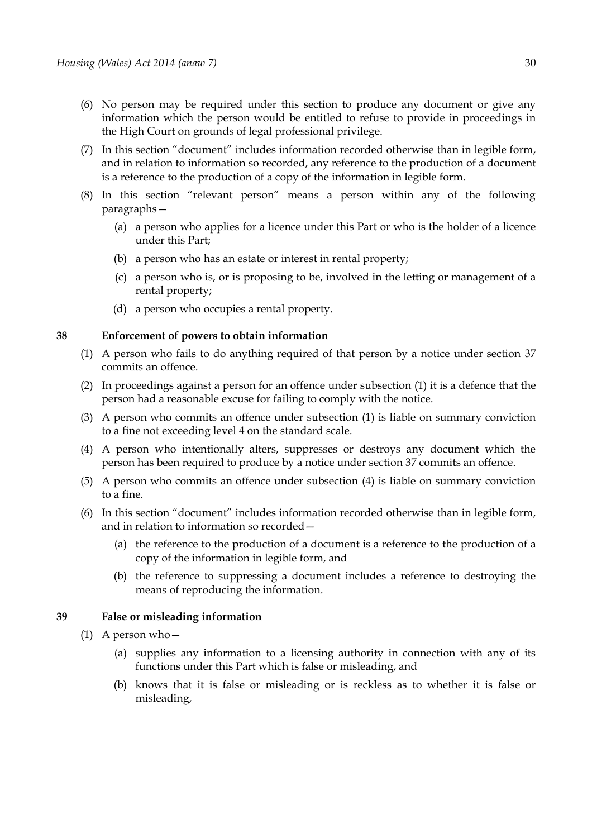- (6) No person may be required under this section to produce any document or give any information which the person would be entitled to refuse to provide in proceedings in the High Court on grounds of legal professional privilege.
- (7) In this section "document" includes information recorded otherwise than in legible form, and in relation to information so recorded, any reference to the production of a document is a reference to the production of a copy of the information in legible form.
- (8) In this section "relevant person" means a person within any of the following paragraphs—
	- (a) a person who applies for a licence under this Part or who is the holder of a licence under this Part;
	- (b) a person who has an estate or interest in rental property;
	- (c) a person who is, or is proposing to be, involved in the letting or management of a rental property;
	- (d) a person who occupies a rental property.

## <span id="page-35-2"></span>**38 Enforcement of powers to obtain information**

- <span id="page-35-4"></span>(1) A person who fails to do anything required of that person by a notice under section [37](#page-34-4) commits an offence.
- (2) In proceedings against a person for an offence under subsection [\(1\)](#page-35-4) it is a defence that the person had a reasonable excuse for failing to comply with the notice.
- (3) A person who commits an offence under subsection [\(1\)](#page-35-4) is liable on summary conviction to a fine not exceeding level 4 on the standard scale.
- <span id="page-35-1"></span>(4) A person who intentionally alters, suppresses or destroys any document which the person has been required to produce by a notice under section [37](#page-34-4) commits an offence.
- (5) A person who commits an offence under subsection [\(4\)](#page-35-1) is liable on summary conviction to a fine.
- (6) In this section "document" includes information recorded otherwise than in legible form, and in relation to information so recorded—
	- (a) the reference to the production of a document is a reference to the production of a copy of the information in legible form, and
	- (b) the reference to suppressing a document includes a reference to destroying the means of reproducing the information.

## <span id="page-35-0"></span>**39 False or misleading information**

- <span id="page-35-3"></span>(1) A person who—
	- (a) supplies any information to a licensing authority in connection with any of its functions under this Part which is false or misleading, and
	- (b) knows that it is false or misleading or is reckless as to whether it is false or misleading,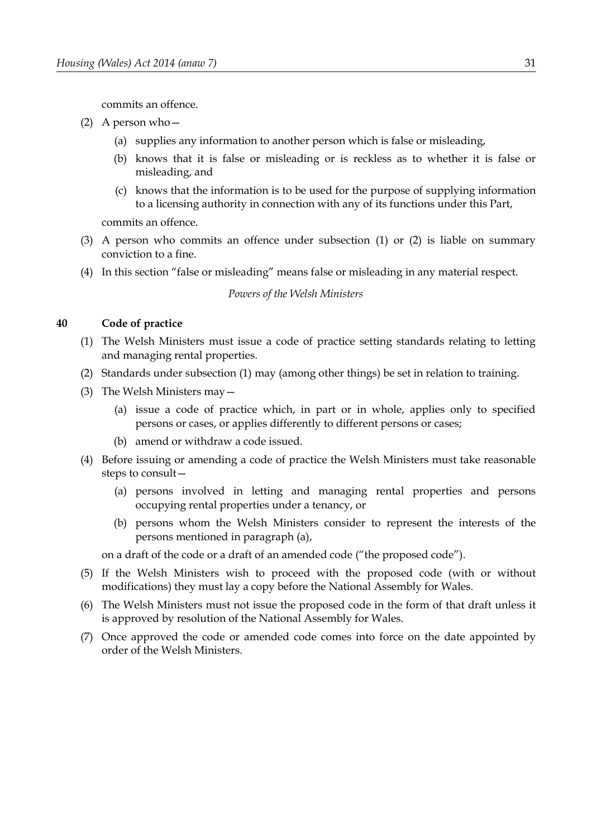commits an offence.

- <span id="page-36-2"></span>(2) A person who—
	- (a) supplies any information to another person which is false or misleading,
	- (b) knows that it is false or misleading or is reckless as to whether it is false or misleading, and
	- (c) knows that the information is to be used for the purpose of supplying information to a licensing authority in connection with any of its functions under this Part,

commits an offence.

- (3) A person who commits an offence under subsection [\(1\)](#page-35-0) or [\(2\)](#page-36-2) is liable on summary conviction to a fine.
- (4) In this section "false or misleading" means false or misleading in any material respect.

*Powers of the Welsh Ministers*

## **40 Code of practice**

- <span id="page-36-1"></span>(1) The Welsh Ministers must issue a code of practice setting standards relating to letting and managing rental properties.
- (2) Standards under subsection [\(1\)](#page-36-1) may (among other things) be set in relation to training.
- (3) The Welsh Ministers may—
	- (a) issue a code of practice which, in part or in whole, applies only to specified persons or cases, or applies differently to different persons or cases;
	- (b) amend or withdraw a code issued.
- <span id="page-36-0"></span>(4) Before issuing or amending a code of practice the Welsh Ministers must take reasonable steps to consult—
	- (a) persons involved in letting and managing rental properties and persons occupying rental properties under a tenancy, or
	- (b) persons whom the Welsh Ministers consider to represent the interests of the persons mentioned in paragraph [\(a\),](#page-36-0)

on a draft of the code or a draft of an amended code ("the proposed code").

- (5) If the Welsh Ministers wish to proceed with the proposed code (with or without modifications) they must lay a copy before the National Assembly for Wales.
- (6) The Welsh Ministers must not issue the proposed code in the form of that draft unless it is approved by resolution of the National Assembly for Wales.
- (7) Once approved the code or amended code comes into force on the date appointed by order of the Welsh Ministers.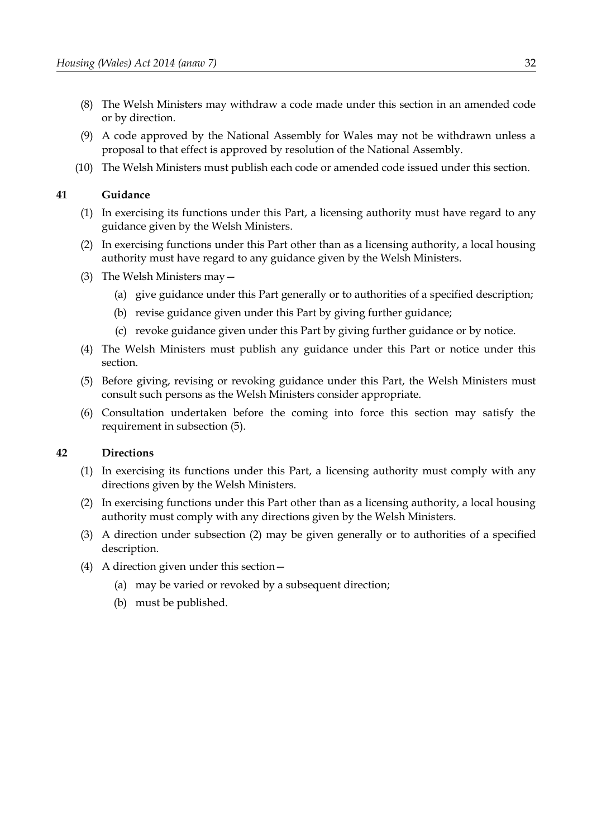- (8) The Welsh Ministers may withdraw a code made under this section in an amended code or by direction.
- (9) A code approved by the National Assembly for Wales may not be withdrawn unless a proposal to that effect is approved by resolution of the National Assembly.
- (10) The Welsh Ministers must publish each code or amended code issued under this section.

### **41 Guidance**

- (1) In exercising its functions under this Part, a licensing authority must have regard to any guidance given by the Welsh Ministers.
- (2) In exercising functions under this Part other than as a licensing authority, a local housing authority must have regard to any guidance given by the Welsh Ministers.
- (3) The Welsh Ministers may—
	- (a) give guidance under this Part generally or to authorities of a specified description;
	- (b) revise guidance given under this Part by giving further guidance;
	- (c) revoke guidance given under this Part by giving further guidance or by notice.
- (4) The Welsh Ministers must publish any guidance under this Part or notice under this section.
- <span id="page-37-0"></span>(5) Before giving, revising or revoking guidance under this Part, the Welsh Ministers must consult such persons as the Welsh Ministers consider appropriate.
- (6) Consultation undertaken before the coming into force this section may satisfy the requirement in subsection [\(5\).](#page-37-0)

### **42 Directions**

- (1) In exercising its functions under this Part, a licensing authority must comply with any directions given by the Welsh Ministers.
- (2) In exercising functions under this Part other than as a licensing authority, a local housing authority must comply with any directions given by the Welsh Ministers.
- (3) A direction under subsection (2) may be given generally or to authorities of a specified description.
- (4) A direction given under this section—
	- (a) may be varied or revoked by a subsequent direction;
	- (b) must be published.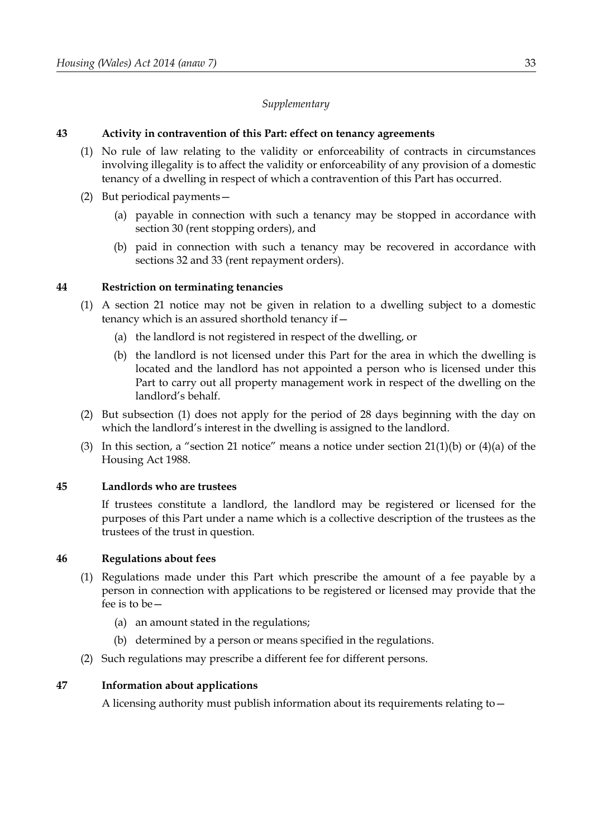# *Supplementary*

# **43 Activity in contravention of this Part: effect on tenancy agreements**

- (1) No rule of law relating to the validity or enforceability of contracts in circumstances involving illegality is to affect the validity or enforceability of any provision of a domestic tenancy of a dwelling in respect of which a contravention of this Part has occurred.
- (2) But periodical payments—
	- (a) payable in connection with such a tenancy may be stopped in accordance with section 30 (rent stopping orders), and
	- (b) paid in connection with such a tenancy may be recovered in accordance with sections 32 and [33](#page-30-0) (rent repayment orders).

# **44 Restriction on terminating tenancies**

- <span id="page-38-0"></span>(1) A section 21 notice may not be given in relation to a dwelling subject to a domestic tenancy which is an assured shorthold tenancy if—
	- (a) the landlord is not registered in respect of the dwelling, or
	- (b) the landlord is not licensed under this Part for the area in which the dwelling is located and the landlord has not appointed a person who is licensed under this Part to carry out all property management work in respect of the dwelling on the landlord's behalf.
- (2) But subsection [\(1\)](#page-38-0) does not apply for the period of 28 days beginning with the day on which the landlord's interest in the dwelling is assigned to the landlord.
- (3) In this section, a "section 21 notice" means a notice under section  $21(1)(b)$  or  $(4)(a)$  of the Housing Act 1988.

# **45 Landlords who are trustees**

If trustees constitute a landlord, the landlord may be registered or licensed for the purposes of this Part under a name which is a collective description of the trustees as the trustees of the trust in question.

# **46 Regulations about fees**

- (1) Regulations made under this Part which prescribe the amount of a fee payable by a person in connection with applications to be registered or licensed may provide that the fee is to be—
	- (a) an amount stated in the regulations;
	- (b) determined by a person or means specified in the regulations.
- (2) Such regulations may prescribe a different fee for different persons.

# **47 Information about applications**

A licensing authority must publish information about its requirements relating to—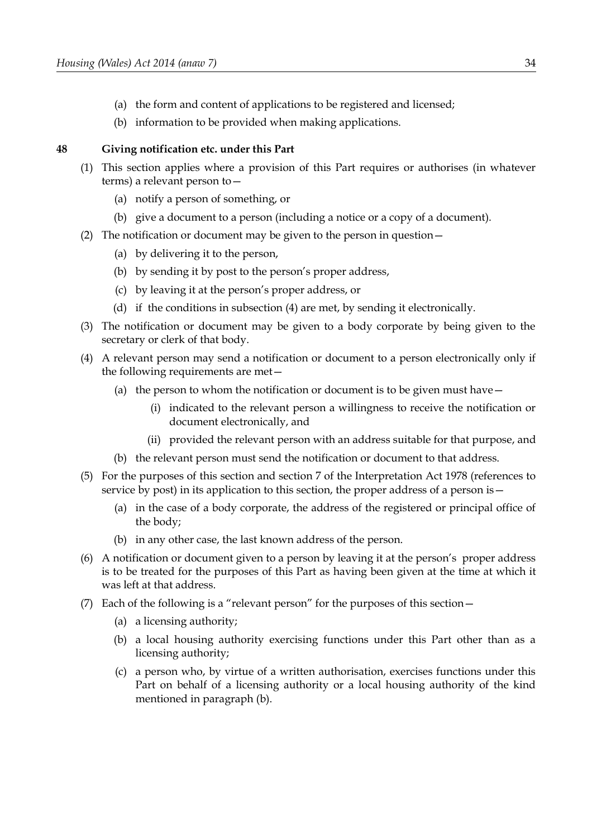- (a) the form and content of applications to be registered and licensed;
- (b) information to be provided when making applications.

### **48 Giving notification etc. under this Part**

- (1) This section applies where a provision of this Part requires or authorises (in whatever terms) a relevant person to—
	- (a) notify a person of something, or
	- (b) give a document to a person (including a notice or a copy of a document).
- (2) The notification or document may be given to the person in question—
	- (a) by delivering it to the person,
	- (b) by sending it by post to the person's proper address,
	- (c) by leaving it at the person's proper address, or
	- (d) if the conditions in subsection (4) are met, by sending it electronically.
- (3) The notification or document may be given to a body corporate by being given to the secretary or clerk of that body.
- (4) A relevant person may send a notification or document to a person electronically only if the following requirements are met—
	- (a) the person to whom the notification or document is to be given must have  $-$ 
		- (i) indicated to the relevant person a willingness to receive the notification or document electronically, and
		- (ii) provided the relevant person with an address suitable for that purpose, and
	- (b) the relevant person must send the notification or document to that address.
- (5) For the purposes of this section and section 7 of the Interpretation Act 1978 (references to service by post) in its application to this section, the proper address of a person is—
	- (a) in the case of a body corporate, the address of the registered or principal office of the body;
	- (b) in any other case, the last known address of the person.
- (6) A notification or document given to a person by leaving it at the person's proper address is to be treated for the purposes of this Part as having been given at the time at which it was left at that address.
- (7) Each of the following is a "relevant person" for the purposes of this section—
	- (a) a licensing authority;
	- (b) a local housing authority exercising functions under this Part other than as a licensing authority;
	- (c) a person who, by virtue of a written authorisation, exercises functions under this Part on behalf of a licensing authority or a local housing authority of the kind mentioned in paragraph (b).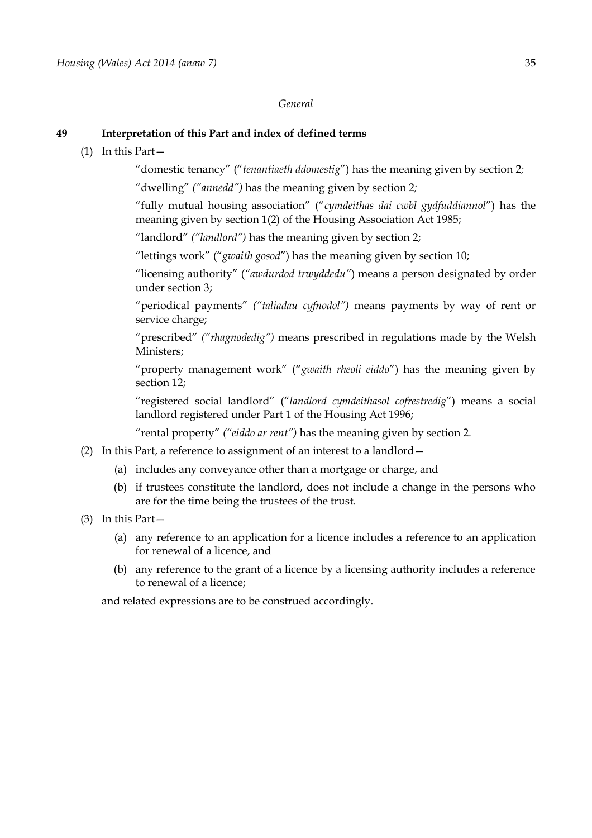### *General*

## **49 Interpretation of this Part and index of defined terms**

### (1) In this Part—

"domestic tenancy" ("*tenantiaeth ddomestig*") has the meaning given by section [2](#page-8-0)*;*

"dwelling" *("annedd")* has the meaning given by section [2](#page-8-0)*;*

"fully mutual housing association" ("*cymdeithas dai cwbl gydfuddiannol*") has the meaning given by section 1(2) of the Housing Association Act 1985;

"landlord" *("landlord")* has the meaning given by section [2;](#page-8-0)

"lettings work" ("*gwaith gosod*") has the meaning given by section [10;](#page-12-0)

"licensing authority" (*"awdurdod trwyddedu"*) means a person designated by order under section [3;](#page-8-1)

"periodical payments" *("taliadau cyfnodol")* means payments by way of rent or service charge;

"prescribed" *("rhagnodedig")* means prescribed in regulations made by the Welsh Ministers;

"property management work" ("*gwaith rheoli eiddo*") has the meaning given by section [12;](#page-14-0)

"registered social landlord" ("*landlord cymdeithasol cofrestredig*") means a social landlord registered under Part 1 of the Housing Act 1996;

"rental property" *("eiddo ar rent")* has the meaning given by section [2.](#page-8-0)

- (2) In this Part, a reference to assignment of an interest to a landlord—
	- (a) includes any conveyance other than a mortgage or charge, and
	- (b) if trustees constitute the landlord, does not include a change in the persons who are for the time being the trustees of the trust.
- (3) In this Part—
	- (a) any reference to an application for a licence includes a reference to an application for renewal of a licence, and
	- (b) any reference to the grant of a licence by a licensing authority includes a reference to renewal of a licence;

and related expressions are to be construed accordingly.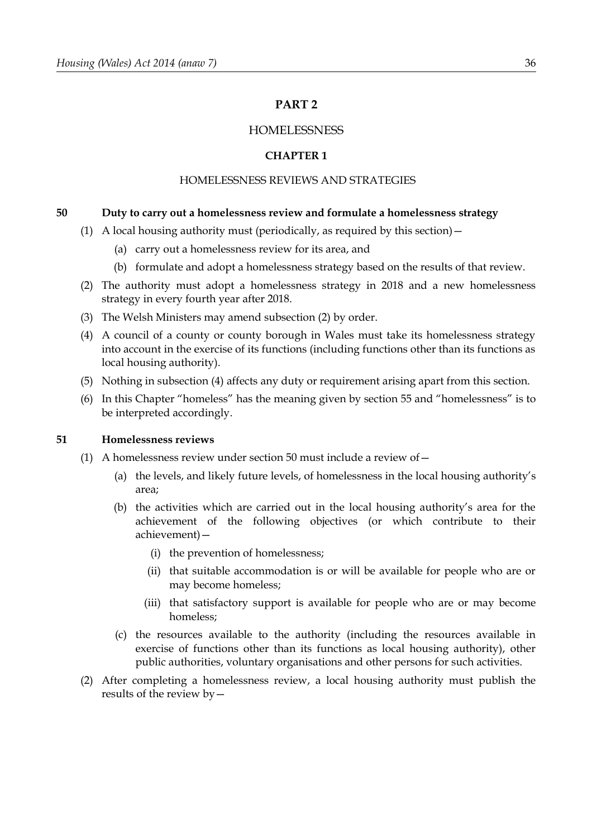# **PART 2**

## **HOMELESSNESS**

### **CHAPTER 1**

# HOMELESSNESS REVIEWS AND STRATEGIES

### <span id="page-41-0"></span>**50 Duty to carry out a homelessness review and formulate a homelessness strategy**

- (1) A local housing authority must (periodically, as required by this section)  $-$ 
	- (a) carry out a homelessness review for its area, and
	- (b) formulate and adopt a homelessness strategy based on the results of that review.
- <span id="page-41-2"></span>(2) The authority must adopt a homelessness strategy in 2018 and a new homelessness strategy in every fourth year after 2018.
- (3) The Welsh Ministers may amend subsection [\(2\)](#page-41-2) by order.
- <span id="page-41-1"></span>(4) A council of a county or county borough in Wales must take its homelessness strategy into account in the exercise of its functions (including functions other than its functions as local housing authority).
- (5) Nothing in subsection [\(4\)](#page-41-1) affects any duty or requirement arising apart from this section.
- (6) In this Chapter "homeless" has the meaning given by section [55](#page-44-0) and "homelessness" is to be interpreted accordingly.

### **51 Homelessness reviews**

- (1) A homelessness review under section [50](#page-41-0) must include a review of  $-$ 
	- (a) the levels, and likely future levels, of homelessness in the local housing authority's area;
	- (b) the activities which are carried out in the local housing authority's area for the achievement of the following objectives (or which contribute to their achievement)—
		- (i) the prevention of homelessness;
		- (ii) that suitable accommodation is or will be available for people who are or may become homeless;
		- (iii) that satisfactory support is available for people who are or may become homeless;
	- (c) the resources available to the authority (including the resources available in exercise of functions other than its functions as local housing authority), other public authorities, voluntary organisations and other persons for such activities.
- (2) After completing a homelessness review, a local housing authority must publish the results of the review by—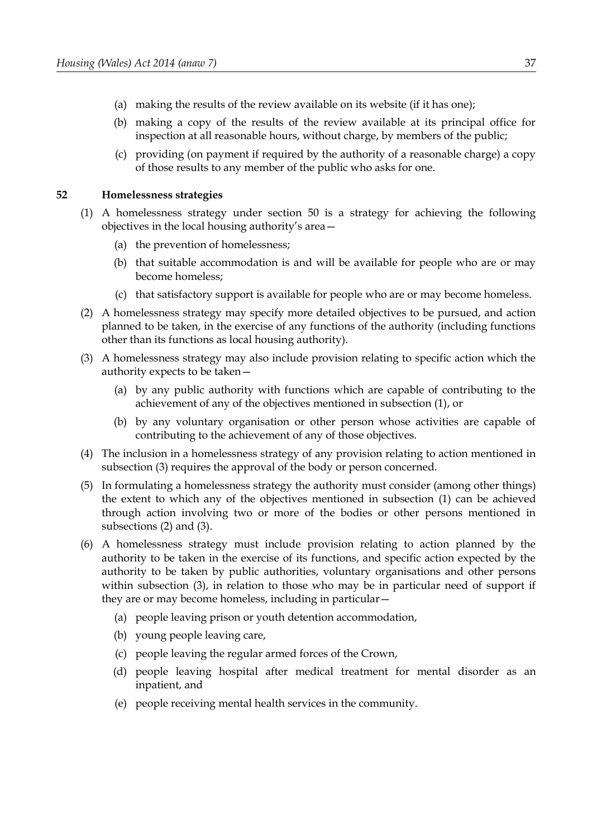- (a) making the results of the review available on its website (if it has one);
- (b) making a copy of the results of the review available at its principal office for inspection at all reasonable hours, without charge, by members of the public;
- (c) providing (on payment if required by the authority of a reasonable charge) a copy of those results to any member of the public who asks for one.

#### **52 Homelessness strategies**

- <span id="page-42-2"></span>(1) A homelessness strategy under section [50](#page-41-0) is a strategy for achieving the following objectives in the local housing authority's area—
	- (a) the prevention of homelessness;
	- (b) that suitable accommodation is and will be available for people who are or may become homeless;
	- (c) that satisfactory support is available for people who are or may become homeless.
- <span id="page-42-1"></span>(2) A homelessness strategy may specify more detailed objectives to be pursued, and action planned to be taken, in the exercise of any functions of the authority (including functions other than its functions as local housing authority).
- <span id="page-42-0"></span>(3) A homelessness strategy may also include provision relating to specific action which the authority expects to be taken—
	- (a) by any public authority with functions which are capable of contributing to the achievement of any of the objectives mentioned in subsection [\(1\),](#page-42-2) or
	- (b) by any voluntary organisation or other person whose activities are capable of contributing to the achievement of any of those objectives.
- (4) The inclusion in a homelessness strategy of any provision relating to action mentioned in subsection [\(3\)](#page-42-0) requires the approval of the body or person concerned.
- (5) In formulating a homelessness strategy the authority must consider (among other things) the extent to which any of the objectives mentioned in subsection [\(1\)](#page-42-2) can be achieved through action involving two or more of the bodies or other persons mentioned in subsections [\(2\)](#page-42-1) and [\(3\).](#page-42-0)
- (6) A homelessness strategy must include provision relating to action planned by the authority to be taken in the exercise of its functions, and specific action expected by the authority to be taken by public authorities, voluntary organisations and other persons within subsection (3), in relation to those who may be in particular need of support if they are or may become homeless, including in particular—
	- (a) people leaving prison or youth detention accommodation,
	- (b) young people leaving care,
	- (c) people leaving the regular armed forces of the Crown,
	- (d) people leaving hospital after medical treatment for mental disorder as an inpatient, and
	- (e) people receiving mental health services in the community.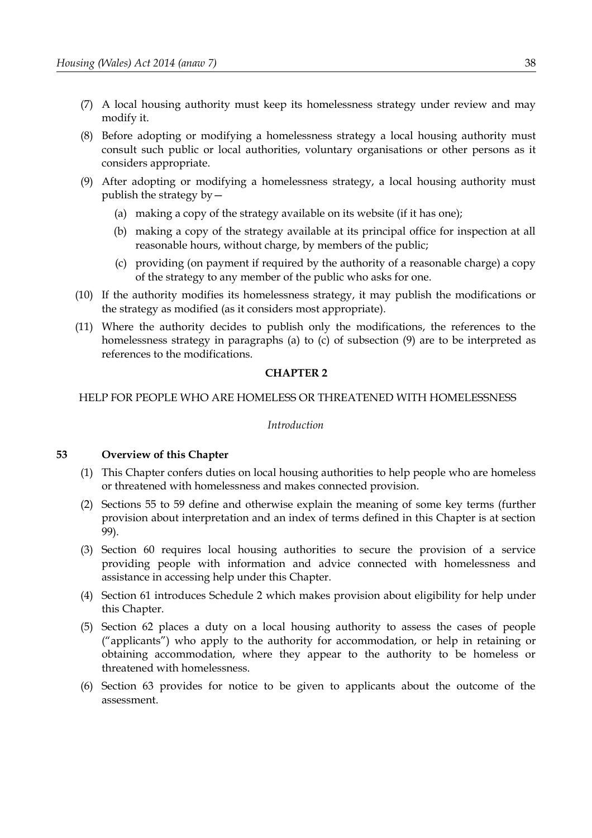- (7) A local housing authority must keep its homelessness strategy under review and may modify it.
- (8) Before adopting or modifying a homelessness strategy a local housing authority must consult such public or local authorities, voluntary organisations or other persons as it considers appropriate.
- <span id="page-43-2"></span><span id="page-43-0"></span>(9) After adopting or modifying a homelessness strategy, a local housing authority must publish the strategy by—
	- (a) making a copy of the strategy available on its website (if it has one);
	- (b) making a copy of the strategy available at its principal office for inspection at all reasonable hours, without charge, by members of the public;
	- (c) providing (on payment if required by the authority of a reasonable charge) a copy of the strategy to any member of the public who asks for one.
- <span id="page-43-1"></span>(10) If the authority modifies its homelessness strategy, it may publish the modifications or the strategy as modified (as it considers most appropriate).
- (11) Where the authority decides to publish only the modifications, the references to the homelessness strategy in paragraphs [\(a\)](#page-43-2) to [\(c\)](#page-43-1) of subsection [\(9\)](#page-43-0) are to be interpreted as references to the modifications.

### **CHAPTER 2**

### HELP FOR PEOPLE WHO ARE HOMELESS OR THREATENED WITH HOMELESSNESS

### *Introduction*

### **53 Overview of this Chapter**

- (1) This Chapter confers duties on local housing authorities to help people who are homeless or threatened with homelessness and makes connected provision.
- (2) Sections [55](#page-44-0) to [59](#page-47-1) define and otherwise explain the meaning of some key terms (further provision about interpretation and an index of terms defined in this Chapter is at section [99\)](#page-74-0).
- (3) Section [60](#page-47-0) requires local housing authorities to secure the provision of a service providing people with information and advice connected with homelessness and assistance in accessing help under this Chapter.
- (4) Section [61](#page-48-0) introduces Schedule [2](#page-100-0) which makes provision about eligibility for help under this Chapter.
- (5) Section [62](#page-49-0) places a duty on a local housing authority to assess the cases of people ("applicants") who apply to the authority for accommodation, or help in retaining or obtaining accommodation, where they appear to the authority to be homeless or threatened with homelessness.
- (6) Section [63](#page-50-0) provides for notice to be given to applicants about the outcome of the assessment.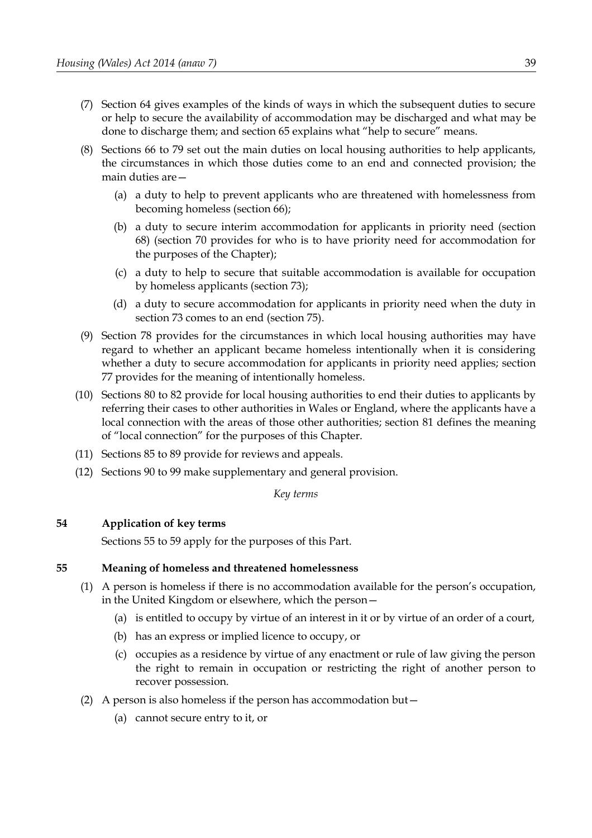- (7) Section [64](#page-51-1) gives examples of the kinds of ways in which the subsequent duties to secure or help to secure the availability of accommodation may be discharged and what may be done to discharge them; and section [65](#page-51-0) explains what "help to secure" means.
- (8) Sections [66](#page-52-1) to [79](#page-61-1) set out the main duties on local housing authorities to help applicants, the circumstances in which those duties come to an end and connected provision; the main duties are—
	- (a) a duty to help to prevent applicants who are threatened with homelessness from becoming homeless (section [66\)](#page-52-1);
	- (b) a duty to secure interim accommodation for applicants in priority need (section [68\)](#page-52-0) (section [70](#page-54-0) provides for who is to have priority need for accommodation for the purposes of the Chapter);
	- (c) a duty to help to secure that suitable accommodation is available for occupation by homeless applicants (section [73\)](#page-57-0);
	- (d) a duty to secure accommodation for applicants in priority need when the duty in section [73](#page-57-0) comes to an end (section [75\)](#page-58-0).
- (9) Section [78](#page-61-0) provides for the circumstances in which local housing authorities may have regard to whether an applicant became homeless intentionally when it is considering whether a duty to secure accommodation for applicants in priority need applies; section [77](#page-60-0) provides for the meaning of intentionally homeless.
- (10) Sections [80](#page-62-0) to [82](#page-64-0) provide for local housing authorities to end their duties to applicants by referring their cases to other authorities in Wales or England, where the applicants have a local connection with the areas of those other authorities; section [81](#page-63-0) defines the meaning of "local connection" for the purposes of this Chapter.
- (11) Sections [85](#page-65-0) to [89](#page-68-1) provide for reviews and appeals.
- (12) Sections [90](#page-68-0) to [99](#page-74-0) make supplementary and general provision.

*Key terms*

# **54 Application of key terms**

Sections [55](#page-44-0) to [59](#page-47-1) apply for the purposes of this Part.

### <span id="page-44-0"></span>**55 Meaning of homeless and threatened homelessness**

- (1) A person is homeless if there is no accommodation available for the person's occupation, in the United Kingdom or elsewhere, which the person—
	- (a) is entitled to occupy by virtue of an interest in it or by virtue of an order of a court,
	- (b) has an express or implied licence to occupy, or
	- (c) occupies as a residence by virtue of any enactment or rule of law giving the person the right to remain in occupation or restricting the right of another person to recover possession.
- (2) A person is also homeless if the person has accommodation but—
	- (a) cannot secure entry to it, or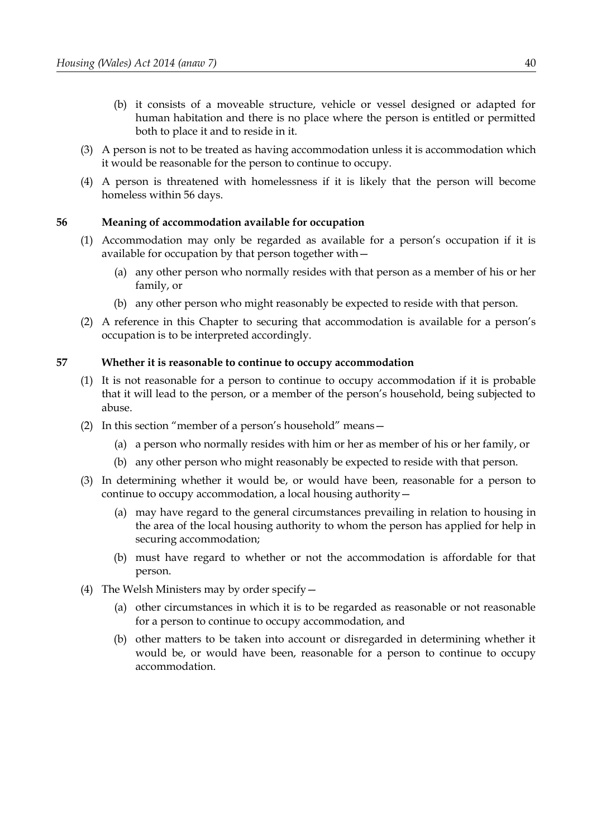- (b) it consists of a moveable structure, vehicle or vessel designed or adapted for human habitation and there is no place where the person is entitled or permitted both to place it and to reside in it.
- (3) A person is not to be treated as having accommodation unless it is accommodation which it would be reasonable for the person to continue to occupy.
- (4) A person is threatened with homelessness if it is likely that the person will become homeless within 56 days.

## <span id="page-45-0"></span>**56 Meaning of accommodation available for occupation**

- (1) Accommodation may only be regarded as available for a person's occupation if it is available for occupation by that person together with—
	- (a) any other person who normally resides with that person as a member of his or her family, or
	- (b) any other person who might reasonably be expected to reside with that person.
- (2) A reference in this Chapter to securing that accommodation is available for a person's occupation is to be interpreted accordingly.

### **57 Whether it is reasonable to continue to occupy accommodation**

- (1) It is not reasonable for a person to continue to occupy accommodation if it is probable that it will lead to the person, or a member of the person's household, being subjected to abuse.
- (2) In this section "member of a person's household" means—
	- (a) a person who normally resides with him or her as member of his or her family, or
	- (b) any other person who might reasonably be expected to reside with that person.
- (3) In determining whether it would be, or would have been, reasonable for a person to continue to occupy accommodation, a local housing authority—
	- (a) may have regard to the general circumstances prevailing in relation to housing in the area of the local housing authority to whom the person has applied for help in securing accommodation;
	- (b) must have regard to whether or not the accommodation is affordable for that person.
- (4) The Welsh Ministers may by order specify—
	- (a) other circumstances in which it is to be regarded as reasonable or not reasonable for a person to continue to occupy accommodation, and
	- (b) other matters to be taken into account or disregarded in determining whether it would be, or would have been, reasonable for a person to continue to occupy accommodation.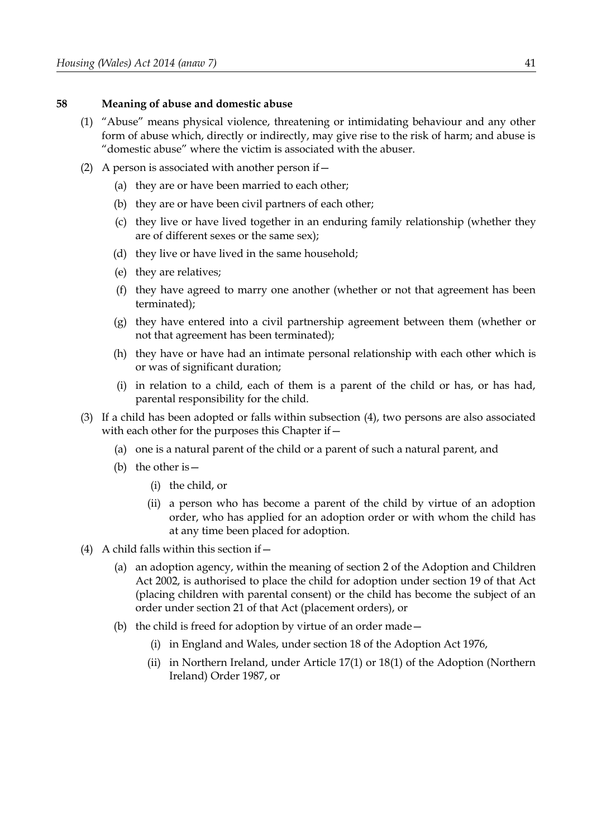#### **58 Meaning of abuse and domestic abuse**

- (1) "Abuse" means physical violence, threatening or intimidating behaviour and any other form of abuse which, directly or indirectly, may give rise to the risk of harm; and abuse is "domestic abuse" where the victim is associated with the abuser.
- (2) A person is associated with another person if  $-$ 
	- (a) they are or have been married to each other;
	- (b) they are or have been civil partners of each other;
	- (c) they live or have lived together in an enduring family relationship (whether they are of different sexes or the same sex);
	- (d) they live or have lived in the same household;
	- (e) they are relatives;
	- (f) they have agreed to marry one another (whether or not that agreement has been terminated);
	- (g) they have entered into a civil partnership agreement between them (whether or not that agreement has been terminated);
	- (h) they have or have had an intimate personal relationship with each other which is or was of significant duration;
	- (i) in relation to a child, each of them is a parent of the child or has, or has had, parental responsibility for the child.
- (3) If a child has been adopted or falls within subsection [\(4\),](#page-46-0) two persons are also associated with each other for the purposes this Chapter if  $-$ 
	- (a) one is a natural parent of the child or a parent of such a natural parent, and
	- (b) the other is  $-$ 
		- (i) the child, or
		- (ii) a person who has become a parent of the child by virtue of an adoption order, who has applied for an adoption order or with whom the child has at any time been placed for adoption.
- <span id="page-46-0"></span>(4) A child falls within this section if  $-$ 
	- (a) an adoption agency, within the meaning of section 2 of the Adoption and Children Act 2002, is authorised to place the child for adoption under section 19 of that Act (placing children with parental consent) or the child has become the subject of an order under section 21 of that Act (placement orders), or
	- (b) the child is freed for adoption by virtue of an order made—
		- (i) in England and Wales, under section 18 of the Adoption Act 1976,
		- (ii) in Northern Ireland, under Article 17(1) or 18(1) of the Adoption (Northern Ireland) Order 1987, or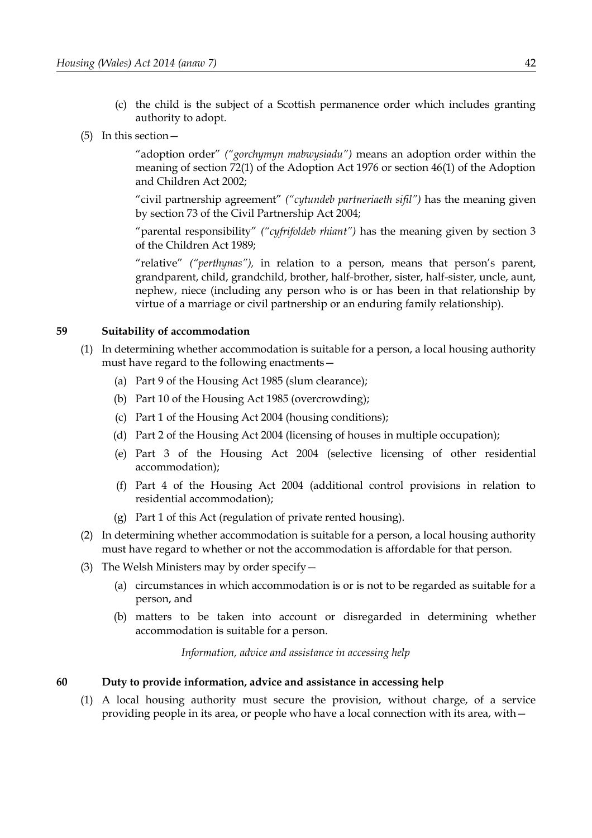- (c) the child is the subject of a Scottish permanence order which includes granting authority to adopt.
- (5) In this section—

"adoption order" *("gorchymyn mabwysiadu")* means an adoption order within the meaning of section 72(1) of the Adoption Act 1976 or section 46(1) of the Adoption and Children Act 2002;

"civil partnership agreement" *("cytundeb partneriaeth sifil")* has the meaning given by section 73 of the Civil Partnership Act 2004;

"parental responsibility" *("cyfrifoldeb rhiant")* has the meaning given by section 3 of the Children Act 1989;

"relative" *("perthynas"),* in relation to a person, means that person's parent, grandparent, child, grandchild, brother, half-brother, sister, half-sister, uncle, aunt, nephew, niece (including any person who is or has been in that relationship by virtue of a marriage or civil partnership or an enduring family relationship).

### <span id="page-47-1"></span>**59 Suitability of accommodation**

- (1) In determining whether accommodation is suitable for a person, a local housing authority must have regard to the following enactments—
	- (a) Part 9 of the Housing Act 1985 (slum clearance);
	- (b) Part 10 of the Housing Act 1985 (overcrowding);
	- (c) Part 1 of the Housing Act 2004 (housing conditions);
	- (d) Part 2 of the Housing Act 2004 (licensing of houses in multiple occupation);
	- (e) Part 3 of the Housing Act 2004 (selective licensing of other residential accommodation);
	- (f) Part 4 of the Housing Act 2004 (additional control provisions in relation to residential accommodation);
	- (g) Part [1](#page-6-0) of this Act (regulation of private rented housing).
- (2) In determining whether accommodation is suitable for a person, a local housing authority must have regard to whether or not the accommodation is affordable for that person.
- (3) The Welsh Ministers may by order specify—
	- (a) circumstances in which accommodation is or is not to be regarded as suitable for a person, and
	- (b) matters to be taken into account or disregarded in determining whether accommodation is suitable for a person.

*Information, advice and assistance in accessing help*

<span id="page-47-0"></span>**60 Duty to provide information, advice and assistance in accessing help**

<span id="page-47-2"></span>(1) A local housing authority must secure the provision, without charge, of a service providing people in its area, or people who have a local connection with its area, with—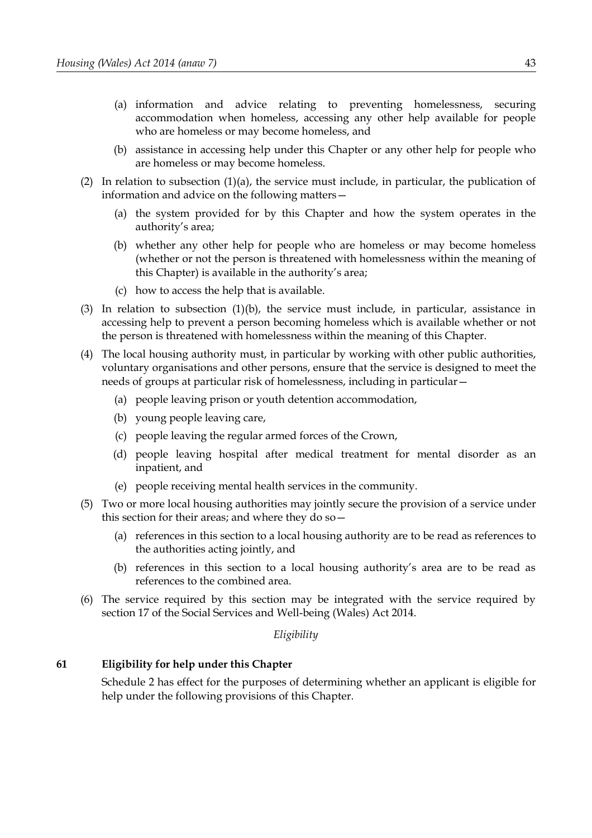- <span id="page-48-1"></span>(a) information and advice relating to preventing homelessness, securing accommodation when homeless, accessing any other help available for people who are homeless or may become homeless, and
- (b) assistance in accessing help under this Chapter or any other help for people who are homeless or may become homeless.
- (2) In relation to subsection  $(1)(a)$ , the service must include, in particular, the publication of information and advice on the following matters—
	- (a) the system provided for by this Chapter and how the system operates in the authority's area;
	- (b) whether any other help for people who are homeless or may become homeless (whether or not the person is threatened with homelessness within the meaning of this Chapter) is available in the authority's area;
	- (c) how to access the help that is available.
- (3) In relation to subsection (1)(b), the service must include, in particular, assistance in accessing help to prevent a person becoming homeless which is available whether or not the person is threatened with homelessness within the meaning of this Chapter.
- (4) The local housing authority must, in particular by working with other public authorities, voluntary organisations and other persons, ensure that the service is designed to meet the needs of groups at particular risk of homelessness, including in particular—
	- (a) people leaving prison or youth detention accommodation,
	- (b) young people leaving care,
	- (c) people leaving the regular armed forces of the Crown,
	- (d) people leaving hospital after medical treatment for mental disorder as an inpatient, and
	- (e) people receiving mental health services in the community.
- (5) Two or more local housing authorities may jointly secure the provision of a service under this section for their areas; and where they do so—
	- (a) references in this section to a local housing authority are to be read as references to the authorities acting jointly, and
	- (b) references in this section to a local housing authority's area are to be read as references to the combined area.
- (6) The service required by this section may be integrated with the service required by section 17 of the Social Services and Well-being (Wales) Act 2014.

*Eligibility*

#### <span id="page-48-0"></span>**61 Eligibility for help under this Chapter**

Schedule [2](#page-100-0) has effect for the purposes of determining whether an applicant is eligible for help under the following provisions of this Chapter.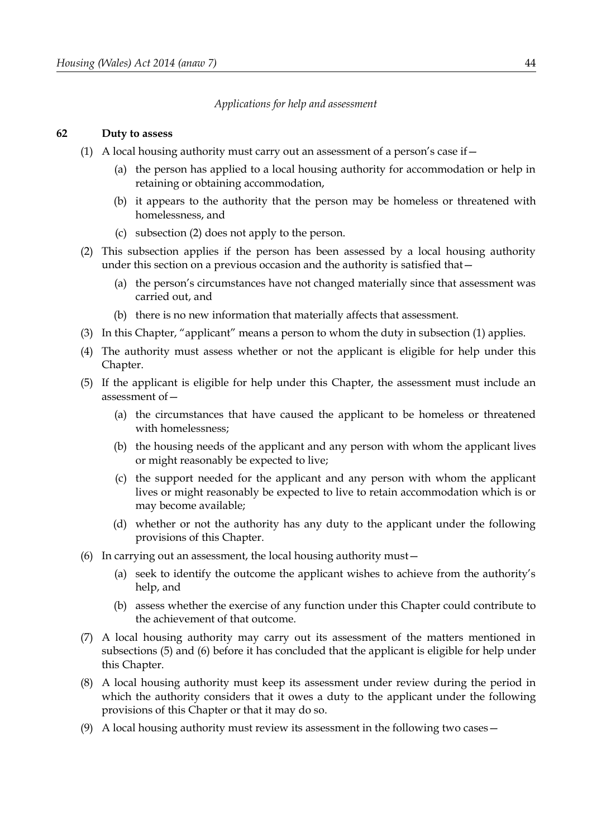#### *Applications for help and assessment*

#### <span id="page-49-0"></span>**62 Duty to assess**

- <span id="page-49-3"></span>(1) A local housing authority must carry out an assessment of a person's case if  $-$ 
	- (a) the person has applied to a local housing authority for accommodation or help in retaining or obtaining accommodation,
	- (b) it appears to the authority that the person may be homeless or threatened with homelessness, and
	- (c) subsection [\(2\)](#page-49-4) does not apply to the person.
- <span id="page-49-4"></span>(2) This subsection applies if the person has been assessed by a local housing authority under this section on a previous occasion and the authority is satisfied that—
	- (a) the person's circumstances have not changed materially since that assessment was carried out, and
	- (b) there is no new information that materially affects that assessment.
- (3) In this Chapter, "applicant" means a person to whom the duty in subsection [\(1\)](#page-49-3) applies.
- (4) The authority must assess whether or not the applicant is eligible for help under this Chapter.
- <span id="page-49-2"></span>(5) If the applicant is eligible for help under this Chapter, the assessment must include an assessment of—
	- (a) the circumstances that have caused the applicant to be homeless or threatened with homelessness;
	- (b) the housing needs of the applicant and any person with whom the applicant lives or might reasonably be expected to live;
	- (c) the support needed for the applicant and any person with whom the applicant lives or might reasonably be expected to live to retain accommodation which is or may become available;
	- (d) whether or not the authority has any duty to the applicant under the following provisions of this Chapter.
- <span id="page-49-7"></span><span id="page-49-1"></span>(6) In carrying out an assessment, the local housing authority must  $-$ 
	- (a) seek to identify the outcome the applicant wishes to achieve from the authority's help, and
	- (b) assess whether the exercise of any function under this Chapter could contribute to the achievement of that outcome.
- (7) A local housing authority may carry out its assessment of the matters mentioned in subsections [\(5\)](#page-49-2) and [\(6\)](#page-49-1) before it has concluded that the applicant is eligible for help under this Chapter.
- <span id="page-49-5"></span>(8) A local housing authority must keep its assessment under review during the period in which the authority considers that it owes a duty to the applicant under the following provisions of this Chapter or that it may do so.
- <span id="page-49-6"></span>(9) A local housing authority must review its assessment in the following two cases—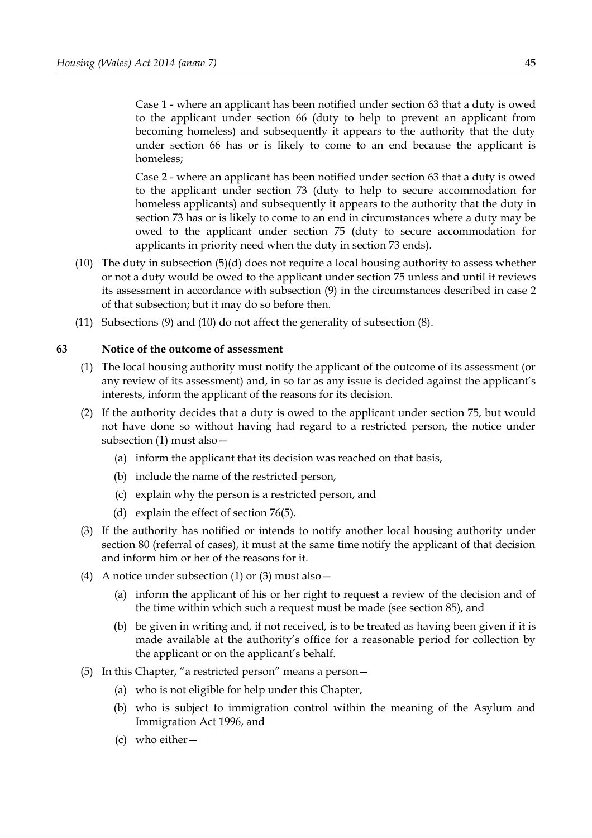Case 1 - where an applicant has been notified under section [63](#page-50-0) that a duty is owed to the applicant under section [66](#page-52-1) (duty to help to prevent an applicant from becoming homeless) and subsequently it appears to the authority that the duty under section [66](#page-52-1) has or is likely to come to an end because the applicant is homeless;

Case 2 - where an applicant has been notified under section [63](#page-50-0) that a duty is owed to the applicant under section [73](#page-57-0) (duty to help to secure accommodation for homeless applicants) and subsequently it appears to the authority that the duty in section [73](#page-57-0) has or is likely to come to an end in circumstances where a duty may be owed to the applicant under section [75](#page-58-0) (duty to secure accommodation for applicants in priority need when the duty in section [73](#page-57-0) ends).

- <span id="page-50-3"></span>(10) The duty in subsection [\(5\)](#page-49-2)[\(d\)](#page-49-7) does not require a local housing authority to assess whether or not a duty would be owed to the applicant under section [75](#page-58-0) unless and until it reviews its assessment in accordance with subsection [\(9\)](#page-49-6) in the circumstances described in case 2 of that subsection; but it may do so before then.
- (11) Subsections [\(9\)](#page-49-6) and [\(10\)](#page-50-3) do not affect the generality of subsection [\(8\).](#page-49-5)

### <span id="page-50-0"></span>**63 Notice of the outcome of assessment**

- <span id="page-50-2"></span>(1) The local housing authority must notify the applicant of the outcome of its assessment (or any review of its assessment) and, in so far as any issue is decided against the applicant's interests, inform the applicant of the reasons for its decision.
- (2) If the authority decides that a duty is owed to the applicant under section [75,](#page-58-0) but would not have done so without having had regard to a restricted person, the notice under subsection [\(1\)](#page-50-2) must also—
	- (a) inform the applicant that its decision was reached on that basis,
	- (b) include the name of the restricted person,
	- (c) explain why the person is a restricted person, and
	- (d) explain the effect of section [76](#page-59-0)[\(5\).](#page-60-1)
- <span id="page-50-1"></span>(3) If the authority has notified or intends to notify another local housing authority under section [80](#page-62-0) (referral of cases), it must at the same time notify the applicant of that decision and inform him or her of the reasons for it.
- (4) A notice under subsection [\(1\)](#page-50-2) or [\(3\)](#page-50-1) must also—
	- (a) inform the applicant of his or her right to request a review of the decision and of the time within which such a request must be made (see section [85\)](#page-65-0), and
	- (b) be given in writing and, if not received, is to be treated as having been given if it is made available at the authority's office for a reasonable period for collection by the applicant or on the applicant's behalf.
- <span id="page-50-4"></span>(5) In this Chapter, "a restricted person" means a person—
	- (a) who is not eligible for help under this Chapter,
	- (b) who is subject to immigration control within the meaning of the Asylum and Immigration Act 1996, and
	- (c) who either—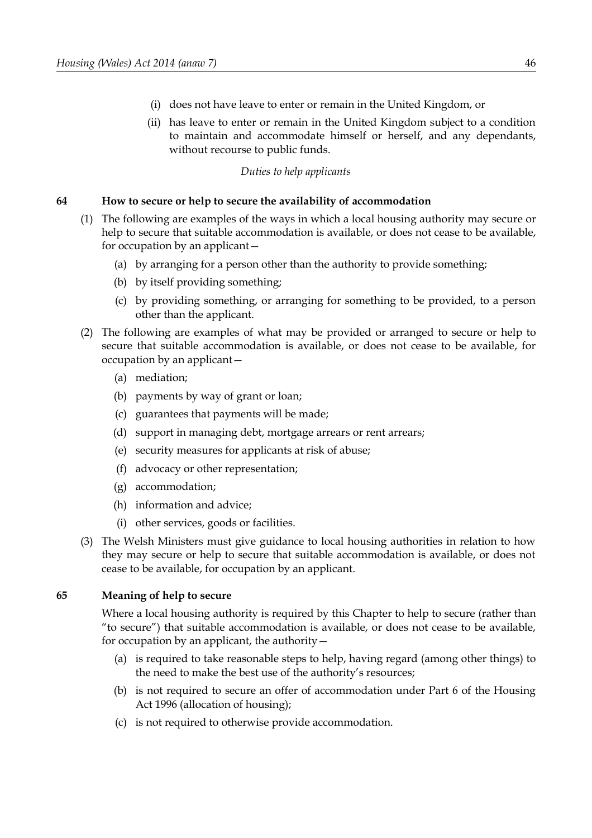- (i) does not have leave to enter or remain in the United Kingdom, or
- (ii) has leave to enter or remain in the United Kingdom subject to a condition to maintain and accommodate himself or herself, and any dependants, without recourse to public funds.

## *Duties to help applicants*

### <span id="page-51-1"></span>**64 How to secure or help to secure the availability of accommodation**

- (1) The following are examples of the ways in which a local housing authority may secure or help to secure that suitable accommodation is available, or does not cease to be available, for occupation by an applicant—
	- (a) by arranging for a person other than the authority to provide something;
	- (b) by itself providing something;
	- (c) by providing something, or arranging for something to be provided, to a person other than the applicant.
- (2) The following are examples of what may be provided or arranged to secure or help to secure that suitable accommodation is available, or does not cease to be available, for occupation by an applicant—
	- (a) mediation;
	- (b) payments by way of grant or loan;
	- (c) guarantees that payments will be made;
	- (d) support in managing debt, mortgage arrears or rent arrears;
	- (e) security measures for applicants at risk of abuse;
	- (f) advocacy or other representation;
	- (g) accommodation;
	- (h) information and advice;
	- (i) other services, goods or facilities.
- (3) The Welsh Ministers must give guidance to local housing authorities in relation to how they may secure or help to secure that suitable accommodation is available, or does not cease to be available, for occupation by an applicant.

### <span id="page-51-0"></span>**65 Meaning of help to secure**

Where a local housing authority is required by this Chapter to help to secure (rather than "to secure") that suitable accommodation is available, or does not cease to be available, for occupation by an applicant, the authority—

- (a) is required to take reasonable steps to help, having regard (among other things) to the need to make the best use of the authority's resources;
- (b) is not required to secure an offer of accommodation under Part 6 of the Housing Act 1996 (allocation of housing);
- (c) is not required to otherwise provide accommodation.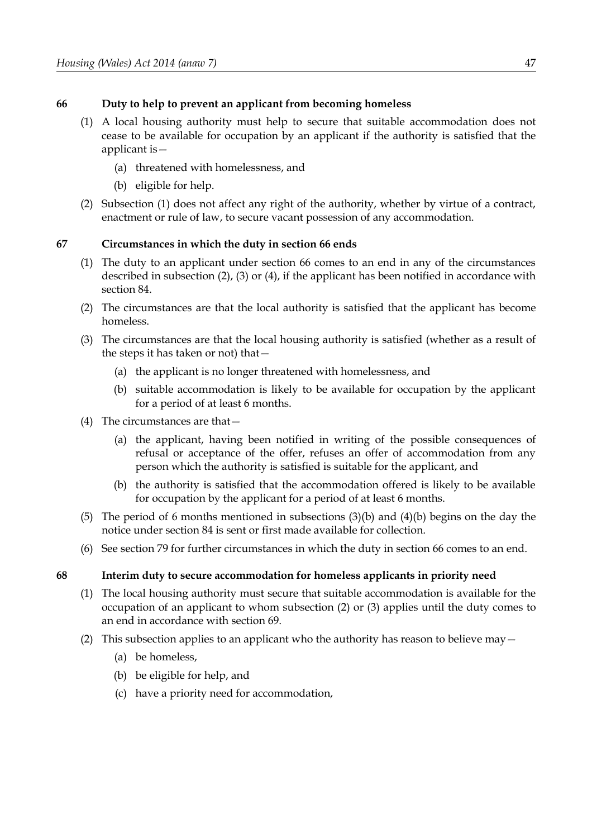## <span id="page-52-1"></span>**66 Duty to help to prevent an applicant from becoming homeless**

- <span id="page-52-8"></span>(1) A local housing authority must help to secure that suitable accommodation does not cease to be available for occupation by an applicant if the authority is satisfied that the applicant is—
	- (a) threatened with homelessness, and
	- (b) eligible for help.
- (2) Subsection [\(1\)](#page-52-8) does not affect any right of the authority, whether by virtue of a contract, enactment or rule of law, to secure vacant possession of any accommodation.

# **67 Circumstances in which the duty in section [66](#page-52-1) ends**

- (1) The duty to an applicant under section [66](#page-52-1) comes to an end in any of the circumstances described in subsection [\(2\),](#page-52-7) [\(3\)](#page-52-6) or [\(4\),](#page-52-4) if the applicant has been notified in accordance with section [84.](#page-65-1)
- <span id="page-52-7"></span>(2) The circumstances are that the local authority is satisfied that the applicant has become homeless.
- <span id="page-52-6"></span>(3) The circumstances are that the local housing authority is satisfied (whether as a result of the steps it has taken or not) that—
	- (a) the applicant is no longer threatened with homelessness, and
	- (b) suitable accommodation is likely to be available for occupation by the applicant for a period of at least 6 months.
- <span id="page-52-5"></span><span id="page-52-4"></span>(4) The circumstances are that—
	- (a) the applicant, having been notified in writing of the possible consequences of refusal or acceptance of the offer, refuses an offer of accommodation from any person which the authority is satisfied is suitable for the applicant, and
	- (b) the authority is satisfied that the accommodation offered is likely to be available for occupation by the applicant for a period of at least 6 months.
- <span id="page-52-3"></span>(5) The period of 6 months mentioned in subsections [\(3\)](#page-52-6)[\(b\)](#page-52-5) and [\(4\)](#page-52-4)[\(b\)](#page-52-3) begins on the day the notice under section [84](#page-65-1) is sent or first made available for collection.
- (6) See section [79](#page-61-1) for further circumstances in which the duty in section [66](#page-52-1) comes to an end.

### <span id="page-52-0"></span>**68 Interim duty to secure accommodation for homeless applicants in priority need**

- (1) The local housing authority must secure that suitable accommodation is available for the occupation of an applicant to whom subsection [\(2\)](#page-52-2) or [\(3\)](#page-53-0) applies until the duty comes to an end in accordance with section 69.
- <span id="page-52-2"></span>(2) This subsection applies to an applicant who the authority has reason to believe may  $-$ 
	- (a) be homeless,
	- (b) be eligible for help, and
	- (c) have a priority need for accommodation,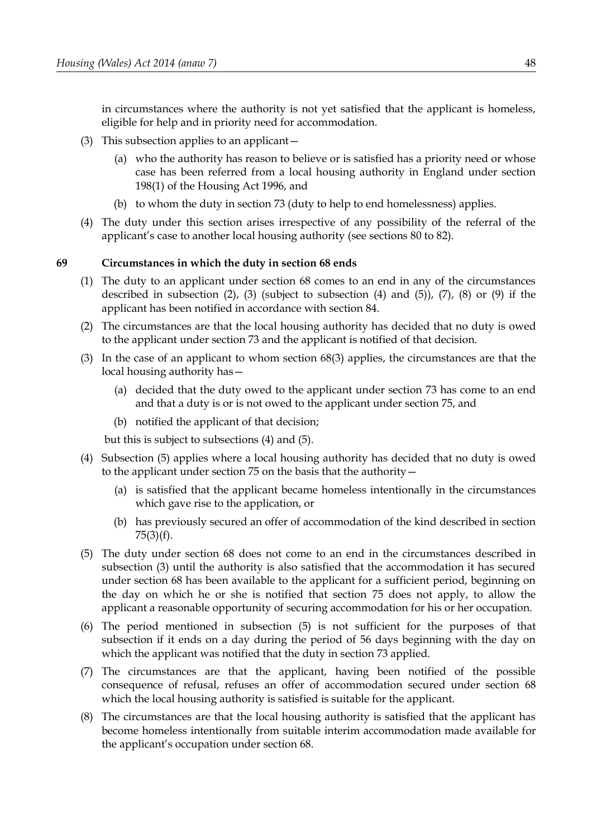in circumstances where the authority is not yet satisfied that the applicant is homeless, eligible for help and in priority need for accommodation.

- <span id="page-53-0"></span>(3) This subsection applies to an applicant—
	- (a) who the authority has reason to believe or is satisfied has a priority need or whose case has been referred from a local housing authority in England under section 198(1) of the Housing Act 1996, and
	- (b) to whom the duty in section [73](#page-57-0) (duty to help to end homelessness) applies.
- (4) The duty under this section arises irrespective of any possibility of the referral of the applicant's case to another local housing authority (see sections [80](#page-62-0) to [82\)](#page-64-0).

### **69 Circumstances in which the duty in section [68](#page-52-0) ends**

- (1) The duty to an applicant under section [68](#page-52-0) comes to an end in any of the circumstances described in subsection  $(2)$ ,  $(3)$  (subject to subsection  $(4)$  and  $(5)$ ),  $(7)$ ,  $(8)$  or  $(9)$  if the applicant has been notified in accordance with section [84.](#page-65-1)
- <span id="page-53-6"></span>(2) The circumstances are that the local housing authority has decided that no duty is owed to the applicant under section [73](#page-57-0) and the applicant is notified of that decision.
- <span id="page-53-2"></span>(3) In the case of an applicant to whom section [68](#page-52-0)[\(3\)](#page-53-0) applies, the circumstances are that the local housing authority has—
	- (a) decided that the duty owed to the applicant under section [73](#page-57-0) has come to an end and that a duty is or is not owed to the applicant under section [75,](#page-58-0) and
	- (b) notified the applicant of that decision;

but this is subject to subsections [\(4\)](#page-53-3) and [\(5\).](#page-53-1)

- <span id="page-53-3"></span>(4) Subsection [\(5\)](#page-53-1) applies where a local housing authority has decided that no duty is owed to the applicant under section [75](#page-58-0) on the basis that the authority—
	- (a) is satisfied that the applicant became homeless intentionally in the circumstances which gave rise to the application, or
	- (b) has previously secured an offer of accommodation of the kind described in section 75(3)(f).
- <span id="page-53-1"></span>(5) The duty under section [68](#page-52-0) does not come to an end in the circumstances described in subsection [\(3\)](#page-53-2) until the authority is also satisfied that the accommodation it has secured under section [68](#page-52-0) has been available to the applicant for a sufficient period, beginning on the day on which he or she is notified that section [75](#page-58-0) does not apply, to allow the applicant a reasonable opportunity of securing accommodation for his or her occupation.
- (6) The period mentioned in subsection [\(5\)](#page-53-1) is not sufficient for the purposes of that subsection if it ends on a day during the period of 56 days beginning with the day on which the applicant was notified that the duty in section [73](#page-57-0) applied.
- <span id="page-53-5"></span>(7) The circumstances are that the applicant, having been notified of the possible consequence of refusal, refuses an offer of accommodation secured under section [68](#page-52-0) which the local housing authority is satisfied is suitable for the applicant.
- <span id="page-53-4"></span>(8) The circumstances are that the local housing authority is satisfied that the applicant has become homeless intentionally from suitable interim accommodation made available for the applicant's occupation under section [68.](#page-52-0)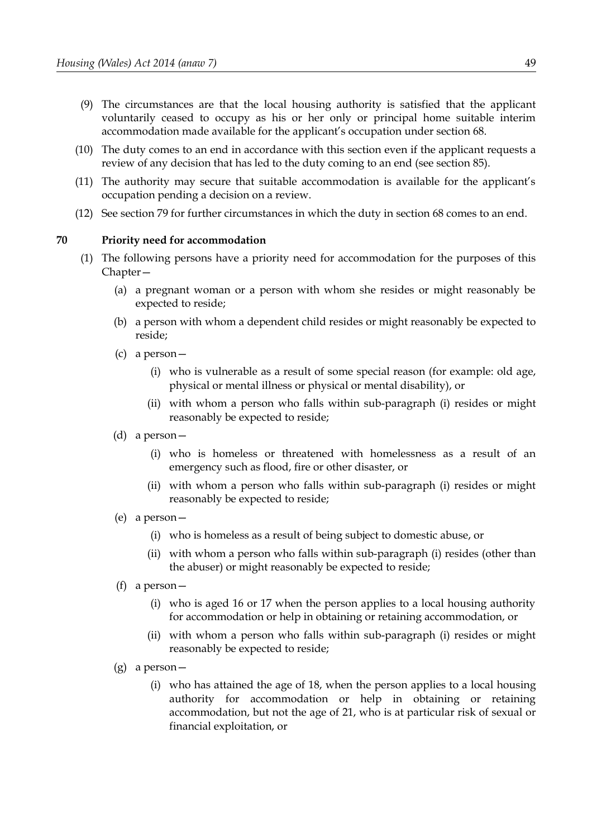- <span id="page-54-1"></span>(9) The circumstances are that the local housing authority is satisfied that the applicant voluntarily ceased to occupy as his or her only or principal home suitable interim accommodation made available for the applicant's occupation under section [68.](#page-52-0)
- (10) The duty comes to an end in accordance with this section even if the applicant requests a review of any decision that has led to the duty coming to an end (see section [85\)](#page-65-0).
- (11) The authority may secure that suitable accommodation is available for the applicant's occupation pending a decision on a review.
- (12) See section [79](#page-61-1) for further circumstances in which the duty in section [68](#page-52-0) comes to an end.

#### <span id="page-54-0"></span>**70 Priority need for accommodation**

- <span id="page-54-5"></span><span id="page-54-4"></span><span id="page-54-3"></span><span id="page-54-2"></span>(1) The following persons have a priority need for accommodation for the purposes of this Chapter—
	- (a) a pregnant woman or a person with whom she resides or might reasonably be expected to reside;
	- (b) a person with whom a dependent child resides or might reasonably be expected to reside;
	- (c) a person—
		- (i) who is vulnerable as a result of some special reason (for example: old age, physical or mental illness or physical or mental disability), or
		- (ii) with whom a person who falls within sub-paragraph [\(i\)](#page-54-3) resides or might reasonably be expected to reside;
	- (d) a person—
		- (i) who is homeless or threatened with homelessness as a result of an emergency such as flood, fire or other disaster, or
		- (ii) with whom a person who falls within sub-paragraph (i) resides or might reasonably be expected to reside;
	- (e) a person—
		- (i) who is homeless as a result of being subject to domestic abuse, or
		- (ii) with whom a person who falls within sub-paragraph [\(i\)](#page-54-2) resides (other than the abuser) or might reasonably be expected to reside;
	- (f) a person—
		- (i) who is aged 16 or 17 when the person applies to a local housing authority for accommodation or help in obtaining or retaining accommodation, or
		- (ii) with whom a person who falls within sub-paragraph (i) resides or might reasonably be expected to reside;
	- (g) a person—
		- (i) who has attained the age of 18, when the person applies to a local housing authority for accommodation or help in obtaining or retaining accommodation, but not the age of 21, who is at particular risk of sexual or financial exploitation, or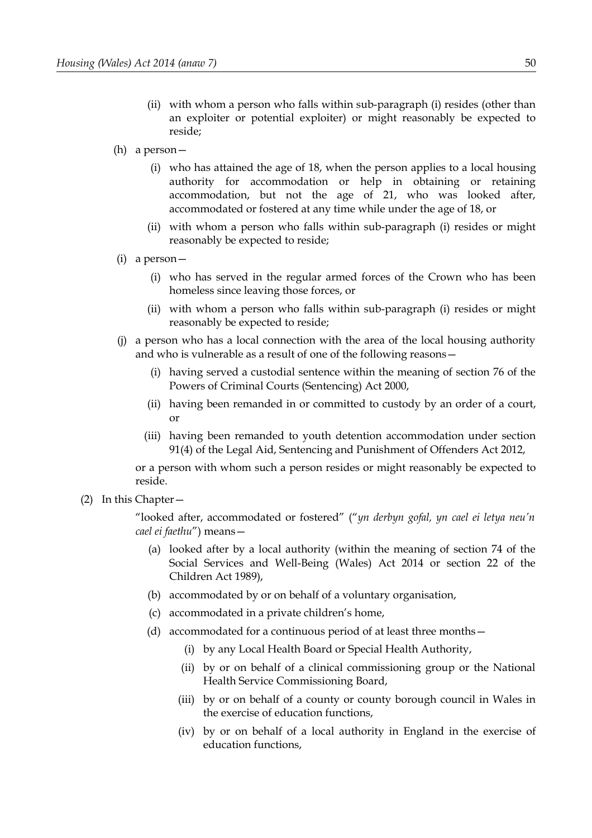- (ii) with whom a person who falls within sub-paragraph (i) resides (other than an exploiter or potential exploiter) or might reasonably be expected to reside;
- (h) a person—
	- (i) who has attained the age of 18, when the person applies to a local housing authority for accommodation or help in obtaining or retaining accommodation, but not the age of 21, who was looked after, accommodated or fostered at any time while under the age of 18, or
	- (ii) with whom a person who falls within sub-paragraph (i) resides or might reasonably be expected to reside;
- (i) a person—
	- (i) who has served in the regular armed forces of the Crown who has been homeless since leaving those forces, or
	- (ii) with whom a person who falls within sub-paragraph (i) resides or might reasonably be expected to reside;
- <span id="page-55-0"></span>(j) a person who has a local connection with the area of the local housing authority and who is vulnerable as a result of one of the following reasons—
	- (i) having served a custodial sentence within the meaning of section 76 of the Powers of Criminal Courts (Sentencing) Act 2000,
	- (ii) having been remanded in or committed to custody by an order of a court, or
	- (iii) having been remanded to youth detention accommodation under section 91(4) of the Legal Aid, Sentencing and Punishment of Offenders Act 2012,

or a person with whom such a person resides or might reasonably be expected to reside.

(2) In this Chapter—

"looked after, accommodated or fostered" ("*yn derbyn gofal, yn cael ei letya neu'n cael ei faethu*") means—

- (a) looked after by a local authority (within the meaning of section 74 of the Social Services and Well-Being (Wales) Act 2014 or section 22 of the Children Act 1989),
- (b) accommodated by or on behalf of a voluntary organisation,
- (c) accommodated in a private children's home,
- (d) accommodated for a continuous period of at least three months—
	- (i) by any Local Health Board or Special Health Authority,
	- (ii) by or on behalf of a clinical commissioning group or the National Health Service Commissioning Board,
	- (iii) by or on behalf of a county or county borough council in Wales in the exercise of education functions,
	- (iv) by or on behalf of a local authority in England in the exercise of education functions,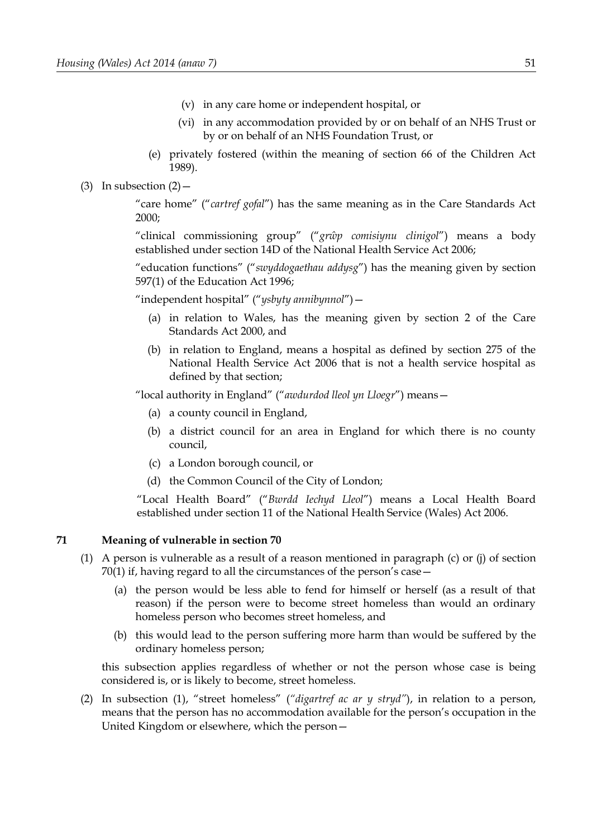- (v) in any care home or independent hospital, or
- (vi) in any accommodation provided by or on behalf of an NHS Trust or by or on behalf of an NHS Foundation Trust, or
- (e) privately fostered (within the meaning of section 66 of the Children Act 1989).
- (3) In subsection  $(2)$  –

"care home" ("*cartref gofal*") has the same meaning as in the Care Standards Act 2000;

"clinical commissioning group" ("*grŵp comisiynu clinigol*") means a body established under section 14D of the National Health Service Act 2006;

"education functions" ("*swyddogaethau addysg*") has the meaning given by section 597(1) of the Education Act 1996;

"independent hospital" ("*ysbyty annibynnol*")—

- (a) in relation to Wales, has the meaning given by section 2 of the Care Standards Act 2000, and
- (b) in relation to England, means a hospital as defined by section 275 of the National Health Service Act 2006 that is not a health service hospital as defined by that section;

"local authority in England" ("*awdurdod lleol yn Lloegr*") means—

- (a) a county council in England,
- (b) a district council for an area in England for which there is no county council,
- (c) a London borough council, or
- (d) the Common Council of the City of London;

"Local Health Board" ("*Bwrdd Iechyd Lleol*") means a Local Health Board established under section 11 of the National Health Service (Wales) Act 2006.

### **71 Meaning of vulnerable in section [70](#page-54-0)**

- <span id="page-56-0"></span>(1) A person is vulnerable as a result of a reason mentioned in paragraph [\(c\)](#page-54-5) or [\(j\)](#page-55-0) of section [70](#page-54-0)[\(1\)](#page-54-4) if, having regard to all the circumstances of the person's case—
	- (a) the person would be less able to fend for himself or herself (as a result of that reason) if the person were to become street homeless than would an ordinary homeless person who becomes street homeless, and
	- (b) this would lead to the person suffering more harm than would be suffered by the ordinary homeless person;

this subsection applies regardless of whether or not the person whose case is being considered is, or is likely to become, street homeless.

(2) In subsection [\(1\),](#page-56-0) "street homeless" (*"digartref ac ar y stryd"*), in relation to a person, means that the person has no accommodation available for the person's occupation in the United Kingdom or elsewhere, which the person—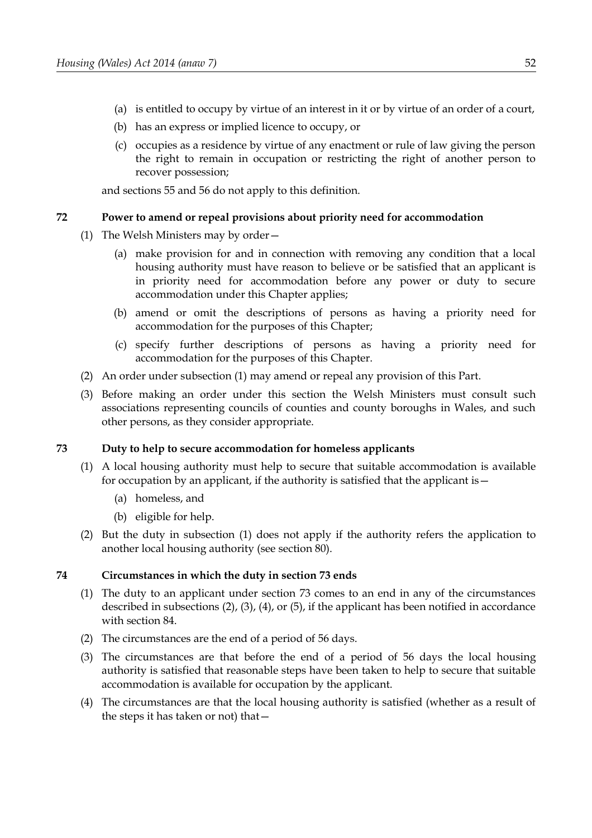- (a) is entitled to occupy by virtue of an interest in it or by virtue of an order of a court,
- (b) has an express or implied licence to occupy, or
- (c) occupies as a residence by virtue of any enactment or rule of law giving the person the right to remain in occupation or restricting the right of another person to recover possession;

and sections [55](#page-44-0) and [56](#page-45-0) do not apply to this definition.

### **72 Power to amend or repeal provisions about priority need for accommodation**

- <span id="page-57-5"></span>(1) The Welsh Ministers may by order—
	- (a) make provision for and in connection with removing any condition that a local housing authority must have reason to believe or be satisfied that an applicant is in priority need for accommodation before any power or duty to secure accommodation under this Chapter applies;
	- (b) amend or omit the descriptions of persons as having a priority need for accommodation for the purposes of this Chapter;
	- (c) specify further descriptions of persons as having a priority need for accommodation for the purposes of this Chapter.
- (2) An order under subsection [\(1\)](#page-57-5) may amend or repeal any provision of this Part.
- (3) Before making an order under this section the Welsh Ministers must consult such associations representing councils of counties and county boroughs in Wales, and such other persons, as they consider appropriate.

### <span id="page-57-0"></span>**73 Duty to help to secure accommodation for homeless applicants**

- <span id="page-57-4"></span>(1) A local housing authority must help to secure that suitable accommodation is available for occupation by an applicant, if the authority is satisfied that the applicant is—
	- (a) homeless, and
	- (b) eligible for help.
- (2) But the duty in subsection [\(1\)](#page-57-4) does not apply if the authority refers the application to another local housing authority (see section [80\)](#page-62-0).

### <span id="page-57-6"></span>**74 Circumstances in which the duty in section [73](#page-57-0) ends**

- (1) The duty to an applicant under section [73](#page-57-0) comes to an end in any of the circumstances described in subsections [\(2\),](#page-57-3) [\(3\),](#page-57-2) [\(4\),](#page-57-1) or [\(5\),](#page-58-1) if the applicant has been notified in accordance with section [84.](#page-65-1)
- <span id="page-57-3"></span>(2) The circumstances are the end of a period of 56 days.
- <span id="page-57-2"></span>(3) The circumstances are that before the end of a period of 56 days the local housing authority is satisfied that reasonable steps have been taken to help to secure that suitable accommodation is available for occupation by the applicant.
- <span id="page-57-1"></span>(4) The circumstances are that the local housing authority is satisfied (whether as a result of the steps it has taken or not) that—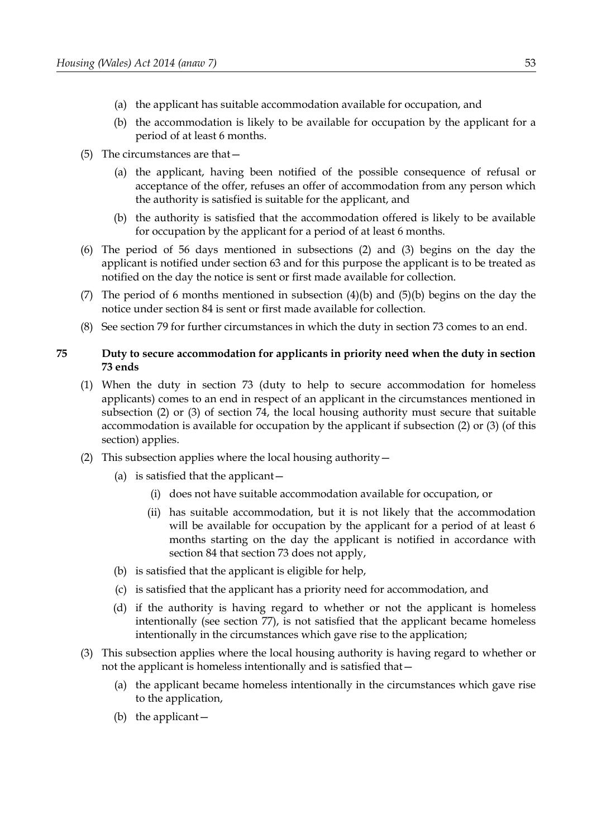- (a) the applicant has suitable accommodation available for occupation, and
- <span id="page-58-5"></span>(b) the accommodation is likely to be available for occupation by the applicant for a period of at least 6 months.
- <span id="page-58-1"></span>(5) The circumstances are that—
	- (a) the applicant, having been notified of the possible consequence of refusal or acceptance of the offer, refuses an offer of accommodation from any person which the authority is satisfied is suitable for the applicant, and
	- (b) the authority is satisfied that the accommodation offered is likely to be available for occupation by the applicant for a period of at least 6 months.
- <span id="page-58-4"></span>(6) The period of 56 days mentioned in subsections (2) and (3) begins on the day the applicant is notified under section 63 and for this purpose the applicant is to be treated as notified on the day the notice is sent or first made available for collection.
- (7) The period of 6 months mentioned in subsection  $(4)(b)$  and  $(5)(b)$  begins on the day the notice under section [84](#page-65-1) is sent or first made available for collection.
- (8) See section [79](#page-61-1) for further circumstances in which the duty in section [73](#page-57-0) comes to an end.

## <span id="page-58-0"></span>**75 Duty to secure accommodation for applicants in priority need when the duty in section [73](#page-57-0) ends**

- <span id="page-58-6"></span>(1) When the duty in section [73](#page-57-0) (duty to help to secure accommodation for homeless applicants) comes to an end in respect of an applicant in the circumstances mentioned in subsection [\(2\)](#page-57-3) or [\(3\)](#page-57-2) of section [74,](#page-57-6) the local housing authority must secure that suitable accommodation is available for occupation by the applicant if subsection [\(2\)](#page-58-3) or [\(3\)](#page-58-2) (of this section) applies.
- <span id="page-58-9"></span><span id="page-58-8"></span><span id="page-58-3"></span>(2) This subsection applies where the local housing authority  $-$ 
	- (a) is satisfied that the applicant—
		- (i) does not have suitable accommodation available for occupation, or
		- (ii) has suitable accommodation, but it is not likely that the accommodation will be available for occupation by the applicant for a period of at least 6 months starting on the day the applicant is notified in accordance with section [84](#page-65-1) that section [73](#page-57-0) does not apply,
	- (b) is satisfied that the applicant is eligible for help,
	- (c) is satisfied that the applicant has a priority need for accommodation, and
	- (d) if the authority is having regard to whether or not the applicant is homeless intentionally (see section [77\)](#page-60-0), is not satisfied that the applicant became homeless intentionally in the circumstances which gave rise to the application;
- <span id="page-58-7"></span><span id="page-58-2"></span>(3) This subsection applies where the local housing authority is having regard to whether or not the applicant is homeless intentionally and is satisfied that—
	- (a) the applicant became homeless intentionally in the circumstances which gave rise to the application,
	- (b) the applicant—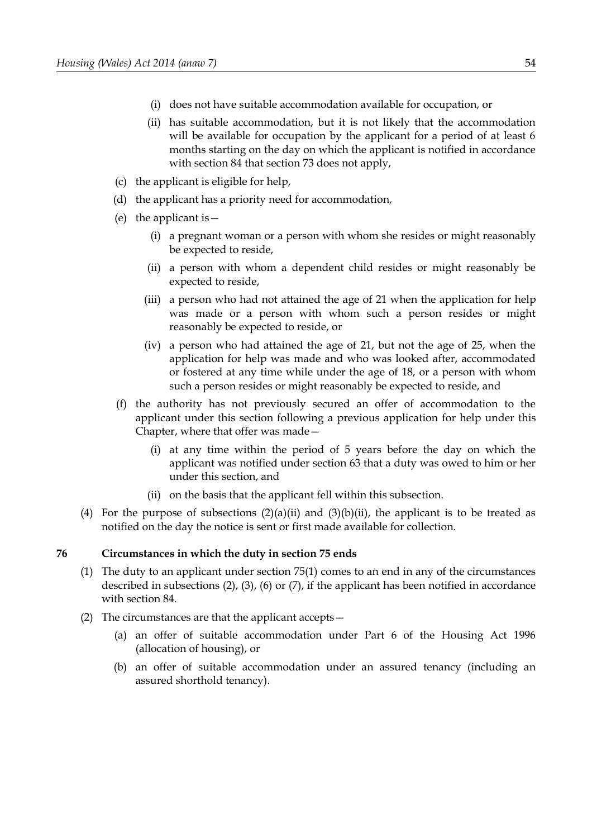- (i) does not have suitable accommodation available for occupation, or
- <span id="page-59-2"></span>(ii) has suitable accommodation, but it is not likely that the accommodation will be available for occupation by the applicant for a period of at least 6 months starting on the day on which the applicant is notified in accordance with section [84](#page-65-1) that section [73](#page-57-0) does not apply,
- (c) the applicant is eligible for help,
- (d) the applicant has a priority need for accommodation,
- (e) the applicant is  $-$ 
	- (i) a pregnant woman or a person with whom she resides or might reasonably be expected to reside,
	- (ii) a person with whom a dependent child resides or might reasonably be expected to reside,
	- (iii) a person who had not attained the age of 21 when the application for help was made or a person with whom such a person resides or might reasonably be expected to reside, or
	- (iv) a person who had attained the age of 21, but not the age of 25, when the application for help was made and who was looked after, accommodated or fostered at any time while under the age of 18, or a person with whom such a person resides or might reasonably be expected to reside, and
- (f) the authority has not previously secured an offer of accommodation to the applicant under this section following a previous application for help under this Chapter, where that offer was made—
	- (i) at any time within the period of 5 years before the day on which the applicant was notified under section [63](#page-50-0) that a duty was owed to him or her under this section, and
	- (ii) on the basis that the applicant fell within this subsection.
- (4) For the purpose of subsections  $(2)(a)(ii)$  $(2)(a)(ii)$  $(2)(a)(ii)$  and  $(3)(b)(ii)$  $(3)(b)(ii)$  $(3)(b)(ii)$ , the applicant is to be treated as notified on the day the notice is sent or first made available for collection.

### <span id="page-59-0"></span>**76 Circumstances in which the duty in section [75](#page-58-0) ends**

- (1) The duty to an applicant under section [75](#page-58-0)[\(1\)](#page-58-6) comes to an end in any of the circumstances described in subsections [\(2\),](#page-59-1) [\(3\),](#page-58-2) [\(6\)](#page-60-3) or [\(7\),](#page-60-2) if the applicant has been notified in accordance with section [84.](#page-65-1)
- <span id="page-59-1"></span>(2) The circumstances are that the applicant accepts—
	- (a) an offer of suitable accommodation under Part 6 of the Housing Act 1996 (allocation of housing), or
	- (b) an offer of suitable accommodation under an assured tenancy (including an assured shorthold tenancy).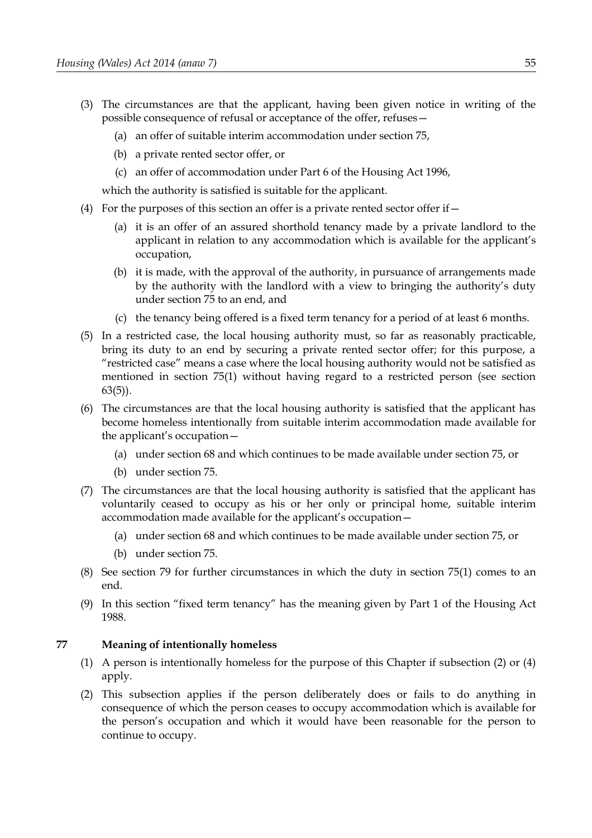- (3) The circumstances are that the applicant, having been given notice in writing of the possible consequence of refusal or acceptance of the offer, refuses—
	- (a) an offer of suitable interim accommodation under section [75,](#page-58-0)
	- (b) a private rented sector offer, or
	- (c) an offer of accommodation under Part 6 of the Housing Act 1996,

which the authority is satisfied is suitable for the applicant.

- (4) For the purposes of this section an offer is a private rented sector offer if—
	- (a) it is an offer of an assured shorthold tenancy made by a private landlord to the applicant in relation to any accommodation which is available for the applicant's occupation,
	- (b) it is made, with the approval of the authority, in pursuance of arrangements made by the authority with the landlord with a view to bringing the authority's duty under section [75](#page-58-0) to an end, and
	- (c) the tenancy being offered is a fixed term tenancy for a period of at least 6 months.
- <span id="page-60-1"></span>(5) In a restricted case, the local housing authority must, so far as reasonably practicable, bring its duty to an end by securing a private rented sector offer; for this purpose, a "restricted case" means a case where the local housing authority would not be satisfied as mentioned in section [75](#page-58-0)[\(1\)](#page-58-6) without having regard to a restricted person (see section [63](#page-50-0)[\(5\)\)](#page-50-4).
- <span id="page-60-3"></span>(6) The circumstances are that the local housing authority is satisfied that the applicant has become homeless intentionally from suitable interim accommodation made available for the applicant's occupation—
	- (a) under section [68](#page-52-0) and which continues to be made available under section [75,](#page-58-0) or
	- (b) under section [75.](#page-58-0)
- <span id="page-60-2"></span>(7) The circumstances are that the local housing authority is satisfied that the applicant has voluntarily ceased to occupy as his or her only or principal home, suitable interim accommodation made available for the applicant's occupation—
	- (a) under section [68](#page-52-0) and which continues to be made available under section [75,](#page-58-0) or
	- (b) under section [75.](#page-58-0)
- (8) See section [79](#page-61-1) for further circumstances in which the duty in section [75](#page-58-0)[\(1\)](#page-58-6) comes to an end.
- (9) In this section "fixed term tenancy" has the meaning given by Part 1 of the Housing Act 1988.

### <span id="page-60-0"></span>**77 Meaning of intentionally homeless**

- (1) A person is intentionally homeless for the purpose of this Chapter if subsection [\(2\)](#page-60-4) or [\(4\)](#page-61-2) apply.
- <span id="page-60-4"></span>(2) This subsection applies if the person deliberately does or fails to do anything in consequence of which the person ceases to occupy accommodation which is available for the person's occupation and which it would have been reasonable for the person to continue to occupy.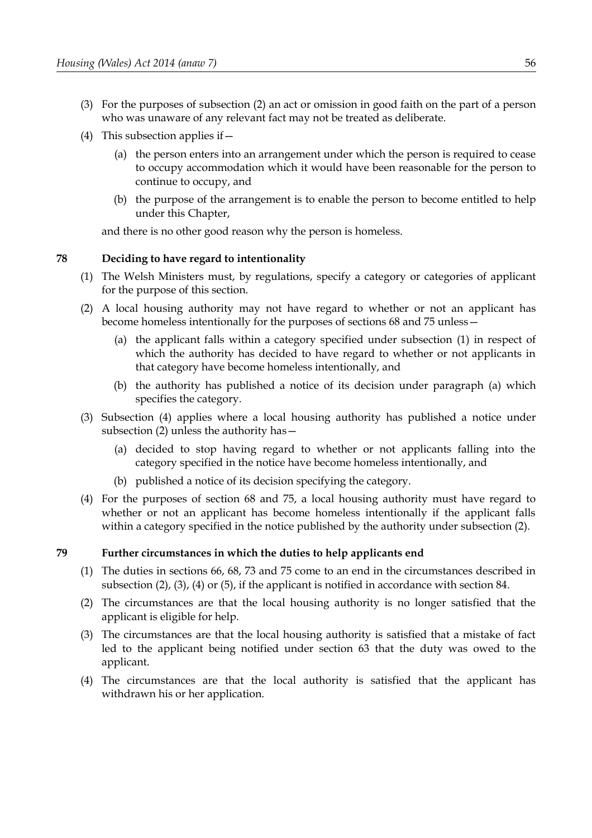- (3) For the purposes of subsection [\(2\)](#page-60-4) an act or omission in good faith on the part of a person who was unaware of any relevant fact may not be treated as deliberate.
- <span id="page-61-2"></span>(4) This subsection applies if  $-$ 
	- (a) the person enters into an arrangement under which the person is required to cease to occupy accommodation which it would have been reasonable for the person to continue to occupy, and
	- (b) the purpose of the arrangement is to enable the person to become entitled to help under this Chapter,

and there is no other good reason why the person is homeless.

## <span id="page-61-0"></span>**78 Deciding to have regard to intentionality**

- <span id="page-61-8"></span>(1) The Welsh Ministers must, by regulations, specify a category or categories of applicant for the purpose of this section.
- <span id="page-61-7"></span><span id="page-61-5"></span>(2) A local housing authority may not have regard to whether or not an applicant has become homeless intentionally for the purposes of sections [68](#page-52-0) and [75](#page-58-0) unless—
	- (a) the applicant falls within a category specified under subsection [\(1\)](#page-61-8) in respect of which the authority has decided to have regard to whether or not applicants in that category have become homeless intentionally, and
	- (b) the authority has published a notice of its decision under paragraph [\(a\)](#page-61-7) which specifies the category.
- (3) Subsection [\(4\)](#page-61-6) applies where a local housing authority has published a notice under subsection [\(2\)](#page-61-5) unless the authority has—
	- (a) decided to stop having regard to whether or not applicants falling into the category specified in the notice have become homeless intentionally, and
	- (b) published a notice of its decision specifying the category.
- <span id="page-61-6"></span>(4) For the purposes of section [68](#page-52-0) and [75,](#page-58-0) a local housing authority must have regard to whether or not an applicant has become homeless intentionally if the applicant falls within a category specified in the notice published by the authority under subsection [\(2\).](#page-61-5)

### <span id="page-61-1"></span>**79 Further circumstances in which the duties to help applicants end**

- (1) The duties in sections 66, 68, 73 and [75](#page-58-0) come to an end in the circumstances described in subsection [\(2\),](#page-61-4) (3), [\(4\)](#page-61-3) or [\(5\),](#page-62-1) if the applicant is notified in accordance with section [84.](#page-65-1)
- <span id="page-61-4"></span>(2) The circumstances are that the local housing authority is no longer satisfied that the applicant is eligible for help.
- (3) The circumstances are that the local housing authority is satisfied that a mistake of fact led to the applicant being notified under section [63](#page-50-0) that the duty was owed to the applicant.
- <span id="page-61-3"></span>(4) The circumstances are that the local authority is satisfied that the applicant has withdrawn his or her application.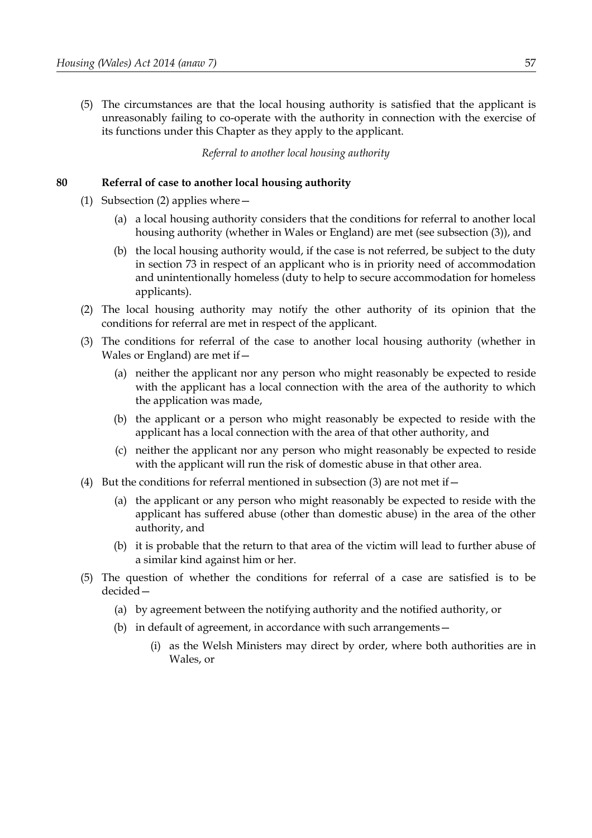<span id="page-62-1"></span>(5) The circumstances are that the local housing authority is satisfied that the applicant is unreasonably failing to co-operate with the authority in connection with the exercise of its functions under this Chapter as they apply to the applicant.

*Referral to another local housing authority*

### <span id="page-62-0"></span>**80 Referral of case to another local housing authority**

- (1) Subsection [\(2\)](#page-62-3) applies where—
	- (a) a local housing authority considers that the conditions for referral to another local housing authority (whether in Wales or England) are met (see subsection [\(3\)\)](#page-62-2), and
	- (b) the local housing authority would, if the case is not referred, be subject to the duty in section [73](#page-57-0) in respect of an applicant who is in priority need of accommodation and unintentionally homeless (duty to help to secure accommodation for homeless applicants).
- <span id="page-62-3"></span>(2) The local housing authority may notify the other authority of its opinion that the conditions for referral are met in respect of the applicant.
- <span id="page-62-2"></span>(3) The conditions for referral of the case to another local housing authority (whether in Wales or England) are met if  $-$ 
	- (a) neither the applicant nor any person who might reasonably be expected to reside with the applicant has a local connection with the area of the authority to which the application was made,
	- (b) the applicant or a person who might reasonably be expected to reside with the applicant has a local connection with the area of that other authority, and
	- (c) neither the applicant nor any person who might reasonably be expected to reside with the applicant will run the risk of domestic abuse in that other area.
- (4) But the conditions for referral mentioned in subsection [\(3\)](#page-62-2) are not met if  $-$ 
	- (a) the applicant or any person who might reasonably be expected to reside with the applicant has suffered abuse (other than domestic abuse) in the area of the other authority, and
	- (b) it is probable that the return to that area of the victim will lead to further abuse of a similar kind against him or her.
- <span id="page-62-5"></span><span id="page-62-4"></span>(5) The question of whether the conditions for referral of a case are satisfied is to be decided—
	- (a) by agreement between the notifying authority and the notified authority, or
	- (b) in default of agreement, in accordance with such arrangements—
		- (i) as the Welsh Ministers may direct by order, where both authorities are in Wales, or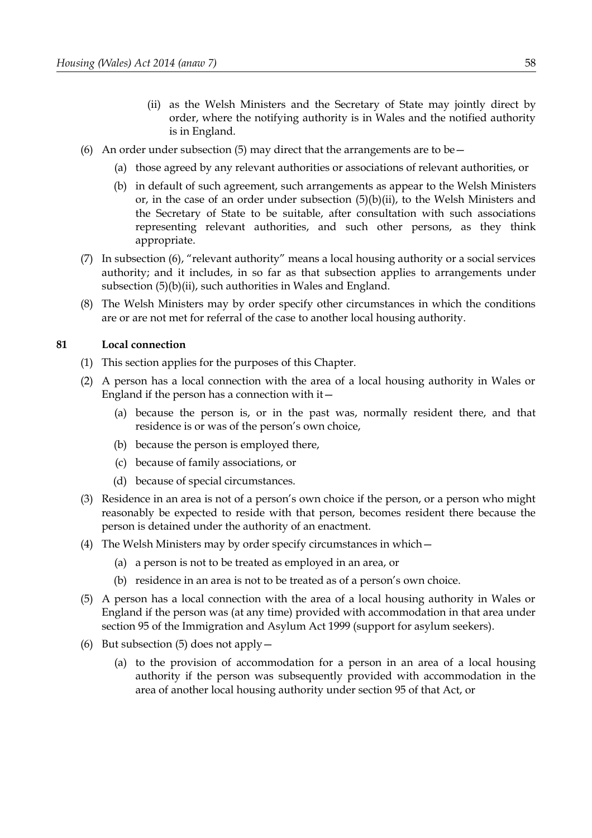- <span id="page-63-2"></span>(ii) as the Welsh Ministers and the Secretary of State may jointly direct by order, where the notifying authority is in Wales and the notified authority is in England.
- <span id="page-63-3"></span>(6) An order under subsection [\(5\)](#page-62-5) may direct that the arrangements are to be  $-$ 
	- (a) those agreed by any relevant authorities or associations of relevant authorities, or
	- (b) in default of such agreement, such arrangements as appear to the Welsh Ministers or, in the case of an order under subsection [\(5\)](#page-62-5)[\(b\)](#page-62-4)[\(ii\),](#page-63-2) to the Welsh Ministers and the Secretary of State to be suitable, after consultation with such associations representing relevant authorities, and such other persons, as they think appropriate.
- (7) In subsection [\(6\),](#page-63-3) "relevant authority" means a local housing authority or a social services authority; and it includes, in so far as that subsection applies to arrangements under subsection [\(5\)](#page-62-5)[\(b\)](#page-62-4)[\(ii\),](#page-63-2) such authorities in Wales and England.
- (8) The Welsh Ministers may by order specify other circumstances in which the conditions are or are not met for referral of the case to another local housing authority.

## <span id="page-63-0"></span>**81 Local connection**

- (1) This section applies for the purposes of this Chapter.
- (2) A person has a local connection with the area of a local housing authority in Wales or England if the person has a connection with  $it-$ 
	- (a) because the person is, or in the past was, normally resident there, and that residence is or was of the person's own choice,
	- (b) because the person is employed there,
	- (c) because of family associations, or
	- (d) because of special circumstances.
- (3) Residence in an area is not of a person's own choice if the person, or a person who might reasonably be expected to reside with that person, becomes resident there because the person is detained under the authority of an enactment.
- (4) The Welsh Ministers may by order specify circumstances in which—
	- (a) a person is not to be treated as employed in an area, or
	- (b) residence in an area is not to be treated as of a person's own choice.
- <span id="page-63-1"></span>(5) A person has a local connection with the area of a local housing authority in Wales or England if the person was (at any time) provided with accommodation in that area under section 95 of the Immigration and Asylum Act 1999 (support for asylum seekers).
- (6) But subsection [\(5\)](#page-63-1) does not apply—
	- (a) to the provision of accommodation for a person in an area of a local housing authority if the person was subsequently provided with accommodation in the area of another local housing authority under section 95 of that Act, or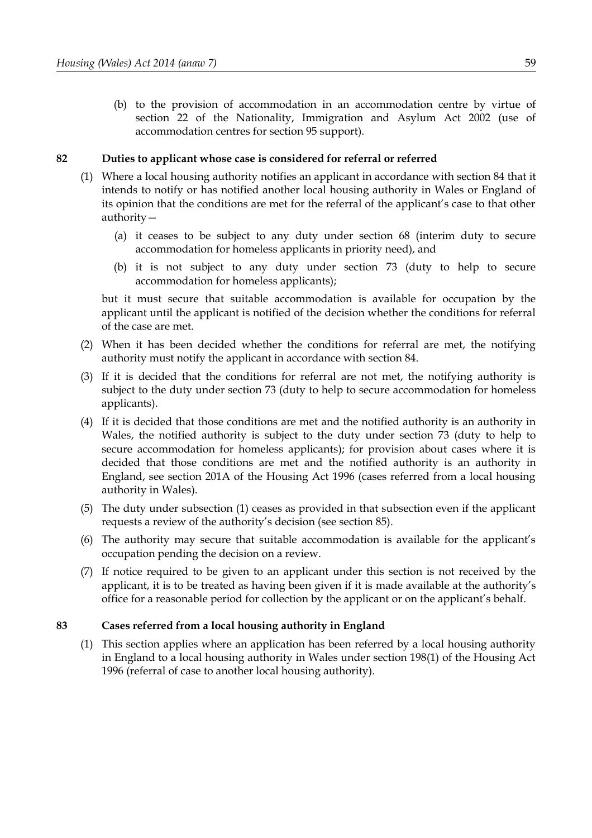(b) to the provision of accommodation in an accommodation centre by virtue of section 22 of the Nationality, Immigration and Asylum Act 2002 (use of accommodation centres for section 95 support).

### <span id="page-64-0"></span>**82 Duties to applicant whose case is considered for referral or referred**

- <span id="page-64-1"></span>(1) Where a local housing authority notifies an applicant in accordance with section [84](#page-65-1) that it intends to notify or has notified another local housing authority in Wales or England of its opinion that the conditions are met for the referral of the applicant's case to that other authority—
	- (a) it ceases to be subject to any duty under section [68](#page-52-0) (interim duty to secure accommodation for homeless applicants in priority need), and
	- (b) it is not subject to any duty under section [73](#page-57-0) (duty to help to secure accommodation for homeless applicants);

but it must secure that suitable accommodation is available for occupation by the applicant until the applicant is notified of the decision whether the conditions for referral of the case are met.

- (2) When it has been decided whether the conditions for referral are met, the notifying authority must notify the applicant in accordance with section [84.](#page-65-1)
- (3) If it is decided that the conditions for referral are not met, the notifying authority is subject to the duty under section [73](#page-57-0) (duty to help to secure accommodation for homeless applicants).
- (4) If it is decided that those conditions are met and the notified authority is an authority in Wales, the notified authority is subject to the duty under section [73](#page-57-0) (duty to help to secure accommodation for homeless applicants); for provision about cases where it is decided that those conditions are met and the notified authority is an authority in England, see section 201A of the Housing Act 1996 (cases referred from a local housing authority in Wales).
- (5) The duty under subsection [\(1\)](#page-64-1) ceases as provided in that subsection even if the applicant requests a review of the authority's decision (see section [85\)](#page-65-0).
- (6) The authority may secure that suitable accommodation is available for the applicant's occupation pending the decision on a review.
- (7) If notice required to be given to an applicant under this section is not received by the applicant, it is to be treated as having been given if it is made available at the authority's office for a reasonable period for collection by the applicant or on the applicant's behalf.

# **83 Cases referred from a local housing authority in England**

(1) This section applies where an application has been referred by a local housing authority in England to a local housing authority in Wales under section 198(1) of the Housing Act 1996 (referral of case to another local housing authority).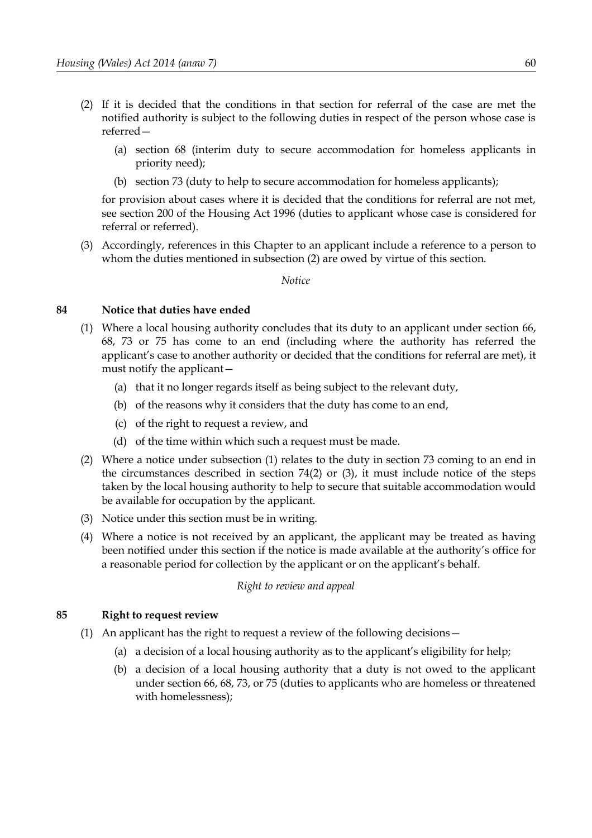- <span id="page-65-3"></span>(2) If it is decided that the conditions in that section for referral of the case are met the notified authority is subject to the following duties in respect of the person whose case is referred—
	- (a) section [68](#page-52-0) (interim duty to secure accommodation for homeless applicants in priority need);
	- (b) section [73](#page-57-0) (duty to help to secure accommodation for homeless applicants);

for provision about cases where it is decided that the conditions for referral are not met, see section 200 of the Housing Act 1996 (duties to applicant whose case is considered for referral or referred).

(3) Accordingly, references in this Chapter to an applicant include a reference to a person to whom the duties mentioned in subsection [\(2\)](#page-65-3) are owed by virtue of this section.

*Notice*

### <span id="page-65-1"></span>**84 Notice that duties have ended**

- <span id="page-65-2"></span>(1) Where a local housing authority concludes that its duty to an applicant under section [66,](#page-52-1) [68,](#page-52-0) [73](#page-57-0) or [75](#page-58-0) has come to an end (including where the authority has referred the applicant's case to another authority or decided that the conditions for referral are met), it must notify the applicant—
	- (a) that it no longer regards itself as being subject to the relevant duty,
	- (b) of the reasons why it considers that the duty has come to an end,
	- (c) of the right to request a review, and
	- (d) of the time within which such a request must be made.
- (2) Where a notice under subsection [\(1\)](#page-65-2) relates to the duty in section [73](#page-57-0) coming to an end in the circumstances described in section [74](#page-57-6)[\(2\)](#page-57-3) or [\(3\),](#page-57-2) it must include notice of the steps taken by the local housing authority to help to secure that suitable accommodation would be available for occupation by the applicant.
- (3) Notice under this section must be in writing.
- (4) Where a notice is not received by an applicant, the applicant may be treated as having been notified under this section if the notice is made available at the authority's office for a reasonable period for collection by the applicant or on the applicant's behalf.

*Right to review and appeal*

### <span id="page-65-0"></span>**85 Right to request review**

- (1) An applicant has the right to request a review of the following decisions—
	- (a) a decision of a local housing authority as to the applicant's eligibility for help;
	- (b) a decision of a local housing authority that a duty is not owed to the applicant under section [66,](#page-52-1) [68,](#page-52-0) [73,](#page-57-0) or [75](#page-58-0) (duties to applicants who are homeless or threatened with homelessness);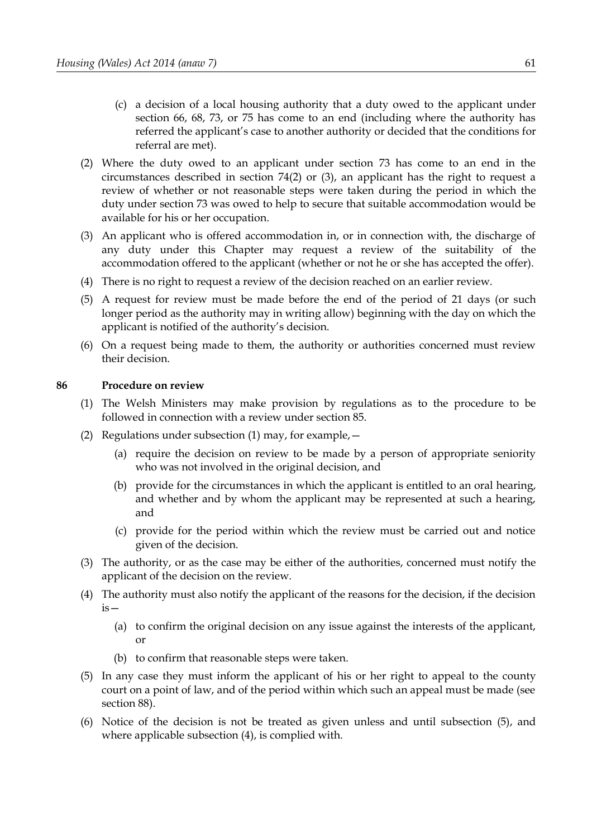- (c) a decision of a local housing authority that a duty owed to the applicant under section [66,](#page-52-1) [68,](#page-52-0) [73,](#page-57-0) or [75](#page-58-0) has come to an end (including where the authority has referred the applicant's case to another authority or decided that the conditions for referral are met).
- <span id="page-66-4"></span>(2) Where the duty owed to an applicant under section [73](#page-57-0) has come to an end in the circumstances described in section [74](#page-57-6)[\(2\)](#page-57-3) or [\(3\),](#page-57-2) an applicant has the right to request a review of whether or not reasonable steps were taken during the period in which the duty under section [73](#page-57-0) was owed to help to secure that suitable accommodation would be available for his or her occupation.
- (3) An applicant who is offered accommodation in, or in connection with, the discharge of any duty under this Chapter may request a review of the suitability of the accommodation offered to the applicant (whether or not he or she has accepted the offer).
- (4) There is no right to request a review of the decision reached on an earlier review.
- (5) A request for review must be made before the end of the period of 21 days (or such longer period as the authority may in writing allow) beginning with the day on which the applicant is notified of the authority's decision.
- (6) On a request being made to them, the authority or authorities concerned must review their decision.

### <span id="page-66-3"></span>**86 Procedure on review**

- <span id="page-66-2"></span>(1) The Welsh Ministers may make provision by regulations as to the procedure to be followed in connection with a review under section [85.](#page-65-0)
- (2) Regulations under subsection [\(1\)](#page-66-2) may, for example,  $-$ 
	- (a) require the decision on review to be made by a person of appropriate seniority who was not involved in the original decision, and
	- (b) provide for the circumstances in which the applicant is entitled to an oral hearing, and whether and by whom the applicant may be represented at such a hearing, and
	- (c) provide for the period within which the review must be carried out and notice given of the decision.
- (3) The authority, or as the case may be either of the authorities, concerned must notify the applicant of the decision on the review.
- <span id="page-66-0"></span>(4) The authority must also notify the applicant of the reasons for the decision, if the decision  $is-$ 
	- (a) to confirm the original decision on any issue against the interests of the applicant, or
	- (b) to confirm that reasonable steps were taken.
- <span id="page-66-1"></span>(5) In any case they must inform the applicant of his or her right to appeal to the county court on a point of law, and of the period within which such an appeal must be made (see section [88\)](#page-67-0).
- (6) Notice of the decision is not be treated as given unless and until subsection [\(5\),](#page-66-1) and where applicable subsection [\(4\),](#page-66-0) is complied with.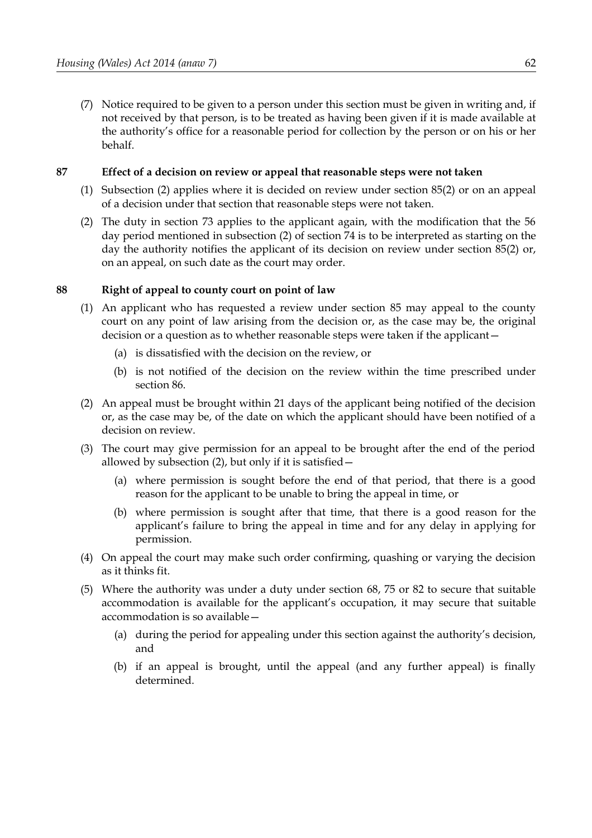(7) Notice required to be given to a person under this section must be given in writing and, if not received by that person, is to be treated as having been given if it is made available at the authority's office for a reasonable period for collection by the person or on his or her behalf.

### **87 Effect of a decision on review or appeal that reasonable steps were not taken**

- (1) Subsection [\(2\)](#page-67-2) applies where it is decided on review under section [85](#page-65-0)[\(2\)](#page-66-4) or on an appeal of a decision under that section that reasonable steps were not taken.
- <span id="page-67-2"></span>(2) The duty in section [73](#page-57-0) applies to the applicant again, with the modification that the 56 day period mentioned in subsection [\(2\)](#page-57-3) of section [74](#page-57-6) is to be interpreted as starting on the day the authority notifies the applicant of its decision on review under section [85](#page-65-0)[\(2\)](#page-66-4) or, on an appeal, on such date as the court may order.

### <span id="page-67-0"></span>**88 Right of appeal to county court on point of law**

- <span id="page-67-4"></span>(1) An applicant who has requested a review under section [85](#page-65-0) may appeal to the county court on any point of law arising from the decision or, as the case may be, the original decision or a question as to whether reasonable steps were taken if the applicant—
	- (a) is dissatisfied with the decision on the review, or
	- (b) is not notified of the decision on the review within the time prescribed under section [86.](#page-66-3)
- <span id="page-67-1"></span>(2) An appeal must be brought within 21 days of the applicant being notified of the decision or, as the case may be, of the date on which the applicant should have been notified of a decision on review.
- (3) The court may give permission for an appeal to be brought after the end of the period allowed by subsection [\(2\),](#page-67-1) but only if it is satisfied—
	- (a) where permission is sought before the end of that period, that there is a good reason for the applicant to be unable to bring the appeal in time, or
	- (b) where permission is sought after that time, that there is a good reason for the applicant's failure to bring the appeal in time and for any delay in applying for permission.
- (4) On appeal the court may make such order confirming, quashing or varying the decision as it thinks fit.
- <span id="page-67-3"></span>(5) Where the authority was under a duty under section [68,](#page-52-0) [75](#page-58-0) or [82](#page-64-0) to secure that suitable accommodation is available for the applicant's occupation, it may secure that suitable accommodation is so available—
	- (a) during the period for appealing under this section against the authority's decision, and
	- (b) if an appeal is brought, until the appeal (and any further appeal) is finally determined.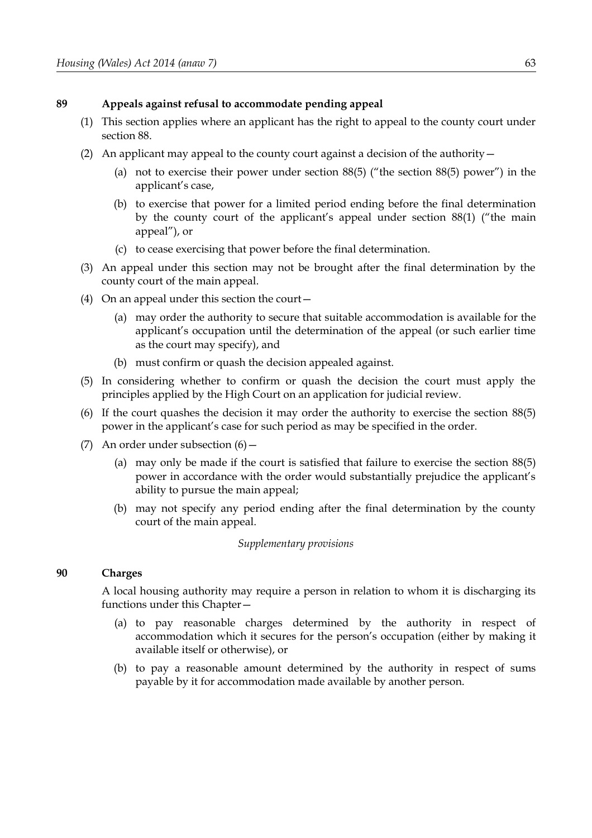### <span id="page-68-1"></span>**89 Appeals against refusal to accommodate pending appeal**

- (1) This section applies where an applicant has the right to appeal to the county court under section [88.](#page-67-0)
- (2) An applicant may appeal to the county court against a decision of the authority—
	- (a) not to exercise their power under section [88](#page-67-0)[\(5\)](#page-67-3) ("the section [88](#page-67-0)[\(5\)](#page-67-3) power") in the applicant's case,
	- (b) to exercise that power for a limited period ending before the final determination by the county court of the applicant's appeal under section [88](#page-67-0)[\(1\)](#page-67-4) ("the main appeal"), or
	- (c) to cease exercising that power before the final determination.
- (3) An appeal under this section may not be brought after the final determination by the county court of the main appeal.
- (4) On an appeal under this section the court—
	- (a) may order the authority to secure that suitable accommodation is available for the applicant's occupation until the determination of the appeal (or such earlier time as the court may specify), and
	- (b) must confirm or quash the decision appealed against.
- (5) In considering whether to confirm or quash the decision the court must apply the principles applied by the High Court on an application for judicial review.
- <span id="page-68-2"></span>(6) If the court quashes the decision it may order the authority to exercise the section [88](#page-67-0)[\(5\)](#page-67-3) power in the applicant's case for such period as may be specified in the order.
- (7) An order under subsection [\(6\)—](#page-68-2)
	- (a) may only be made if the court is satisfied that failure to exercise the section [88](#page-67-0)[\(5\)](#page-67-3) power in accordance with the order would substantially prejudice the applicant's ability to pursue the main appeal;
	- (b) may not specify any period ending after the final determination by the county court of the main appeal.

#### *Supplementary provisions*

## <span id="page-68-0"></span>**90 Charges**

A local housing authority may require a person in relation to whom it is discharging its functions under this Chapter—

- (a) to pay reasonable charges determined by the authority in respect of accommodation which it secures for the person's occupation (either by making it available itself or otherwise), or
- (b) to pay a reasonable amount determined by the authority in respect of sums payable by it for accommodation made available by another person.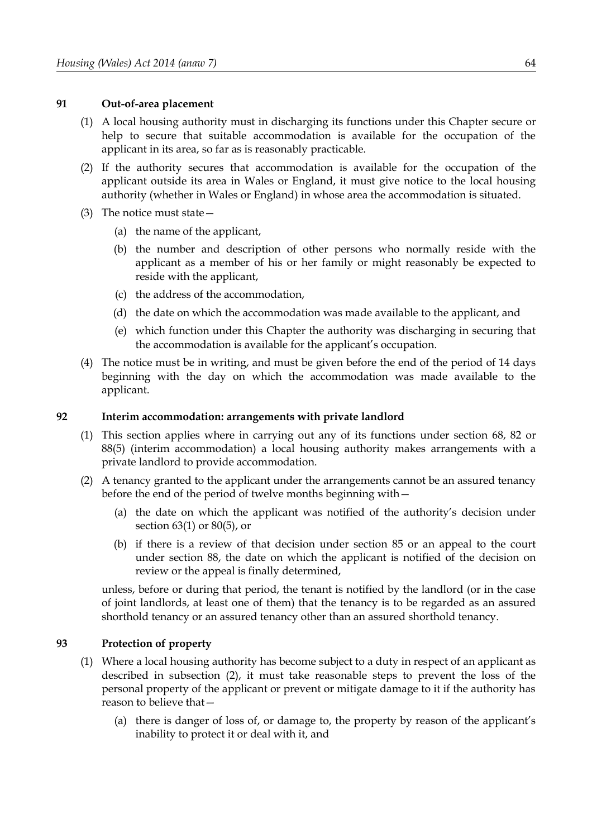### **91 Out-of-area placement**

- (1) A local housing authority must in discharging its functions under this Chapter secure or help to secure that suitable accommodation is available for the occupation of the applicant in its area, so far as is reasonably practicable.
- (2) If the authority secures that accommodation is available for the occupation of the applicant outside its area in Wales or England, it must give notice to the local housing authority (whether in Wales or England) in whose area the accommodation is situated.
- (3) The notice must state—
	- (a) the name of the applicant,
	- (b) the number and description of other persons who normally reside with the applicant as a member of his or her family or might reasonably be expected to reside with the applicant,
	- (c) the address of the accommodation,
	- (d) the date on which the accommodation was made available to the applicant, and
	- (e) which function under this Chapter the authority was discharging in securing that the accommodation is available for the applicant's occupation.
- (4) The notice must be in writing, and must be given before the end of the period of 14 days beginning with the day on which the accommodation was made available to the applicant.

#### **92 Interim accommodation: arrangements with private landlord**

- (1) This section applies where in carrying out any of its functions under section [68,](#page-52-0) [82](#page-64-0) or [88](#page-67-0)[\(5\)](#page-67-3) (interim accommodation) a local housing authority makes arrangements with a private landlord to provide accommodation.
- (2) A tenancy granted to the applicant under the arrangements cannot be an assured tenancy before the end of the period of twelve months beginning with—
	- (a) the date on which the applicant was notified of the authority's decision under section [63](#page-50-0)[\(1\)](#page-50-2) or [80](#page-62-0)[\(5\),](#page-62-5) or
	- (b) if there is a review of that decision under section [85](#page-65-0) or an appeal to the court under section [88,](#page-67-0) the date on which the applicant is notified of the decision on review or the appeal is finally determined,

unless, before or during that period, the tenant is notified by the landlord (or in the case of joint landlords, at least one of them) that the tenancy is to be regarded as an assured shorthold tenancy or an assured tenancy other than an assured shorthold tenancy.

### <span id="page-69-0"></span>**93 Protection of property**

- <span id="page-69-1"></span>(1) Where a local housing authority has become subject to a duty in respect of an applicant as described in subsection [\(2\),](#page-70-0) it must take reasonable steps to prevent the loss of the personal property of the applicant or prevent or mitigate damage to it if the authority has reason to believe that—
	- (a) there is danger of loss of, or damage to, the property by reason of the applicant's inability to protect it or deal with it, and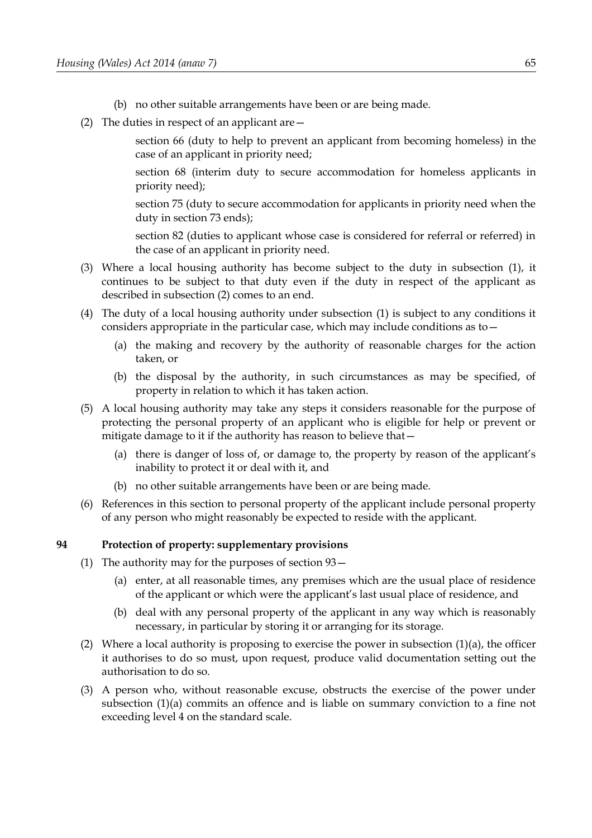- (b) no other suitable arrangements have been or are being made.
- <span id="page-70-0"></span>(2) The duties in respect of an applicant are—

section [66](#page-52-1) (duty to help to prevent an applicant from becoming homeless) in the case of an applicant in priority need;

section [68](#page-52-0) (interim duty to secure accommodation for homeless applicants in priority need);

section 75 (duty to secure accommodation for applicants in priority need when the duty in section 73 ends);

section [82](#page-64-0) (duties to applicant whose case is considered for referral or referred) in the case of an applicant in priority need.

- (3) Where a local housing authority has become subject to the duty in subsection [\(1\),](#page-69-1) it continues to be subject to that duty even if the duty in respect of the applicant as described in subsection [\(2\)](#page-70-0) comes to an end.
- (4) The duty of a local housing authority under subsection [\(1\)](#page-69-1) is subject to any conditions it considers appropriate in the particular case, which may include conditions as to—
	- (a) the making and recovery by the authority of reasonable charges for the action taken, or
	- (b) the disposal by the authority, in such circumstances as may be specified, of property in relation to which it has taken action.
- (5) A local housing authority may take any steps it considers reasonable for the purpose of protecting the personal property of an applicant who is eligible for help or prevent or mitigate damage to it if the authority has reason to believe that—
	- (a) there is danger of loss of, or damage to, the property by reason of the applicant's inability to protect it or deal with it, and
	- (b) no other suitable arrangements have been or are being made.
- (6) References in this section to personal property of the applicant include personal property of any person who might reasonably be expected to reside with the applicant.

#### **94 Protection of property: supplementary provisions**

- <span id="page-70-2"></span><span id="page-70-1"></span>(1) The authority may for the purposes of section [93—](#page-69-0)
	- (a) enter, at all reasonable times, any premises which are the usual place of residence of the applicant or which were the applicant's last usual place of residence, and
	- (b) deal with any personal property of the applicant in any way which is reasonably necessary, in particular by storing it or arranging for its storage.
- (2) Where a local authority is proposing to exercise the power in subsection  $(1)(a)$ , the officer it authorises to do so must, upon request, produce valid documentation setting out the authorisation to do so.
- (3) A person who, without reasonable excuse, obstructs the exercise of the power under subsection [\(1\)](#page-70-2)[\(a\)](#page-70-1) commits an offence and is liable on summary conviction to a fine not exceeding level 4 on the standard scale.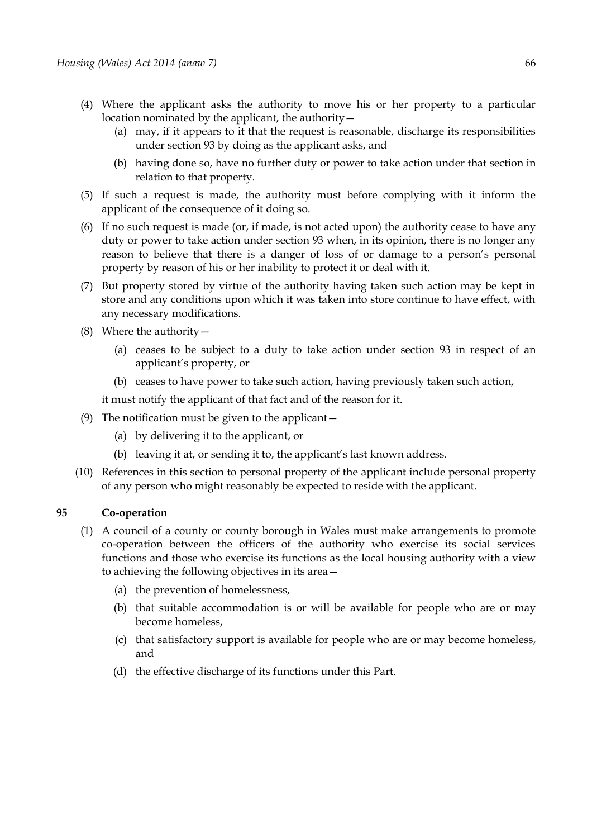- (4) Where the applicant asks the authority to move his or her property to a particular location nominated by the applicant, the authority—
	- (a) may, if it appears to it that the request is reasonable, discharge its responsibilities under section [93](#page-69-0) by doing as the applicant asks, and
	- (b) having done so, have no further duty or power to take action under that section in relation to that property.
- (5) If such a request is made, the authority must before complying with it inform the applicant of the consequence of it doing so.
- (6) If no such request is made (or, if made, is not acted upon) the authority cease to have any duty or power to take action under section [93](#page-69-0) when, in its opinion, there is no longer any reason to believe that there is a danger of loss of or damage to a person's personal property by reason of his or her inability to protect it or deal with it.
- (7) But property stored by virtue of the authority having taken such action may be kept in store and any conditions upon which it was taken into store continue to have effect, with any necessary modifications.
- (8) Where the authority—
	- (a) ceases to be subject to a duty to take action under section [93](#page-69-0) in respect of an applicant's property, or
	- (b) ceases to have power to take such action, having previously taken such action,

it must notify the applicant of that fact and of the reason for it.

- (9) The notification must be given to the applicant—
	- (a) by delivering it to the applicant, or
	- (b) leaving it at, or sending it to, the applicant's last known address.
- (10) References in this section to personal property of the applicant include personal property of any person who might reasonably be expected to reside with the applicant.

### **95 Co-operation**

- (1) A council of a county or county borough in Wales must make arrangements to promote co-operation between the officers of the authority who exercise its social services functions and those who exercise its functions as the local housing authority with a view to achieving the following objectives in its area—
	- (a) the prevention of homelessness,
	- (b) that suitable accommodation is or will be available for people who are or may become homeless,
	- (c) that satisfactory support is available for people who are or may become homeless, and
	- (d) the effective discharge of its functions under this Part.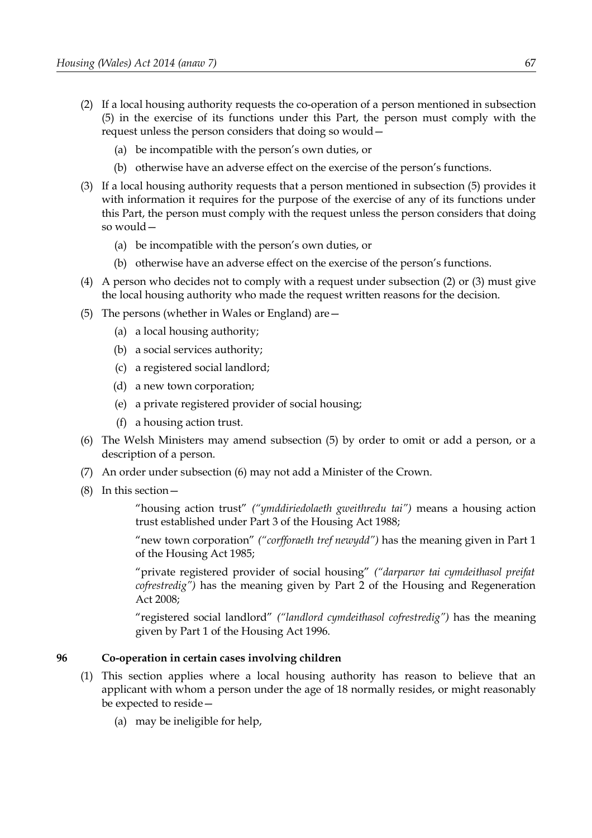- <span id="page-72-1"></span>(2) If a local housing authority requests the co-operation of a person mentioned in subsection [\(5\)](#page-72-2) in the exercise of its functions under this Part, the person must comply with the request unless the person considers that doing so would—
	- (a) be incompatible with the person's own duties, or
	- (b) otherwise have an adverse effect on the exercise of the person's functions.
- <span id="page-72-0"></span>(3) If a local housing authority requests that a person mentioned in subsection [\(5\)](#page-72-2) provides it with information it requires for the purpose of the exercise of any of its functions under this Part, the person must comply with the request unless the person considers that doing so would—
	- (a) be incompatible with the person's own duties, or
	- (b) otherwise have an adverse effect on the exercise of the person's functions.
- <span id="page-72-4"></span>(4) A person who decides not to comply with a request under subsection [\(2\)](#page-72-1) or [\(3\)](#page-72-0) must give the local housing authority who made the request written reasons for the decision.
- <span id="page-72-3"></span><span id="page-72-2"></span>(5) The persons (whether in Wales or England) are—
	- (a) a local housing authority;
	- (b) a social services authority;
	- (c) a registered social landlord;
	- (d) a new town corporation;
	- (e) a private registered provider of social housing;
	- (f) a housing action trust.
- (6) The Welsh Ministers may amend subsection (5) by order to omit or add a person, or a description of a person.
- (7) An order under subsection (6) may not add a Minister of the Crown.
- (8) In this section—

"housing action trust" *("ymddiriedolaeth gweithredu tai")* means a housing action trust established under Part 3 of the Housing Act 1988;

"new town corporation" *("corfforaeth tref newydd")* has the meaning given in Part 1 of the Housing Act 1985;

"private registered provider of social housing" *("darparwr tai cymdeithasol preifat cofrestredig")* has the meaning given by Part 2 of the Housing and Regeneration Act 2008;

"registered social landlord" *("landlord cymdeithasol cofrestredig")* has the meaning given by Part 1 of the Housing Act 1996.

### **96 Co-operation in certain cases involving children**

- (1) This section applies where a local housing authority has reason to believe that an applicant with whom a person under the age of 18 normally resides, or might reasonably be expected to reside—
	- (a) may be ineligible for help,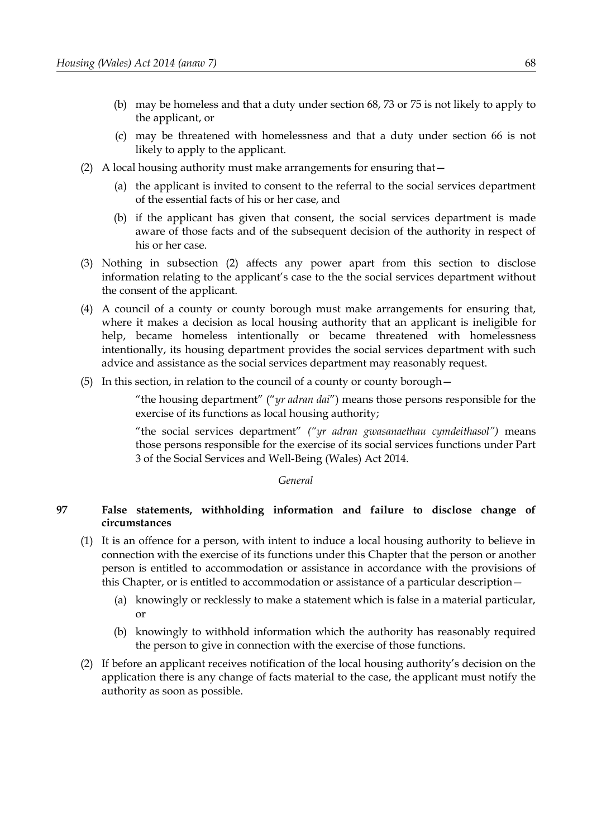- (b) may be homeless and that a duty under section [68,](#page-52-1) [73](#page-57-0) or [75](#page-58-0) is not likely to apply to the applicant, or
- (c) may be threatened with homelessness and that a duty under section [66](#page-52-0) is not likely to apply to the applicant.
- <span id="page-73-0"></span>(2) A local housing authority must make arrangements for ensuring that—
	- (a) the applicant is invited to consent to the referral to the social services department of the essential facts of his or her case, and
	- (b) if the applicant has given that consent, the social services department is made aware of those facts and of the subsequent decision of the authority in respect of his or her case.
- (3) Nothing in subsection [\(2\)](#page-73-0) affects any power apart from this section to disclose information relating to the applicant's case to the the social services department without the consent of the applicant.
- (4) A council of a county or county borough must make arrangements for ensuring that, where it makes a decision as local housing authority that an applicant is ineligible for help, became homeless intentionally or became threatened with homelessness intentionally, its housing department provides the social services department with such advice and assistance as the social services department may reasonably request.
- (5) In this section, in relation to the council of a county or county borough—

"the housing department" ("*yr adran dai*") means those persons responsible for the exercise of its functions as local housing authority;

"the social services department" *("yr adran gwasanaethau cymdeithasol")* means those persons responsible for the exercise of its social services functions under Part 3 of the Social Services and Well-Being (Wales) Act 2014.

*General*

## **97 False statements, withholding information and failure to disclose change of circumstances**

- (1) It is an offence for a person, with intent to induce a local housing authority to believe in connection with the exercise of its functions under this Chapter that the person or another person is entitled to accommodation or assistance in accordance with the provisions of this Chapter, or is entitled to accommodation or assistance of a particular description—
	- (a) knowingly or recklessly to make a statement which is false in a material particular, or
	- (b) knowingly to withhold information which the authority has reasonably required the person to give in connection with the exercise of those functions.
- <span id="page-73-1"></span>(2) If before an applicant receives notification of the local housing authority's decision on the application there is any change of facts material to the case, the applicant must notify the authority as soon as possible.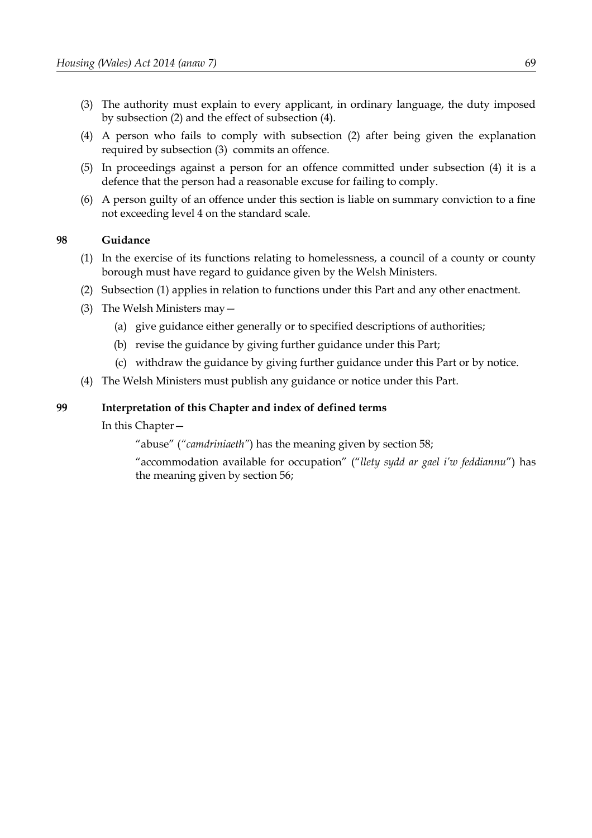- <span id="page-74-1"></span>(3) The authority must explain to every applicant, in ordinary language, the duty imposed by subsection [\(2\)](#page-73-1) and the effect of subsection [\(4\).](#page-74-0)
- <span id="page-74-0"></span>(4) A person who fails to comply with subsection [\(2\)](#page-73-1) after being given the explanation required by subsection [\(3\)](#page-74-1) commits an offence.
- (5) In proceedings against a person for an offence committed under subsection [\(4\)](#page-74-0) it is a defence that the person had a reasonable excuse for failing to comply.
- (6) A person guilty of an offence under this section is liable on summary conviction to a fine not exceeding level 4 on the standard scale.

### **98 Guidance**

- (1) In the exercise of its functions relating to homelessness, a council of a county or county borough must have regard to guidance given by the Welsh Ministers.
- (2) Subsection (1) applies in relation to functions under this Part and any other enactment.
- (3) The Welsh Ministers may—
	- (a) give guidance either generally or to specified descriptions of authorities;
	- (b) revise the guidance by giving further guidance under this Part;
	- (c) withdraw the guidance by giving further guidance under this Part or by notice.
- (4) The Welsh Ministers must publish any guidance or notice under this Part.

### <span id="page-74-2"></span>**99 Interpretation of this Chapter and index of defined terms**

In this Chapter—

"abuse" (*"camdriniaeth"*) has the meaning given by section [58;](#page-46-0)

"accommodation available for occupation" ("*llety sydd ar gael i'w feddiannu*") has the meaning given by section [56;](#page-45-0)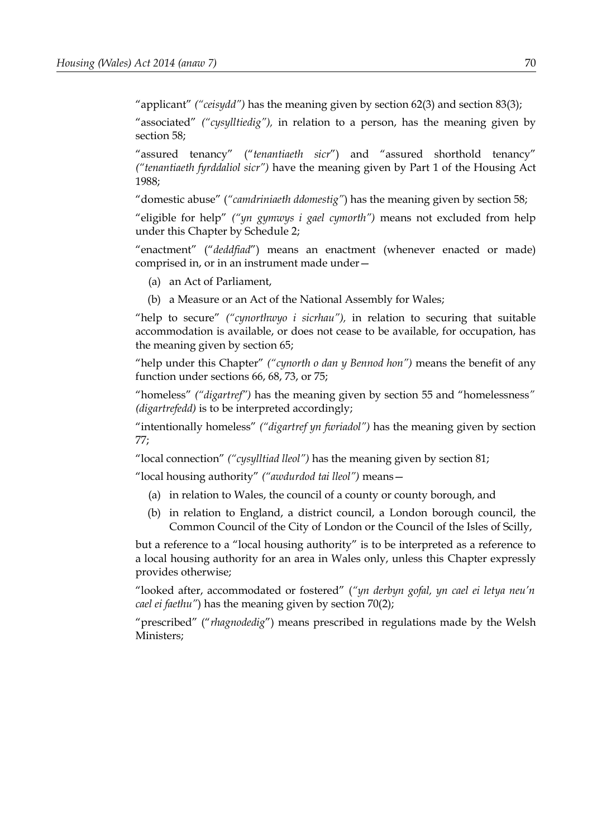"applicant" *("ceisydd")* has the meaning given by section [62](#page-49-1)[\(3\)](#page-49-0) and section [83](#page-64-0)[\(3\);](#page-65-0)

"associated" *("cysylltiedig"),* in relation to a person, has the meaning given by section [58;](#page-46-0)

"assured tenancy" ("*tenantiaeth sicr*") and "assured shorthold tenancy" *("tenantiaeth fyrddaliol sicr")* have the meaning given by Part 1 of the Housing Act 1988;

"domestic abuse" (*"camdriniaeth ddomestig"*) has the meaning given by section [58;](#page-46-0)

"eligible for help" *("yn gymwys i gael cymorth")* means not excluded from help under this Chapter by Schedule [2;](#page-100-0)

"enactment" ("*deddfiad*") means an enactment (whenever enacted or made) comprised in, or in an instrument made under—

- (a) an Act of Parliament,
- (b) a Measure or an Act of the National Assembly for Wales;

"help to secure" *("cynorthwyo i sicrhau"),* in relation to securing that suitable accommodation is available, or does not cease to be available, for occupation, has the meaning given by section [65;](#page-51-0)

"help under this Chapter" *("cynorth o dan y Bennod hon")* means the benefit of any function under sections [66,](#page-52-0) [68,](#page-52-1) [73,](#page-57-0) or [75;](#page-58-0)

"homeless" *("digartref")* has the meaning given by section [55](#page-44-0) and "homelessness*" (digartrefedd)* is to be interpreted accordingly;

"intentionally homeless" *("digartref yn fwriadol")* has the meaning given by section [77;](#page-60-0)

"local connection" *("cysylltiad lleol")* has the meaning given by section [81;](#page-63-0)

"local housing authority" *("awdurdod tai lleol")* means—

- (a) in relation to Wales, the council of a county or county borough, and
- (b) in relation to England, a district council, a London borough council, the Common Council of the City of London or the Council of the Isles of Scilly,

but a reference to a "local housing authority" is to be interpreted as a reference to a local housing authority for an area in Wales only, unless this Chapter expressly provides otherwise;

"looked after, accommodated or fostered" (*"yn derbyn gofal, yn cael ei letya neu'n cael ei faethu"*) has the meaning given by section 70(2);

"prescribed" ("*rhagnodedig*") means prescribed in regulations made by the Welsh Ministers;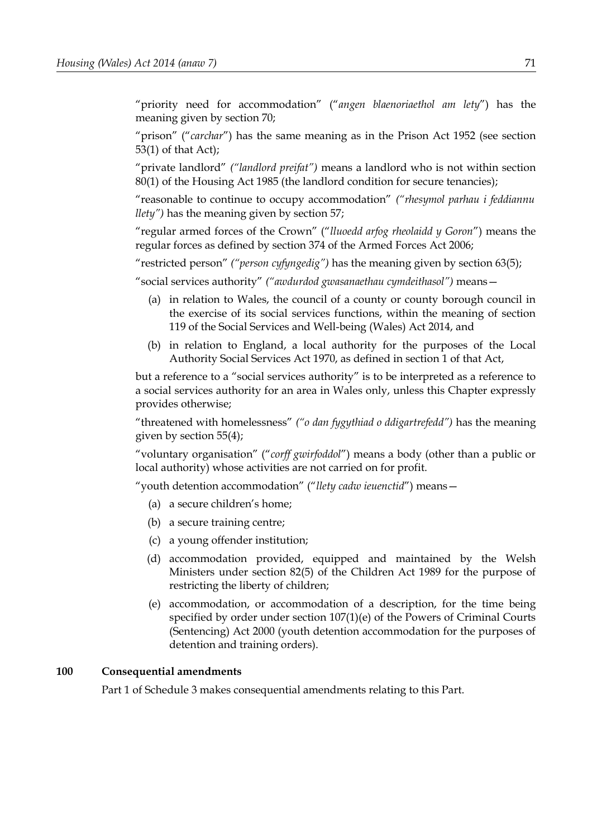"priority need for accommodation" ("*angen blaenoriaethol am lety*") has the meaning given by section [70;](#page-54-0)

"prison" ("*carchar*") has the same meaning as in the Prison Act 1952 (see section 53(1) of that Act);

"private landlord" *("landlord preifat")* means a landlord who is not within section 80(1) of the Housing Act 1985 (the landlord condition for secure tenancies);

"reasonable to continue to occupy accommodation" *("rhesymol parhau i feddiannu llety")* has the meaning given by section [57;](#page-45-2)

"regular armed forces of the Crown" ("*lluoedd arfog rheolaidd y Goron*") means the regular forces as defined by section 374 of the Armed Forces Act 2006;

"restricted person" *("person cyfyngedig")* has the meaning given by section [63](#page-50-1)[\(5\);](#page-50-0)

"social services authority" *("awdurdod gwasanaethau cymdeithasol")* means—

- (a) in relation to Wales, the council of a county or county borough council in the exercise of its social services functions, within the meaning of section 119 of the Social Services and Well-being (Wales) Act 2014, and
- (b) in relation to England, a local authority for the purposes of the Local Authority Social Services Act 1970, as defined in section 1 of that Act,

but a reference to a "social services authority" is to be interpreted as a reference to a social services authority for an area in Wales only, unless this Chapter expressly provides otherwise;

"threatened with homelessness" *("o dan fygythiad o ddigartrefedd")* has the meaning given by section [55](#page-44-0)[\(4\);](#page-45-1)

"voluntary organisation" ("*corff gwirfoddol*") means a body (other than a public or local authority) whose activities are not carried on for profit.

"youth detention accommodation" ("*llety cadw ieuenctid*") means—

- (a) a secure children's home;
- (b) a secure training centre;
- (c) a young offender institution;
- (d) accommodation provided, equipped and maintained by the Welsh Ministers under section 82(5) of the Children Act 1989 for the purpose of restricting the liberty of children;
- (e) accommodation, or accommodation of a description, for the time being specified by order under section 107(1)(e) of the Powers of Criminal Courts (Sentencing) Act 2000 (youth detention accommodation for the purposes of detention and training orders).

### <span id="page-76-0"></span>**100 Consequential amendments**

Part [1](#page-102-1) of Schedule [3](#page-102-0) makes consequential amendments relating to this Part.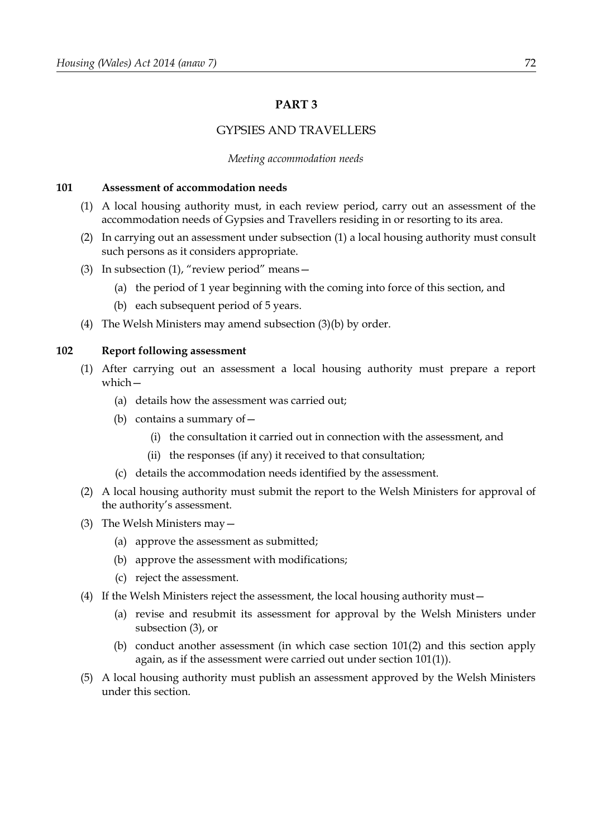# <span id="page-77-7"></span>**PART 3**

# GYPSIES AND TRAVELLERS

#### *Meeting accommodation needs*

#### <span id="page-77-1"></span>**101 Assessment of accommodation needs**

- <span id="page-77-0"></span>(1) A local housing authority must, in each review period, carry out an assessment of the accommodation needs of Gypsies and Travellers residing in or resorting to its area.
- <span id="page-77-2"></span>(2) In carrying out an assessment under subsection [\(1\)](#page-77-0) a local housing authority must consult such persons as it considers appropriate.
- <span id="page-77-5"></span>(3) In subsection [\(1\),](#page-77-0) "review period" means—
	- (a) the period of 1 year beginning with the coming into force of this section, and
	- (b) each subsequent period of 5 years.
- <span id="page-77-4"></span>(4) The Welsh Ministers may amend subsection [\(3\)](#page-77-5)[\(b\)](#page-77-4) by order.

#### <span id="page-77-6"></span>**102 Report following assessment**

- (1) After carrying out an assessment a local housing authority must prepare a report which—
	- (a) details how the assessment was carried out;
	- (b) contains a summary of  $-$ 
		- (i) the consultation it carried out in connection with the assessment, and
		- (ii) the responses (if any) it received to that consultation;
	- (c) details the accommodation needs identified by the assessment.
- (2) A local housing authority must submit the report to the Welsh Ministers for approval of the authority's assessment.
- <span id="page-77-3"></span>(3) The Welsh Ministers may—
	- (a) approve the assessment as submitted;
	- (b) approve the assessment with modifications;
	- (c) reject the assessment.
- (4) If the Welsh Ministers reject the assessment, the local housing authority must—
	- (a) revise and resubmit its assessment for approval by the Welsh Ministers under subsection [\(3\),](#page-77-3) or
	- (b) conduct another assessment (in which case section [101](#page-77-1)[\(2\)](#page-77-2) and this section apply again, as if the assessment were carried out under section [101](#page-77-1)[\(1\)\)](#page-77-0).
- (5) A local housing authority must publish an assessment approved by the Welsh Ministers under this section.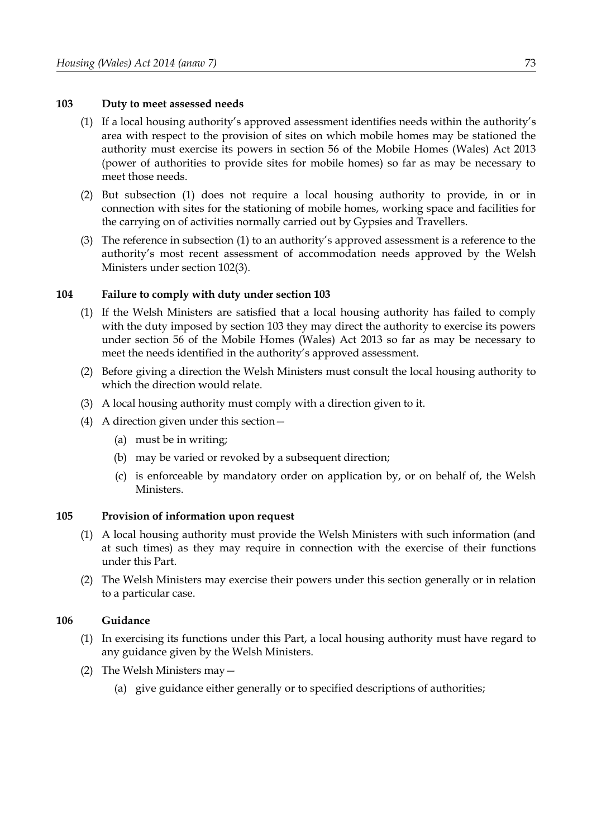### **103 Duty to meet assessed needs**

- <span id="page-78-0"></span>(1) If a local housing authority's approved assessment identifies needs within the authority's area with respect to the provision of sites on which mobile homes may be stationed the authority must exercise its powers in section 56 of the Mobile Homes (Wales) Act 2013 (power of authorities to provide sites for mobile homes) so far as may be necessary to meet those needs.
- (2) But subsection [\(1\)](#page-78-0) does not require a local housing authority to provide, in or in connection with sites for the stationing of mobile homes, working space and facilities for the carrying on of activities normally carried out by Gypsies and Travellers.
- (3) The reference in subsection [\(1\)](#page-78-0) to an authority's approved assessment is a reference to the authority's most recent assessment of accommodation needs approved by the Welsh Ministers under section [102](#page-77-6)[\(3\).](#page-77-3)

### **104 Failure to comply with duty under section 103**

- (1) If the Welsh Ministers are satisfied that a local housing authority has failed to comply with the duty imposed by section 103 they may direct the authority to exercise its powers under section 56 of the Mobile Homes (Wales) Act 2013 so far as may be necessary to meet the needs identified in the authority's approved assessment.
- (2) Before giving a direction the Welsh Ministers must consult the local housing authority to which the direction would relate.
- (3) A local housing authority must comply with a direction given to it.
- (4) A direction given under this section—
	- (a) must be in writing;
	- (b) may be varied or revoked by a subsequent direction;
	- (c) is enforceable by mandatory order on application by, or on behalf of, the Welsh **Ministers**

### **105 Provision of information upon request**

- (1) A local housing authority must provide the Welsh Ministers with such information (and at such times) as they may require in connection with the exercise of their functions under this Part.
- (2) The Welsh Ministers may exercise their powers under this section generally or in relation to a particular case.

### **106 Guidance**

- (1) In exercising its functions under this Part, a local housing authority must have regard to any guidance given by the Welsh Ministers.
- (2) The Welsh Ministers may—
	- (a) give guidance either generally or to specified descriptions of authorities;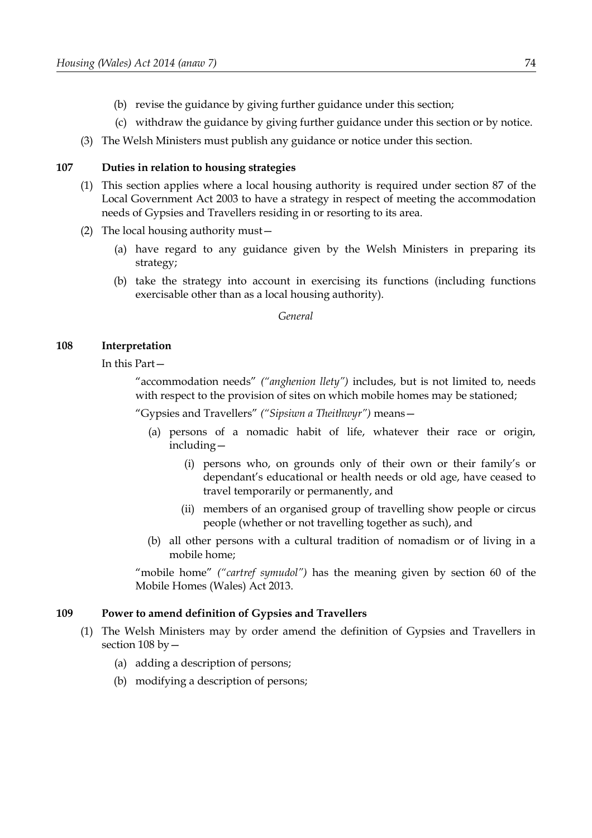- (b) revise the guidance by giving further guidance under this section;
- (c) withdraw the guidance by giving further guidance under this section or by notice.
- (3) The Welsh Ministers must publish any guidance or notice under this section.

### **107 Duties in relation to housing strategies**

- (1) This section applies where a local housing authority is required under section 87 of the Local Government Act 2003 to have a strategy in respect of meeting the accommodation needs of Gypsies and Travellers residing in or resorting to its area.
- (2) The local housing authority must—
	- (a) have regard to any guidance given by the Welsh Ministers in preparing its strategy;
	- (b) take the strategy into account in exercising its functions (including functions exercisable other than as a local housing authority).

*General*

#### <span id="page-79-0"></span>**108 Interpretation**

In this Part—

"accommodation needs" *("anghenion llety")* includes, but is not limited to, needs with respect to the provision of sites on which mobile homes may be stationed;

"Gypsies and Travellers" *("Sipsiwn a Theithwyr")* means—

- (a) persons of a nomadic habit of life, whatever their race or origin, including—
	- (i) persons who, on grounds only of their own or their family's or dependant's educational or health needs or old age, have ceased to travel temporarily or permanently, and
	- (ii) members of an organised group of travelling show people or circus people (whether or not travelling together as such), and
- (b) all other persons with a cultural tradition of nomadism or of living in a mobile home;

"mobile home" *("cartref symudol")* has the meaning given by section 60 of the Mobile Homes (Wales) Act 2013.

#### <span id="page-79-2"></span>**109 Power to amend definition of Gypsies and Travellers**

- <span id="page-79-1"></span>(1) The Welsh Ministers may by order amend the definition of Gypsies and Travellers in section [108](#page-79-0) by—
	- (a) adding a description of persons;
	- (b) modifying a description of persons;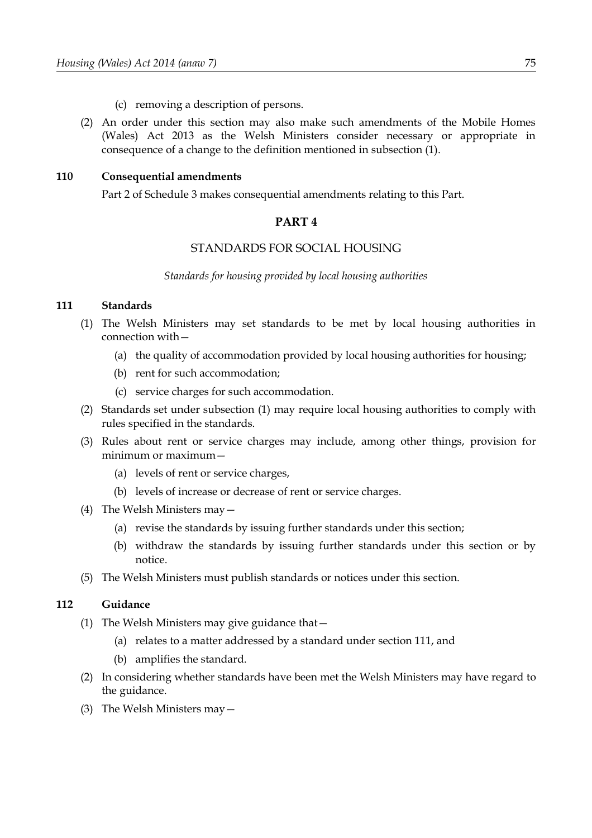- (c) removing a description of persons.
- (2) An order under this section may also make such amendments of the Mobile Homes (Wales) Act 2013 as the Welsh Ministers consider necessary or appropriate in consequence of a change to the definition mentioned in subsection [\(1\).](#page-79-1)

### <span id="page-80-3"></span>**110 Consequential amendments**

Part [2](#page-105-0) of Schedule [3](#page-102-0) makes consequential amendments relating to this Part.

### **PART 4**

# STANDARDS FOR SOCIAL HOUSING

*Standards for housing provided by local housing authorities*

### <span id="page-80-0"></span>**111 Standards**

- <span id="page-80-1"></span>(1) The Welsh Ministers may set standards to be met by local housing authorities in connection with—
	- (a) the quality of accommodation provided by local housing authorities for housing;
	- (b) rent for such accommodation;
	- (c) service charges for such accommodation.
- (2) Standards set under subsection [\(1\)](#page-80-1) may require local housing authorities to comply with rules specified in the standards.
- (3) Rules about rent or service charges may include, among other things, provision for minimum or maximum—
	- (a) levels of rent or service charges,
	- (b) levels of increase or decrease of rent or service charges.
- (4) The Welsh Ministers may—
	- (a) revise the standards by issuing further standards under this section;
	- (b) withdraw the standards by issuing further standards under this section or by notice.
- (5) The Welsh Ministers must publish standards or notices under this section.

### <span id="page-80-2"></span>**112 Guidance**

- (1) The Welsh Ministers may give guidance that—
	- (a) relates to a matter addressed by a standard under section [111,](#page-80-0) and
	- (b) amplifies the standard.
- (2) In considering whether standards have been met the Welsh Ministers may have regard to the guidance.
- (3) The Welsh Ministers may—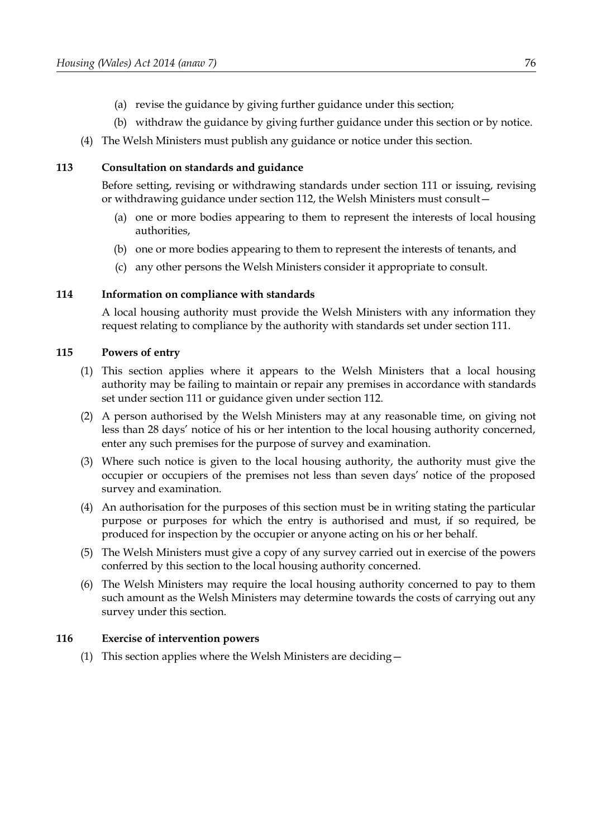- (a) revise the guidance by giving further guidance under this section;
- (b) withdraw the guidance by giving further guidance under this section or by notice.
- (4) The Welsh Ministers must publish any guidance or notice under this section.

### **113 Consultation on standards and guidance**

Before setting, revising or withdrawing standards under section [111](#page-80-0) or issuing, revising or withdrawing guidance under section [112,](#page-80-2) the Welsh Ministers must consult—

- (a) one or more bodies appearing to them to represent the interests of local housing authorities,
- (b) one or more bodies appearing to them to represent the interests of tenants, and
- (c) any other persons the Welsh Ministers consider it appropriate to consult.

### **114 Information on compliance with standards**

A local housing authority must provide the Welsh Ministers with any information they request relating to compliance by the authority with standards set under section [111.](#page-80-0)

### **115 Powers of entry**

- (1) This section applies where it appears to the Welsh Ministers that a local housing authority may be failing to maintain or repair any premises in accordance with standards set under section [111](#page-80-0) or guidance given under section [112.](#page-80-2)
- (2) A person authorised by the Welsh Ministers may at any reasonable time, on giving not less than 28 days' notice of his or her intention to the local housing authority concerned, enter any such premises for the purpose of survey and examination.
- (3) Where such notice is given to the local housing authority, the authority must give the occupier or occupiers of the premises not less than seven days' notice of the proposed survey and examination.
- (4) An authorisation for the purposes of this section must be in writing stating the particular purpose or purposes for which the entry is authorised and must, if so required, be produced for inspection by the occupier or anyone acting on his or her behalf.
- (5) The Welsh Ministers must give a copy of any survey carried out in exercise of the powers conferred by this section to the local housing authority concerned.
- (6) The Welsh Ministers may require the local housing authority concerned to pay to them such amount as the Welsh Ministers may determine towards the costs of carrying out any survey under this section.

### **116 Exercise of intervention powers**

<span id="page-81-0"></span>(1) This section applies where the Welsh Ministers are deciding—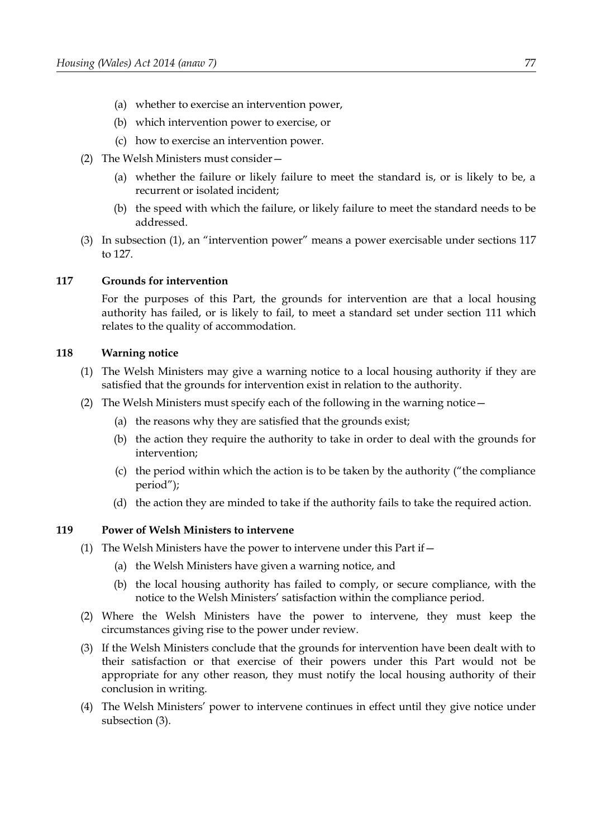- (a) whether to exercise an intervention power,
- (b) which intervention power to exercise, or
- (c) how to exercise an intervention power.
- (2) The Welsh Ministers must consider—
	- (a) whether the failure or likely failure to meet the standard is, or is likely to be, a recurrent or isolated incident;
	- (b) the speed with which the failure, or likely failure to meet the standard needs to be addressed.
- (3) In subsection [\(1\),](#page-81-0) an "intervention power" means a power exercisable under sections [117](#page-82-1) to [127.](#page-84-0)

### <span id="page-82-1"></span>**117 Grounds for intervention**

For the purposes of this Part, the grounds for intervention are that a local housing authority has failed, or is likely to fail, to meet a standard set under section [111](#page-80-0) which relates to the quality of accommodation.

### **118 Warning notice**

- (1) The Welsh Ministers may give a warning notice to a local housing authority if they are satisfied that the grounds for intervention exist in relation to the authority.
- (2) The Welsh Ministers must specify each of the following in the warning notice—
	- (a) the reasons why they are satisfied that the grounds exist;
	- (b) the action they require the authority to take in order to deal with the grounds for intervention;
	- (c) the period within which the action is to be taken by the authority ("the compliance period");
	- (d) the action they are minded to take if the authority fails to take the required action.

#### **119 Power of Welsh Ministers to intervene**

- (1) The Welsh Ministers have the power to intervene under this Part if  $-$ 
	- (a) the Welsh Ministers have given a warning notice, and
	- (b) the local housing authority has failed to comply, or secure compliance, with the notice to the Welsh Ministers' satisfaction within the compliance period.
- (2) Where the Welsh Ministers have the power to intervene, they must keep the circumstances giving rise to the power under review.
- <span id="page-82-0"></span>(3) If the Welsh Ministers conclude that the grounds for intervention have been dealt with to their satisfaction or that exercise of their powers under this Part would not be appropriate for any other reason, they must notify the local housing authority of their conclusion in writing.
- (4) The Welsh Ministers' power to intervene continues in effect until they give notice under subsection [\(3\).](#page-82-0)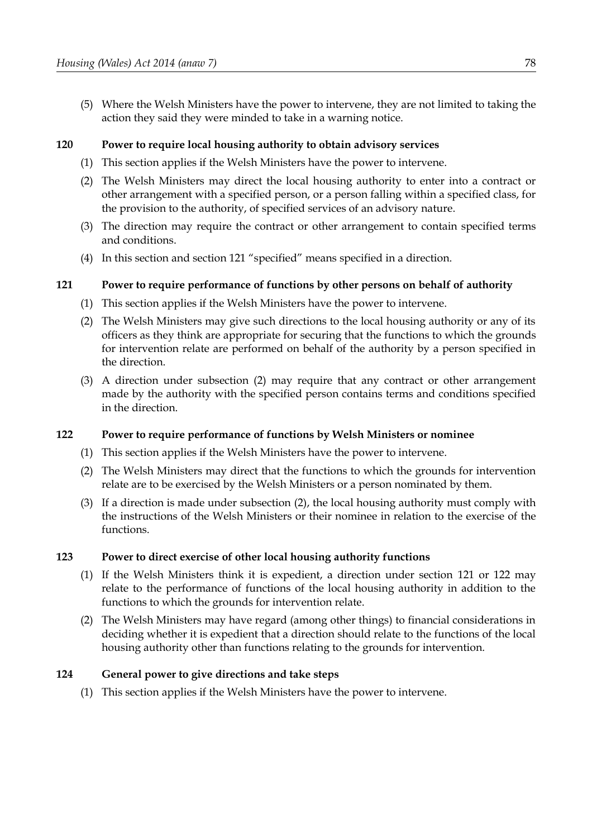(5) Where the Welsh Ministers have the power to intervene, they are not limited to taking the action they said they were minded to take in a warning notice.

### <span id="page-83-4"></span>**120 Power to require local housing authority to obtain advisory services**

- (1) This section applies if the Welsh Ministers have the power to intervene.
- (2) The Welsh Ministers may direct the local housing authority to enter into a contract or other arrangement with a specified person, or a person falling within a specified class, for the provision to the authority, of specified services of an advisory nature.
- (3) The direction may require the contract or other arrangement to contain specified terms and conditions.
- (4) In this section and section [121](#page-83-1) "specified" means specified in a direction.

### <span id="page-83-1"></span>**121 Power to require performance of functions by other persons on behalf of authority**

- (1) This section applies if the Welsh Ministers have the power to intervene.
- <span id="page-83-3"></span>(2) The Welsh Ministers may give such directions to the local housing authority or any of its officers as they think are appropriate for securing that the functions to which the grounds for intervention relate are performed on behalf of the authority by a person specified in the direction.
- (3) A direction under subsection [\(2\)](#page-83-3) may require that any contract or other arrangement made by the authority with the specified person contains terms and conditions specified in the direction.

### <span id="page-83-0"></span>**122 Power to require performance of functions by Welsh Ministers or nominee**

- (1) This section applies if the Welsh Ministers have the power to intervene.
- <span id="page-83-2"></span>(2) The Welsh Ministers may direct that the functions to which the grounds for intervention relate are to be exercised by the Welsh Ministers or a person nominated by them.
- (3) If a direction is made under subsection [\(2\),](#page-83-2) the local housing authority must comply with the instructions of the Welsh Ministers or their nominee in relation to the exercise of the functions.

### **123 Power to direct exercise of other local housing authority functions**

- (1) If the Welsh Ministers think it is expedient, a direction under section [121](#page-83-1) or [122](#page-83-0) may relate to the performance of functions of the local housing authority in addition to the functions to which the grounds for intervention relate.
- (2) The Welsh Ministers may have regard (among other things) to financial considerations in deciding whether it is expedient that a direction should relate to the functions of the local housing authority other than functions relating to the grounds for intervention.

### **124 General power to give directions and take steps**

(1) This section applies if the Welsh Ministers have the power to intervene.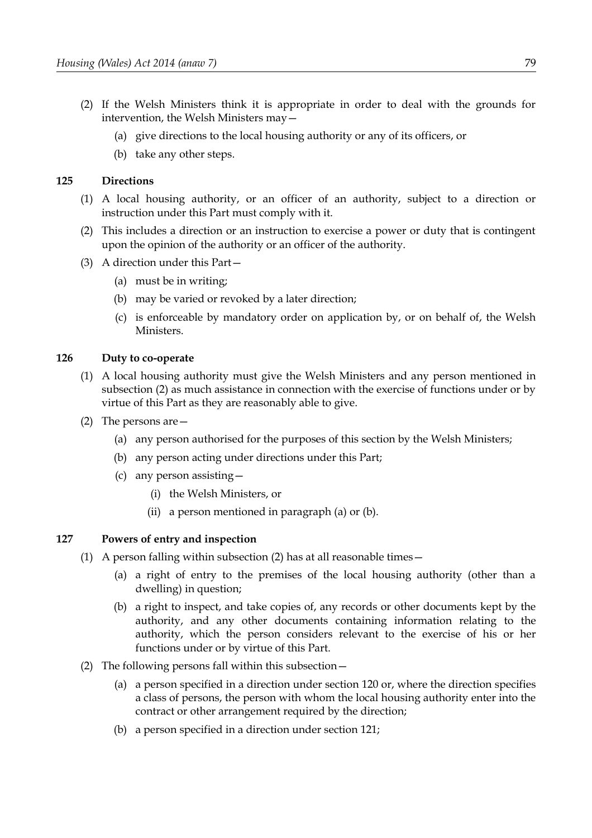- (2) If the Welsh Ministers think it is appropriate in order to deal with the grounds for intervention, the Welsh Ministers may—
	- (a) give directions to the local housing authority or any of its officers, or
	- (b) take any other steps.

### **125 Directions**

- (1) A local housing authority, or an officer of an authority, subject to a direction or instruction under this Part must comply with it.
- (2) This includes a direction or an instruction to exercise a power or duty that is contingent upon the opinion of the authority or an officer of the authority.
- (3) A direction under this Part—
	- (a) must be in writing;
	- (b) may be varied or revoked by a later direction;
	- (c) is enforceable by mandatory order on application by, or on behalf of, the Welsh Ministers.

### **126 Duty to co-operate**

- (1) A local housing authority must give the Welsh Ministers and any person mentioned in subsection [\(2\)](#page-84-4) as much assistance in connection with the exercise of functions under or by virtue of this Part as they are reasonably able to give.
- <span id="page-84-4"></span><span id="page-84-3"></span><span id="page-84-2"></span>(2) The persons are—
	- (a) any person authorised for the purposes of this section by the Welsh Ministers;
	- (b) any person acting under directions under this Part;
	- (c) any person assisting—
		- (i) the Welsh Ministers, or
		- (ii) a person mentioned in paragraph [\(a\)](#page-84-3) or [\(b\).](#page-84-2)

### <span id="page-84-0"></span>**127 Powers of entry and inspection**

- <span id="page-84-6"></span><span id="page-84-5"></span>(1) A person falling within subsection [\(2\)](#page-84-1) has at all reasonable times  $-$ 
	- (a) a right of entry to the premises of the local housing authority (other than a dwelling) in question;
	- (b) a right to inspect, and take copies of, any records or other documents kept by the authority, and any other documents containing information relating to the authority, which the person considers relevant to the exercise of his or her functions under or by virtue of this Part.
- <span id="page-84-1"></span>(2) The following persons fall within this subsection—
	- (a) a person specified in a direction under section [120](#page-83-4) or, where the direction specifies a class of persons, the person with whom the local housing authority enter into the contract or other arrangement required by the direction;
	- (b) a person specified in a direction under section [121;](#page-83-1)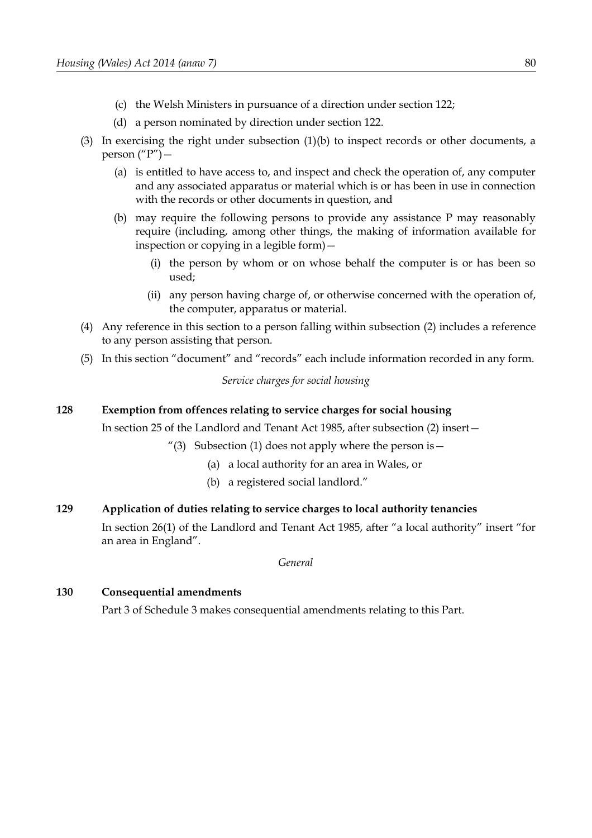- (c) the Welsh Ministers in pursuance of a direction under section [122;](#page-83-0)
- (d) a person nominated by direction under section [122.](#page-83-0)
- (3) In exercising the right under subsection [\(1\)](#page-84-6)[\(b\)](#page-84-5) to inspect records or other documents, a person  $(^{\prime\prime}P^{\prime\prime})$  –
	- (a) is entitled to have access to, and inspect and check the operation of, any computer and any associated apparatus or material which is or has been in use in connection with the records or other documents in question, and
	- (b) may require the following persons to provide any assistance P may reasonably require (including, among other things, the making of information available for inspection or copying in a legible form)—
		- (i) the person by whom or on whose behalf the computer is or has been so used;
		- (ii) any person having charge of, or otherwise concerned with the operation of, the computer, apparatus or material.
- (4) Any reference in this section to a person falling within subsection [\(2\)](#page-84-1) includes a reference to any person assisting that person.
- (5) In this section "document" and "records" each include information recorded in any form.

*Service charges for social housing*

### **128 Exemption from offences relating to service charges for social housing**

In section 25 of the Landlord and Tenant Act 1985, after subsection (2) insert—

- "(3) Subsection (1) does not apply where the person is  $-$ 
	- (a) a local authority for an area in Wales, or
	- (b) a registered social landlord."

# **129 Application of duties relating to service charges to local authority tenancies**

In section 26(1) of the Landlord and Tenant Act 1985, after "a local authority" insert "for an area in England".

*General*

### <span id="page-85-0"></span>**130 Consequential amendments**

Part [3](#page-106-0) of Schedule [3](#page-102-0) makes consequential amendments relating to this Part.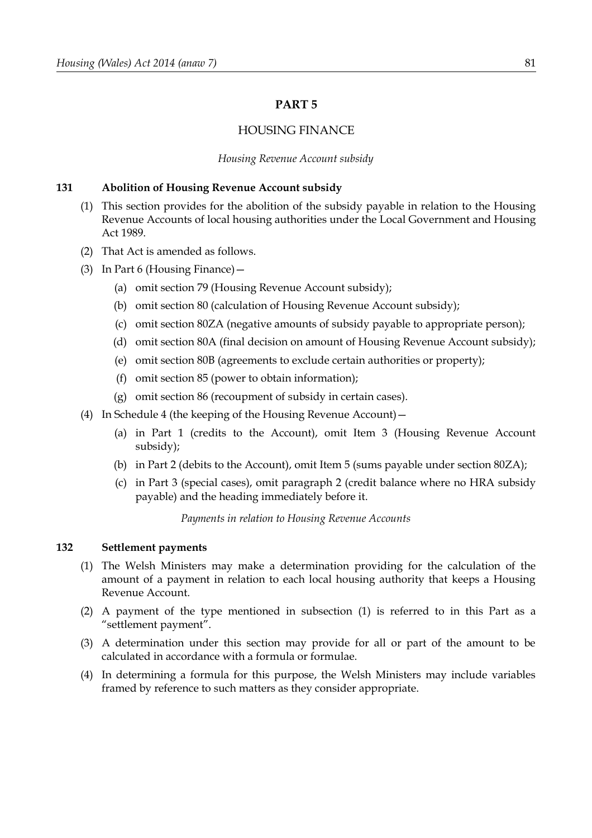### <span id="page-86-3"></span>**PART 5**

### HOUSING FINANCE

#### *Housing Revenue Account subsidy*

#### **131 Abolition of Housing Revenue Account subsidy**

- (1) This section provides for the abolition of the subsidy payable in relation to the Housing Revenue Accounts of local housing authorities under the Local Government and Housing Act 1989.
- (2) That Act is amended as follows.
- (3) In Part 6 (Housing Finance)—
	- (a) omit section 79 (Housing Revenue Account subsidy);
	- (b) omit section 80 (calculation of Housing Revenue Account subsidy);
	- (c) omit section 80ZA (negative amounts of subsidy payable to appropriate person);
	- (d) omit section 80A (final decision on amount of Housing Revenue Account subsidy);
	- (e) omit section 80B (agreements to exclude certain authorities or property);
	- (f) omit section 85 (power to obtain information);
	- (g) omit section 86 (recoupment of subsidy in certain cases).
- (4) In Schedule 4 (the keeping of the Housing Revenue Account)—
	- (a) in Part 1 (credits to the Account), omit Item 3 (Housing Revenue Account subsidy);
	- (b) in Part 2 (debits to the Account), omit Item 5 (sums payable under section 80ZA);
	- (c) in Part 3 (special cases), omit paragraph 2 (credit balance where no HRA subsidy payable) and the heading immediately before it.

*Payments in relation to Housing Revenue Accounts*

#### <span id="page-86-4"></span>**132 Settlement payments**

- <span id="page-86-0"></span>(1) The Welsh Ministers may make a determination providing for the calculation of the amount of a payment in relation to each local housing authority that keeps a Housing Revenue Account.
- (2) A payment of the type mentioned in subsection [\(1\)](#page-86-0) is referred to in this Part as a "settlement payment".
- <span id="page-86-2"></span>(3) A determination under this section may provide for all or part of the amount to be calculated in accordance with a formula or formulae.
- <span id="page-86-1"></span>(4) In determining a formula for this purpose, the Welsh Ministers may include variables framed by reference to such matters as they consider appropriate.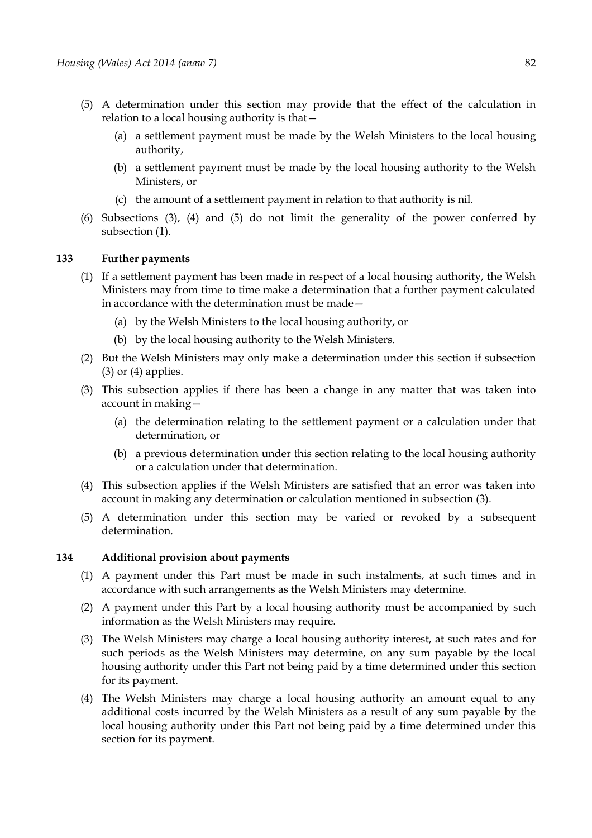- <span id="page-87-2"></span>(5) A determination under this section may provide that the effect of the calculation in relation to a local housing authority is that—
	- (a) a settlement payment must be made by the Welsh Ministers to the local housing authority,
	- (b) a settlement payment must be made by the local housing authority to the Welsh Ministers, or
	- (c) the amount of a settlement payment in relation to that authority is nil.
- (6) Subsections [\(3\),](#page-86-2) [\(4\)](#page-86-1) and [\(5\)](#page-87-2) do not limit the generality of the power conferred by subsection [\(1\).](#page-86-0)

### **133 Further payments**

- (1) If a settlement payment has been made in respect of a local housing authority, the Welsh Ministers may from time to time make a determination that a further payment calculated in accordance with the determination must be made—
	- (a) by the Welsh Ministers to the local housing authority, or
	- (b) by the local housing authority to the Welsh Ministers.
- (2) But the Welsh Ministers may only make a determination under this section if subsection  $(3)$  or  $(4)$  applies.
- <span id="page-87-0"></span>(3) This subsection applies if there has been a change in any matter that was taken into account in making—
	- (a) the determination relating to the settlement payment or a calculation under that determination, or
	- (b) a previous determination under this section relating to the local housing authority or a calculation under that determination.
- <span id="page-87-1"></span>(4) This subsection applies if the Welsh Ministers are satisfied that an error was taken into account in making any determination or calculation mentioned in subsection [\(3\).](#page-87-0)
- (5) A determination under this section may be varied or revoked by a subsequent determination.

### <span id="page-87-5"></span>**134 Additional provision about payments**

- (1) A payment under this Part must be made in such instalments, at such times and in accordance with such arrangements as the Welsh Ministers may determine.
- (2) A payment under this Part by a local housing authority must be accompanied by such information as the Welsh Ministers may require.
- <span id="page-87-4"></span>(3) The Welsh Ministers may charge a local housing authority interest, at such rates and for such periods as the Welsh Ministers may determine, on any sum payable by the local housing authority under this Part not being paid by a time determined under this section for its payment.
- <span id="page-87-3"></span>(4) The Welsh Ministers may charge a local housing authority an amount equal to any additional costs incurred by the Welsh Ministers as a result of any sum payable by the local housing authority under this Part not being paid by a time determined under this section for its payment.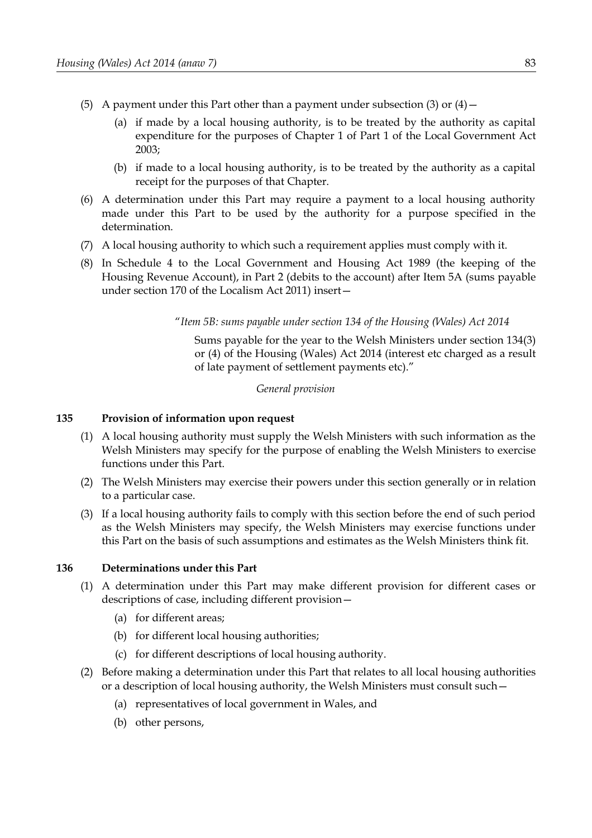- (5) A payment under this Part other than a payment under subsection [\(3\)](#page-87-4) or  $(4)$  -
	- (a) if made by a local housing authority, is to be treated by the authority as capital expenditure for the purposes of Chapter 1 of Part 1 of the Local Government Act 2003;
	- (b) if made to a local housing authority, is to be treated by the authority as a capital receipt for the purposes of that Chapter.
- (6) A determination under this Part may require a payment to a local housing authority made under this Part to be used by the authority for a purpose specified in the determination.
- (7) A local housing authority to which such a requirement applies must comply with it.
- (8) In Schedule 4 to the Local Government and Housing Act 1989 (the keeping of the Housing Revenue Account), in Part 2 (debits to the account) after Item 5A (sums payable under section 170 of the Localism Act 2011) insert—

"*Item 5B: sums payable under section [134](#page-87-5) of the Housing (Wales) Act 2014*

Sums payable for the year to the Welsh Ministers under section [134](#page-87-5)[\(3\)](#page-87-4) or [\(4\)](#page-87-3) of the Housing (Wales) Act 2014 (interest etc charged as a result of late payment of settlement payments etc)."

#### *General provision*

#### **135 Provision of information upon request**

- (1) A local housing authority must supply the Welsh Ministers with such information as the Welsh Ministers may specify for the purpose of enabling the Welsh Ministers to exercise functions under this Part.
- (2) The Welsh Ministers may exercise their powers under this section generally or in relation to a particular case.
- (3) If a local housing authority fails to comply with this section before the end of such period as the Welsh Ministers may specify, the Welsh Ministers may exercise functions under this Part on the basis of such assumptions and estimates as the Welsh Ministers think fit.

### <span id="page-88-0"></span>**136 Determinations under this Part**

- (1) A determination under this Part may make different provision for different cases or descriptions of case, including different provision—
	- (a) for different areas;
	- (b) for different local housing authorities;
	- (c) for different descriptions of local housing authority.
- (2) Before making a determination under this Part that relates to all local housing authorities or a description of local housing authority, the Welsh Ministers must consult such—
	- (a) representatives of local government in Wales, and
	- (b) other persons,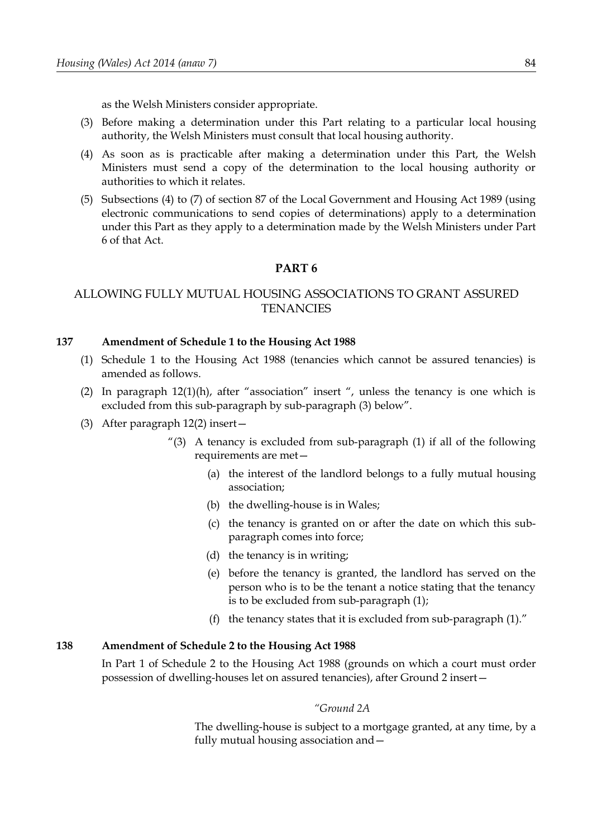as the Welsh Ministers consider appropriate.

- (3) Before making a determination under this Part relating to a particular local housing authority, the Welsh Ministers must consult that local housing authority.
- (4) As soon as is practicable after making a determination under this Part, the Welsh Ministers must send a copy of the determination to the local housing authority or authorities to which it relates.
- (5) Subsections (4) to (7) of section 87 of the Local Government and Housing Act 1989 (using electronic communications to send copies of determinations) apply to a determination under this Part as they apply to a determination made by the Welsh Ministers under Part 6 of that Act.

### **PART 6**

# ALLOWING FULLY MUTUAL HOUSING ASSOCIATIONS TO GRANT ASSURED **TENANCIES**

#### **137 Amendment of Schedule 1 to the Housing Act 1988**

- (1) Schedule 1 to the Housing Act 1988 (tenancies which cannot be assured tenancies) is amended as follows.
- (2) In paragraph 12(1)(h), after "association" insert ", unless the tenancy is one which is excluded from this sub-paragraph by sub-paragraph (3) below".
- (3) After paragraph 12(2) insert—
	- "(3) A tenancy is excluded from sub-paragraph (1) if all of the following requirements are met—
		- (a) the interest of the landlord belongs to a fully mutual housing association;
		- (b) the dwelling-house is in Wales;
		- (c) the tenancy is granted on or after the date on which this subparagraph comes into force;
		- (d) the tenancy is in writing;
		- (e) before the tenancy is granted, the landlord has served on the person who is to be the tenant a notice stating that the tenancy is to be excluded from sub-paragraph (1);
		- (f) the tenancy states that it is excluded from sub-paragraph (1)."

#### **138 Amendment of Schedule 2 to the Housing Act 1988**

In Part 1 of Schedule 2 to the Housing Act 1988 (grounds on which a court must order possession of dwelling-houses let on assured tenancies), after Ground 2 insert—

#### *"Ground 2A*

The dwelling-house is subject to a mortgage granted, at any time, by a fully mutual housing association and—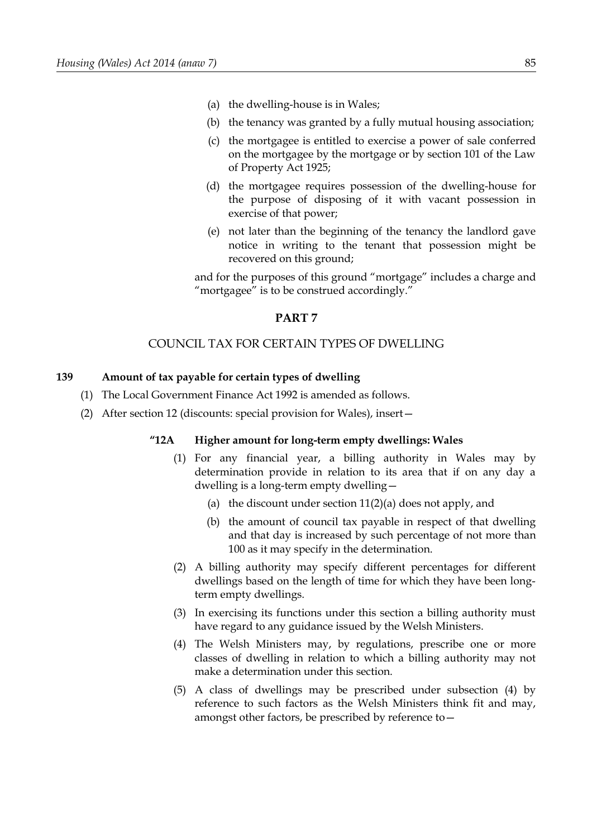- (a) the dwelling-house is in Wales;
- (b) the tenancy was granted by a fully mutual housing association;
- (c) the mortgagee is entitled to exercise a power of sale conferred on the mortgagee by the mortgage or by section 101 of the Law of Property Act 1925;
- (d) the mortgagee requires possession of the dwelling-house for the purpose of disposing of it with vacant possession in exercise of that power;
- (e) not later than the beginning of the tenancy the landlord gave notice in writing to the tenant that possession might be recovered on this ground;

and for the purposes of this ground "mortgage" includes a charge and "mortgagee" is to be construed accordingly."

#### **PART 7**

### COUNCIL TAX FOR CERTAIN TYPES OF DWELLING

#### <span id="page-90-0"></span>**139 Amount of tax payable for certain types of dwelling**

- (1) The Local Government Finance Act 1992 is amended as follows.
- (2) After section 12 (discounts: special provision for Wales), insert—

#### **"12A Higher amount for long-term empty dwellings: Wales**

- (1) For any financial year, a billing authority in Wales may by determination provide in relation to its area that if on any day a dwelling is a long-term empty dwelling—
	- (a) the discount under section  $11(2)(a)$  does not apply, and
	- (b) the amount of council tax payable in respect of that dwelling and that day is increased by such percentage of not more than 100 as it may specify in the determination.
- (2) A billing authority may specify different percentages for different dwellings based on the length of time for which they have been longterm empty dwellings.
- (3) In exercising its functions under this section a billing authority must have regard to any guidance issued by the Welsh Ministers.
- (4) The Welsh Ministers may, by regulations, prescribe one or more classes of dwelling in relation to which a billing authority may not make a determination under this section.
- (5) A class of dwellings may be prescribed under subsection (4) by reference to such factors as the Welsh Ministers think fit and may, amongst other factors, be prescribed by reference to—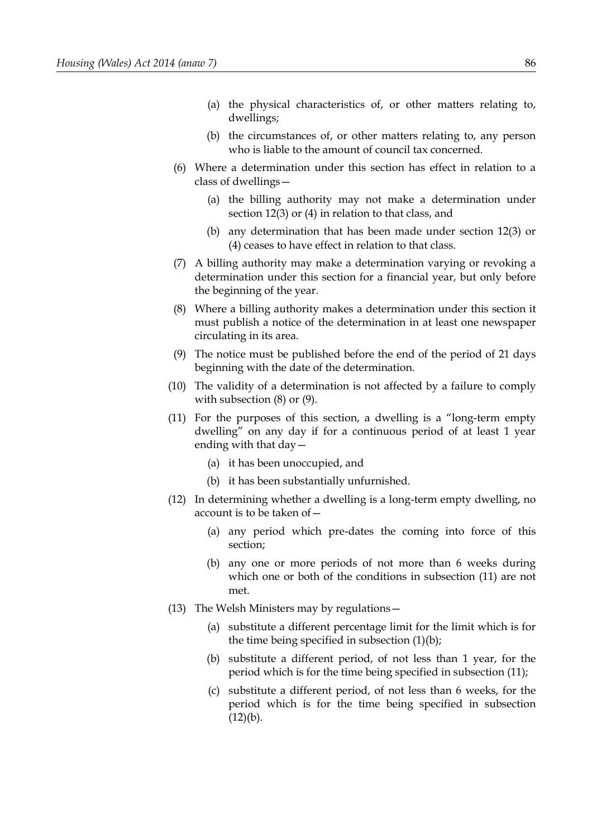- (a) the physical characteristics of, or other matters relating to, dwellings;
- (b) the circumstances of, or other matters relating to, any person who is liable to the amount of council tax concerned.
- (6) Where a determination under this section has effect in relation to a class of dwellings—
	- (a) the billing authority may not make a determination under section 12(3) or (4) in relation to that class, and
	- (b) any determination that has been made under section 12(3) or (4) ceases to have effect in relation to that class.
- (7) A billing authority may make a determination varying or revoking a determination under this section for a financial year, but only before the beginning of the year.
- (8) Where a billing authority makes a determination under this section it must publish a notice of the determination in at least one newspaper circulating in its area.
- (9) The notice must be published before the end of the period of 21 days beginning with the date of the determination.
- (10) The validity of a determination is not affected by a failure to comply with subsection (8) or (9).
- (11) For the purposes of this section, a dwelling is a "long-term empty dwelling" on any day if for a continuous period of at least 1 year ending with that day—
	- (a) it has been unoccupied, and
	- (b) it has been substantially unfurnished.
- (12) In determining whether a dwelling is a long-term empty dwelling, no account is to be taken of—
	- (a) any period which pre-dates the coming into force of this section;
	- (b) any one or more periods of not more than 6 weeks during which one or both of the conditions in subsection (11) are not met.
- (13) The Welsh Ministers may by regulations—
	- (a) substitute a different percentage limit for the limit which is for the time being specified in subsection (1)(b);
	- (b) substitute a different period, of not less than 1 year, for the period which is for the time being specified in subsection (11);
	- (c) substitute a different period, of not less than 6 weeks, for the period which is for the time being specified in subsection  $(12)(b)$ .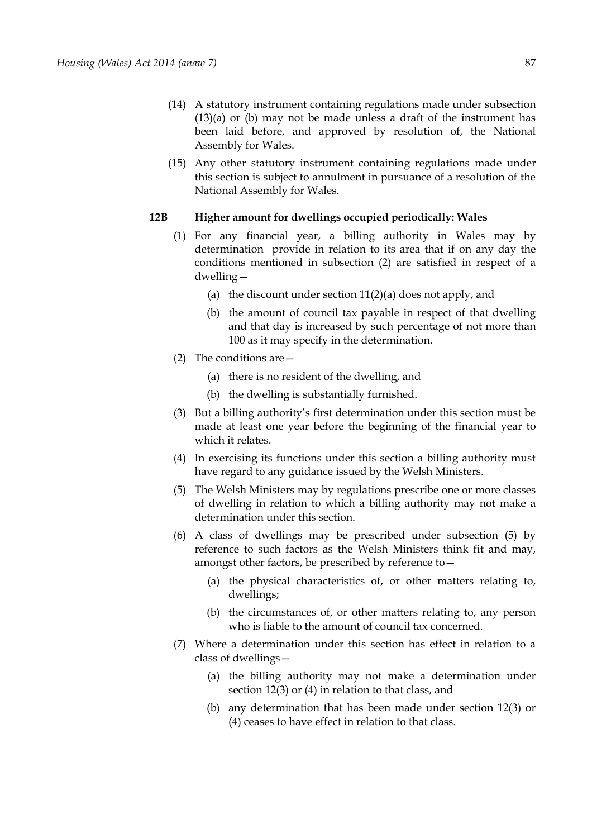- (14) A statutory instrument containing regulations made under subsection (13)(a) or (b) may not be made unless a draft of the instrument has been laid before, and approved by resolution of, the National Assembly for Wales.
- (15) Any other statutory instrument containing regulations made under this section is subject to annulment in pursuance of a resolution of the National Assembly for Wales.

#### **12B Higher amount for dwellings occupied periodically: Wales**

- (1) For any financial year, a billing authority in Wales may by determination provide in relation to its area that if on any day the conditions mentioned in subsection (2) are satisfied in respect of a dwelling—
	- (a) the discount under section 11(2)(a) does not apply, and
	- (b) the amount of council tax payable in respect of that dwelling and that day is increased by such percentage of not more than 100 as it may specify in the determination.
- (2) The conditions are—
	- (a) there is no resident of the dwelling, and
	- (b) the dwelling is substantially furnished.
- (3) But a billing authority's first determination under this section must be made at least one year before the beginning of the financial year to which it relates.
- (4) In exercising its functions under this section a billing authority must have regard to any guidance issued by the Welsh Ministers.
- (5) The Welsh Ministers may by regulations prescribe one or more classes of dwelling in relation to which a billing authority may not make a determination under this section.
- (6) A class of dwellings may be prescribed under subsection (5) by reference to such factors as the Welsh Ministers think fit and may, amongst other factors, be prescribed by reference to—
	- (a) the physical characteristics of, or other matters relating to, dwellings;
	- (b) the circumstances of, or other matters relating to, any person who is liable to the amount of council tax concerned.
- (7) Where a determination under this section has effect in relation to a class of dwellings—
	- (a) the billing authority may not make a determination under section 12(3) or (4) in relation to that class, and
	- (b) any determination that has been made under section 12(3) or (4) ceases to have effect in relation to that class.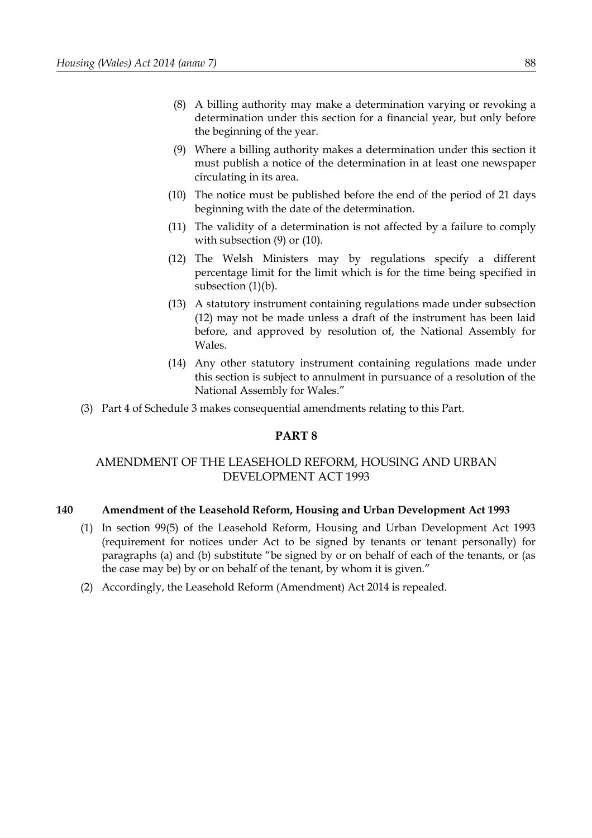- (8) A billing authority may make a determination varying or revoking a determination under this section for a financial year, but only before the beginning of the year.
- (9) Where a billing authority makes a determination under this section it must publish a notice of the determination in at least one newspaper circulating in its area.
- (10) The notice must be published before the end of the period of 21 days beginning with the date of the determination.
- (11) The validity of a determination is not affected by a failure to comply with subsection (9) or (10).
- (12) The Welsh Ministers may by regulations specify a different percentage limit for the limit which is for the time being specified in subsection  $(1)(b)$ .
- (13) A statutory instrument containing regulations made under subsection (12) may not be made unless a draft of the instrument has been laid before, and approved by resolution of, the National Assembly for Wales.
- (14) Any other statutory instrument containing regulations made under this section is subject to annulment in pursuance of a resolution of the National Assembly for Wales."
- (3) Part [4](#page-107-0) of Schedule [3](#page-102-0) makes consequential amendments relating to this Part.

# **PART 8**

# AMENDMENT OF THE LEASEHOLD REFORM, HOUSING AND URBAN DEVELOPMENT ACT 1993

### **140 Amendment of the Leasehold Reform, Housing and Urban Development Act 1993**

- (1) In section 99(5) of the Leasehold Reform, Housing and Urban Development Act 1993 (requirement for notices under Act to be signed by tenants or tenant personally) for paragraphs (a) and (b) substitute "be signed by or on behalf of each of the tenants, or (as the case may be) by or on behalf of the tenant, by whom it is given."
- (2) Accordingly, the Leasehold Reform (Amendment) Act 2014 is repealed.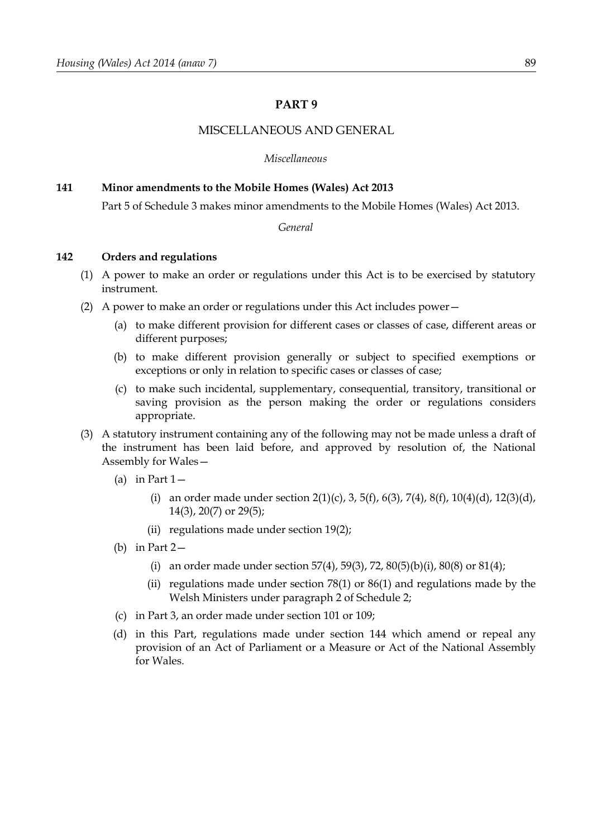## **PART 9**

### MISCELLANEOUS AND GENERAL

*Miscellaneous*

#### <span id="page-94-1"></span>**141 Minor amendments to the Mobile Homes (Wales) Act 2013**

Part [5](#page-108-0) of Schedule [3](#page-102-0) makes minor amendments to the Mobile Homes (Wales) Act 2013.

*General*

### <span id="page-94-0"></span>**142 Orders and regulations**

- (1) A power to make an order or regulations under this Act is to be exercised by statutory instrument.
- (2) A power to make an order or regulations under this Act includes power—
	- (a) to make different provision for different cases or classes of case, different areas or different purposes;
	- (b) to make different provision generally or subject to specified exemptions or exceptions or only in relation to specific cases or classes of case;
	- (c) to make such incidental, supplementary, consequential, transitory, transitional or saving provision as the person making the order or regulations considers appropriate.
- (3) A statutory instrument containing any of the following may not be made unless a draft of the instrument has been laid before, and approved by resolution of, the National Assembly for Wales—
	- (a) in Part  $1-$ 
		- (i) an order made under section [2](#page-8-3)[\(1\)](#page-8-2)[\(c\),](#page-8-1) [3,](#page-8-0) [5](#page-9-2)[\(f\),](#page-12-1) [6](#page-9-0)[\(3\),](#page-10-1) [7](#page-10-0)[\(4\),](#page-11-1) [8](#page-11-0)(f), [10](#page-12-0)[\(4\)](#page-13-1)[\(d\),](#page-14-0) [12](#page-14-2)[\(3\)](#page-14-1)(d), [14](#page-15-1)[\(3\),](#page-15-0) [20](#page-18-0)[\(7\)](#page-19-0) or [29](#page-24-0)[\(5\);](#page-25-0)
		- (ii) regulations made under section 19(2);
	- (b) in Part [2—](#page-41-0)
		- (i) an order made under section [57](#page-45-2)[\(4\),](#page-45-3) [59](#page-47-1)[\(3\),](#page-47-0) [72,](#page-57-1) [80](#page-62-0)[\(5\)](#page-62-3)[\(b\)](#page-62-2)[\(i\),](#page-62-1) [80](#page-62-0)[\(8\)](#page-63-2) or [81](#page-63-0)[\(4\);](#page-63-1)
		- (ii) regulations made under section [78](#page-61-1)[\(1\)](#page-61-0) or [86](#page-66-1)[\(1\)](#page-66-0) and regulations made by the Welsh Ministers under paragraph 2 of Schedule [2;](#page-100-0)
	- (c) in Part [3,](#page-77-7) an order made under section [101](#page-77-1) or [109;](#page-79-2)
	- (d) in this Part, regulations made under section [144](#page-95-0) which amend or repeal any provision of an Act of Parliament or a Measure or Act of the National Assembly for Wales.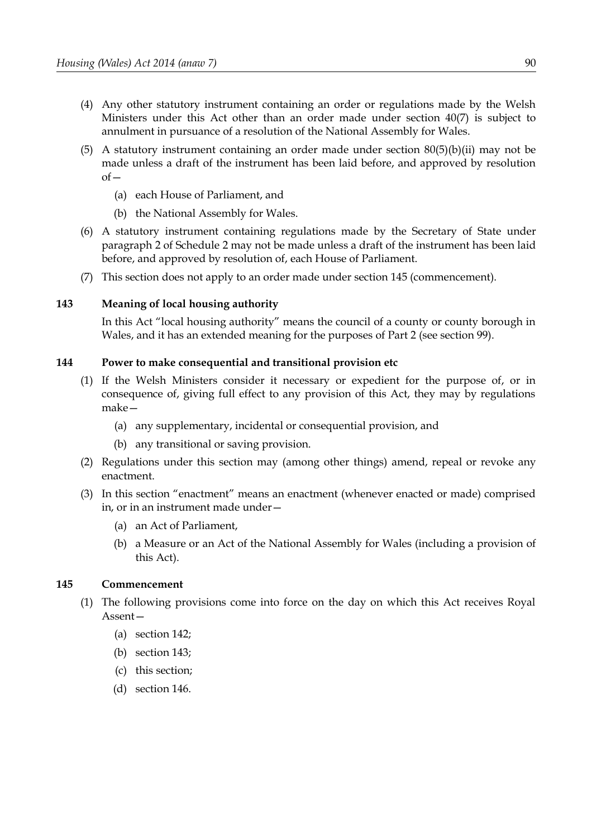- (4) Any other statutory instrument containing an order or regulations made by the Welsh Ministers under this Act other than an order made under section [40](#page-36-1)[\(7\)](#page-36-0) is subject to annulment in pursuance of a resolution of the National Assembly for Wales.
- [\(5\)](#page-62-3) A statutory instrument containing an order made under section  $80(5)(b)(ii)$  $80(5)(b)(ii)$  $80(5)(b)(ii)$  may not be made unless a draft of the instrument has been laid before, and approved by resolution of—
	- (a) each House of Parliament, and
	- (b) the National Assembly for Wales.
- (6) A statutory instrument containing regulations made by the Secretary of State under paragraph 2 of Schedule [2](#page-100-0) may not be made unless a draft of the instrument has been laid before, and approved by resolution of, each House of Parliament.
- (7) This section does not apply to an order made under section [145](#page-95-2) (commencement).

### <span id="page-95-1"></span>**143 Meaning of local housing authority**

In this Act "local housing authority" means the council of a county or county borough in Wales, and it has an extended meaning for the purposes of Part [2](#page-41-0) (see section [99\)](#page-74-2).

### <span id="page-95-0"></span>**144 Power to make consequential and transitional provision etc**

- (1) If the Welsh Ministers consider it necessary or expedient for the purpose of, or in consequence of, giving full effect to any provision of this Act, they may by regulations make—
	- (a) any supplementary, incidental or consequential provision, and
	- (b) any transitional or saving provision.
- (2) Regulations under this section may (among other things) amend, repeal or revoke any enactment.
- (3) In this section "enactment" means an enactment (whenever enacted or made) comprised in, or in an instrument made under—
	- (a) an Act of Parliament,
	- (b) a Measure or an Act of the National Assembly for Wales (including a provision of this Act).

### <span id="page-95-2"></span>**145 Commencement**

- (1) The following provisions come into force on the day on which this Act receives Royal Assent—
	- (a) section [142;](#page-94-0)
	- (b) section [143;](#page-95-1)
	- (c) this section;
	- (d) section [146.](#page-96-0)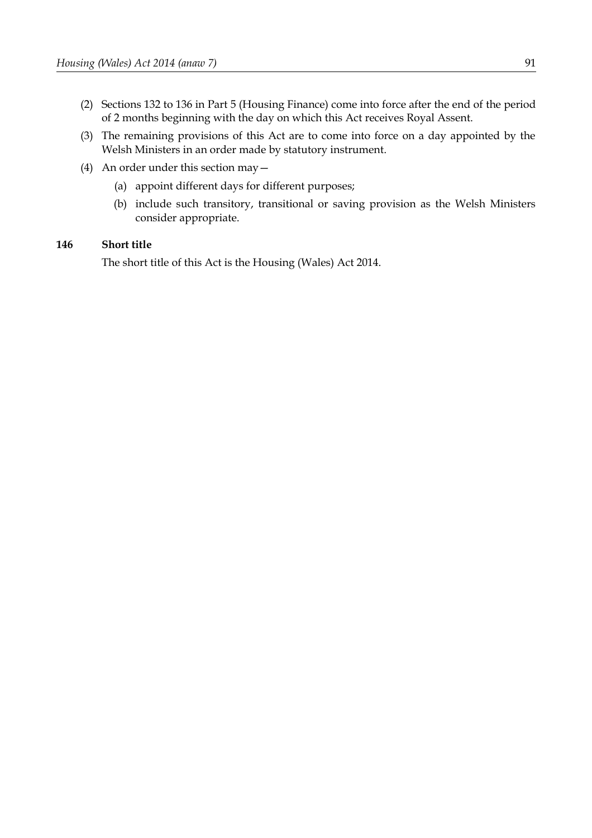- (2) Sections [132](#page-86-4) to [136](#page-88-0) in Part [5](#page-86-3) (Housing Finance) come into force after the end of the period of 2 months beginning with the day on which this Act receives Royal Assent.
- (3) The remaining provisions of this Act are to come into force on a day appointed by the Welsh Ministers in an order made by statutory instrument.
- (4) An order under this section may—
	- (a) appoint different days for different purposes;
	- (b) include such transitory, transitional or saving provision as the Welsh Ministers consider appropriate.

### <span id="page-96-0"></span>**146 Short title**

The short title of this Act is the Housing (Wales) Act 2014.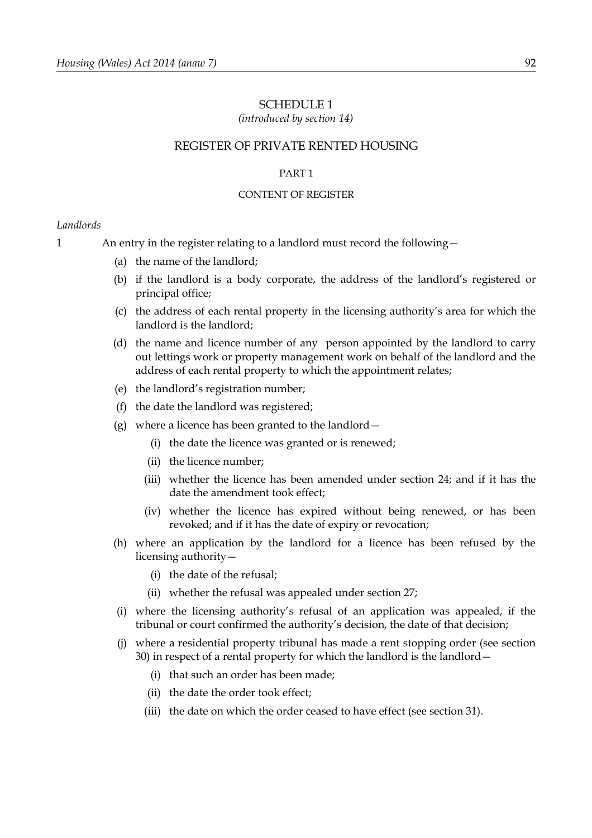#### SCHEDULE 1

*(introduced by section [14\)](#page-15-1)*

### REGISTER OF PRIVATE RENTED HOUSING

#### PART 1

#### CONTENT OF REGISTER

#### *Landlords*

- 1 An entry in the register relating to a landlord must record the following—
	- (a) the name of the landlord;
	- (b) if the landlord is a body corporate, the address of the landlord's registered or principal office;
	- (c) the address of each rental property in the licensing authority's area for which the landlord is the landlord;
	- (d) the name and licence number of any person appointed by the landlord to carry out lettings work or property management work on behalf of the landlord and the address of each rental property to which the appointment relates;
	- (e) the landlord's registration number;
	- (f) the date the landlord was registered;
	- (g) where a licence has been granted to the landlord—
		- (i) the date the licence was granted or is renewed;
		- (ii) the licence number;
		- (iii) whether the licence has been amended under section [24;](#page-20-0) and if it has the date the amendment took effect;
		- (iv) whether the licence has expired without being renewed, or has been revoked; and if it has the date of expiry or revocation;
	- (h) where an application by the landlord for a licence has been refused by the licensing authority—
		- (i) the date of the refusal;
		- (ii) whether the refusal was appealed under section [27;](#page-23-0)
	- (i) where the licensing authority's refusal of an application was appealed, if the tribunal or court confirmed the authority's decision, the date of that decision;
	- (j) where a residential property tribunal has made a rent stopping order (see section 30) in respect of a rental property for which the landlord is the landlord—
		- (i) that such an order has been made;
		- (ii) the date the order took effect;
		- (iii) the date on which the order ceased to have effect (see section 31).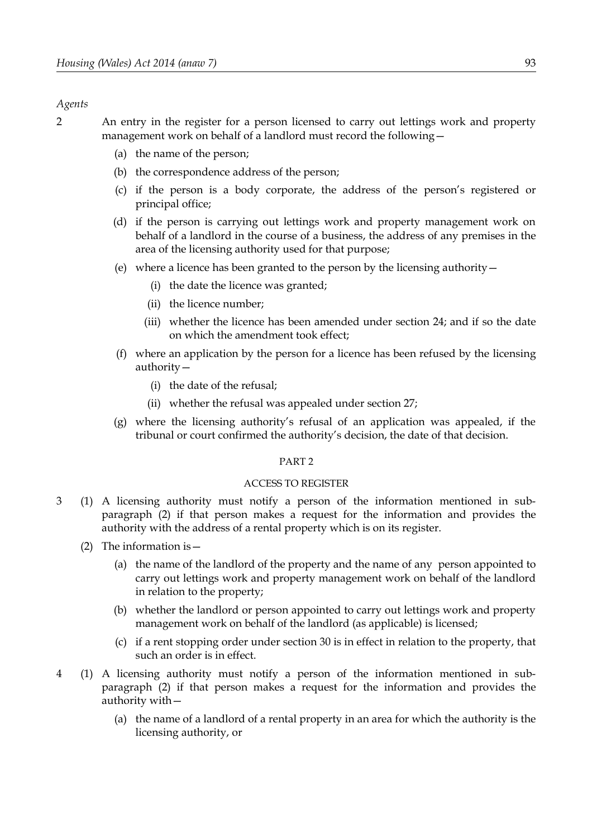#### *Agents*

2 An entry in the register for a person licensed to carry out lettings work and property management work on behalf of a landlord must record the following—

- (a) the name of the person;
- (b) the correspondence address of the person;
- (c) if the person is a body corporate, the address of the person's registered or principal office;
- (d) if the person is carrying out lettings work and property management work on behalf of a landlord in the course of a business, the address of any premises in the area of the licensing authority used for that purpose;
- (e) where a licence has been granted to the person by the licensing authority—
	- (i) the date the licence was granted;
	- (ii) the licence number;
	- (iii) whether the licence has been amended under section [24;](#page-20-0) and if so the date on which the amendment took effect;
- (f) where an application by the person for a licence has been refused by the licensing authority—
	- (i) the date of the refusal;
	- (ii) whether the refusal was appealed under section [27;](#page-23-0)
- (g) where the licensing authority's refusal of an application was appealed, if the tribunal or court confirmed the authority's decision, the date of that decision.

### PART 2

#### ACCESS TO REGISTER

- 3 (1) A licensing authority must notify a person of the information mentioned in subparagraph (2) if that person makes a request for the information and provides the authority with the address of a rental property which is on its register.
	- (2) The information is  $-$ 
		- (a) the name of the landlord of the property and the name of any person appointed to carry out lettings work and property management work on behalf of the landlord in relation to the property;
		- (b) whether the landlord or person appointed to carry out lettings work and property management work on behalf of the landlord (as applicable) is licensed;
		- (c) if a rent stopping order under section 30 is in effect in relation to the property, that such an order is in effect.
- 4 (1) A licensing authority must notify a person of the information mentioned in subparagraph (2) if that person makes a request for the information and provides the authority with—
	- (a) the name of a landlord of a rental property in an area for which the authority is the licensing authority, or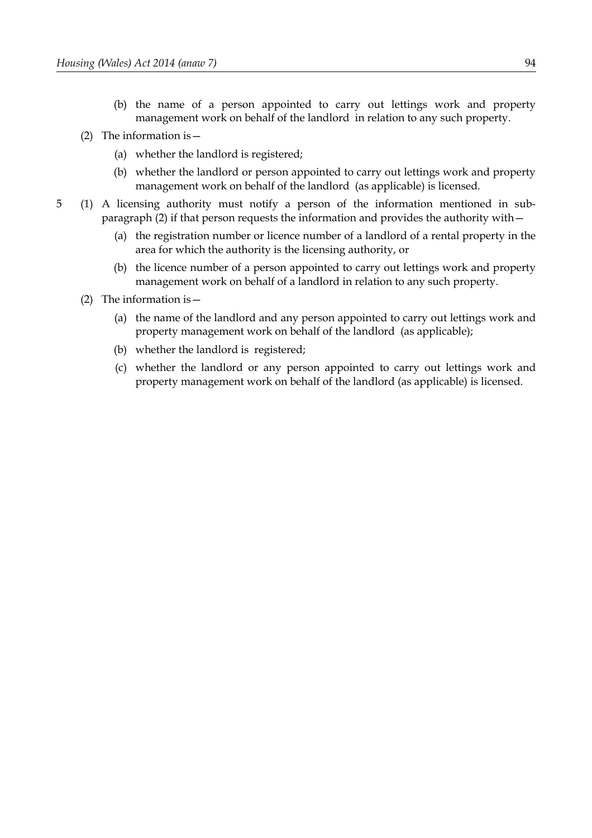- (b) the name of a person appointed to carry out lettings work and property management work on behalf of the landlord in relation to any such property.
- (2) The information is  $-$ 
	- (a) whether the landlord is registered;
	- (b) whether the landlord or person appointed to carry out lettings work and property management work on behalf of the landlord (as applicable) is licensed.
- 5 (1) A licensing authority must notify a person of the information mentioned in subparagraph (2) if that person requests the information and provides the authority with—
	- (a) the registration number or licence number of a landlord of a rental property in the area for which the authority is the licensing authority, or
	- (b) the licence number of a person appointed to carry out lettings work and property management work on behalf of a landlord in relation to any such property.
	- (2) The information is—
		- (a) the name of the landlord and any person appointed to carry out lettings work and property management work on behalf of the landlord (as applicable);
		- (b) whether the landlord is registered;
		- (c) whether the landlord or any person appointed to carry out lettings work and property management work on behalf of the landlord (as applicable) is licensed.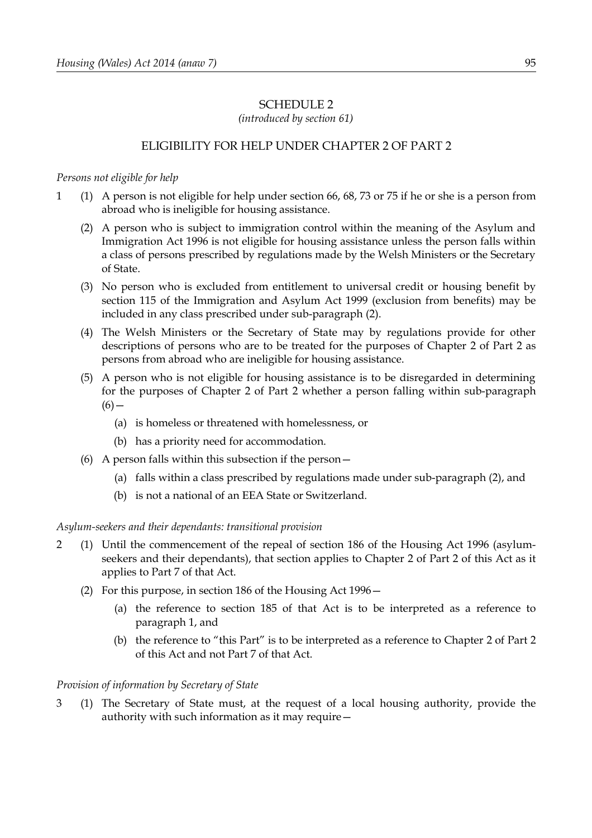# <span id="page-100-0"></span>SCHEDULE 2

*(introduced by section [61\)](#page-48-0)*

# ELIGIBILITY FOR HELP UNDER CHAPTER [2](#page-43-0) OF PART [2](#page-41-0)

## *Persons not eligible for help*

- <span id="page-100-2"></span><span id="page-100-1"></span>1 (1) A person is not eligible for help under section [66,](#page-52-0) [68,](#page-52-1) [73](#page-57-0) or [75](#page-58-0) if he or she is a person from abroad who is ineligible for housing assistance.
	- (2) A person who is subject to immigration control within the meaning of the Asylum and Immigration Act 1996 is not eligible for housing assistance unless the person falls within a class of persons prescribed by regulations made by the Welsh Ministers or the Secretary of State.
	- (3) No person who is excluded from entitlement to universal credit or housing benefit by section 115 of the Immigration and Asylum Act 1999 (exclusion from benefits) may be included in any class prescribed under sub-paragraph [\(2\).](#page-100-2)
	- (4) The Welsh Ministers or the Secretary of State may by regulations provide for other descriptions of persons who are to be treated for the purposes of Chapter [2](#page-43-0) of Part [2](#page-41-0) as persons from abroad who are ineligible for housing assistance.
	- (5) A person who is not eligible for housing assistance is to be disregarded in determining for the purposes of Chapter [2](#page-43-0) of Part [2](#page-41-0) whether a person falling within sub-paragraph  $(6)$  —
		- (a) is homeless or threatened with homelessness, or
		- (b) has a priority need for accommodation.
	- (6) A person falls within this subsection if the person—
		- (a) falls within a class prescribed by regulations made under sub-paragraph [\(2\),](#page-100-2) and
		- (b) is not a national of an EEA State or Switzerland.

<span id="page-100-3"></span>*Asylum-seekers and their dependants: transitional provision*

- 2 (1) Until the commencement of the repeal of section 186 of the Housing Act 1996 (asylumseekers and their dependants), that section applies to Chapter [2](#page-43-0) of Part [2](#page-41-0) of this Act as it applies to Part 7 of that Act.
	- (2) For this purpose, in section 186 of the Housing Act 1996—
		- (a) the reference to section 185 of that Act is to be interpreted as a reference to paragraph [1,](#page-100-1) and
		- (b) the reference to "this Part" is to be interpreted as a reference to Chapter [2](#page-43-0) of Part [2](#page-41-0) of this Act and not Part 7 of that Act.

# *Provision of information by Secretary of State*

3 (1) The Secretary of State must, at the request of a local housing authority, provide the authority with such information as it may require—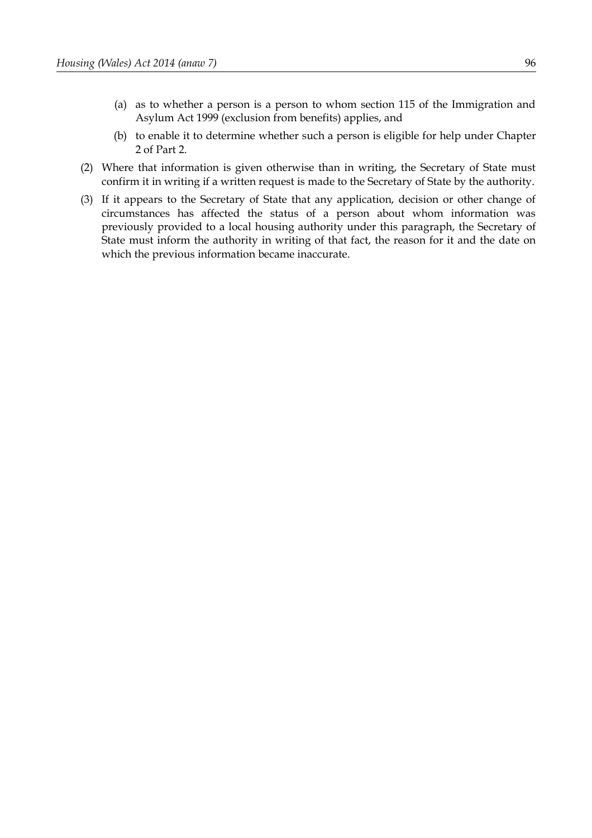- (a) as to whether a person is a person to whom section 115 of the Immigration and Asylum Act 1999 (exclusion from benefits) applies, and
- (b) to enable it to determine whether such a person is eligible for help under Chapter [2](#page-43-0) of Part [2.](#page-41-0)
- (2) Where that information is given otherwise than in writing, the Secretary of State must confirm it in writing if a written request is made to the Secretary of State by the authority.
- (3) If it appears to the Secretary of State that any application, decision or other change of circumstances has affected the status of a person about whom information was previously provided to a local housing authority under this paragraph, the Secretary of State must inform the authority in writing of that fact, the reason for it and the date on which the previous information became inaccurate.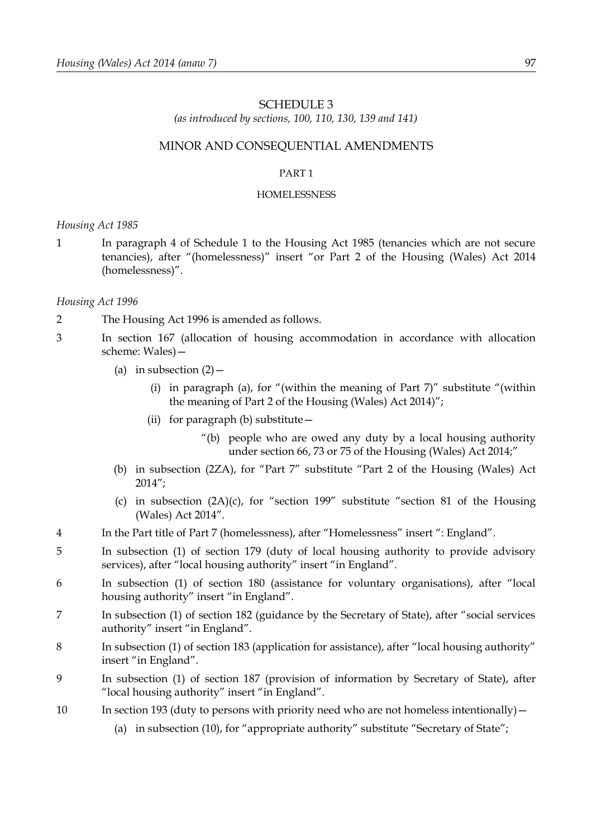### <span id="page-102-0"></span>SCHEDULE 3

*(as introduced by sections, [100,](#page-76-0) [110,](#page-80-3) [130,](#page-85-0) [139](#page-90-0) and [141\)](#page-94-1)*

### MINOR AND CONSEQUENTIAL AMENDMENTS

#### <span id="page-102-1"></span>PART 1

#### HOMELESSNESS

*Housing Act 1985*

1 In paragraph 4 of Schedule 1 to the Housing Act 1985 (tenancies which are not secure tenancies), after "(homelessness)" insert "or Part [2](#page-41-0) of the Housing (Wales) Act 2014 (homelessness)".

#### *Housing Act 1996*

- 2 The Housing Act 1996 is amended as follows.
- 3 In section 167 (allocation of housing accommodation in accordance with allocation scheme: Wales)—
	- (a) in subsection  $(2)$  -
		- (i) in paragraph (a), for "(within the meaning of Part  $7$ )" substitute "(within the meaning of Part [2](#page-41-0) of the Housing (Wales) Act 2014)";
		- (ii) for paragraph (b) substitute—
			- "(b) people who are owed any duty by a local housing authority under section [66,](#page-52-0) [73](#page-57-0) or [75](#page-58-0) of the Housing (Wales) Act 2014;"
	- (b) in subsection (2ZA), for "Part 7" substitute "Part [2](#page-41-0) of the Housing (Wales) Act 2014";
	- (c) in subsection (2A)(c), for "section 199" substitute "section [81](#page-63-0) of the Housing (Wales) Act 2014".
- 4 In the Part title of Part 7 (homelessness), after "Homelessness" insert ": England".
- 5 In subsection (1) of section 179 (duty of local housing authority to provide advisory services), after "local housing authority" insert "in England".
- 6 In subsection (1) of section 180 (assistance for voluntary organisations), after "local housing authority" insert "in England".
- 7 In subsection (1) of section 182 (guidance by the Secretary of State), after "social services authority" insert "in England".
- 8 In subsection (1) of section 183 (application for assistance), after "local housing authority" insert "in England".
- 9 In subsection (1) of section 187 (provision of information by Secretary of State), after "local housing authority" insert "in England".
- 10 In section 193 (duty to persons with priority need who are not homeless intentionally)
	- (a) in subsection (10), for "appropriate authority" substitute "Secretary of State";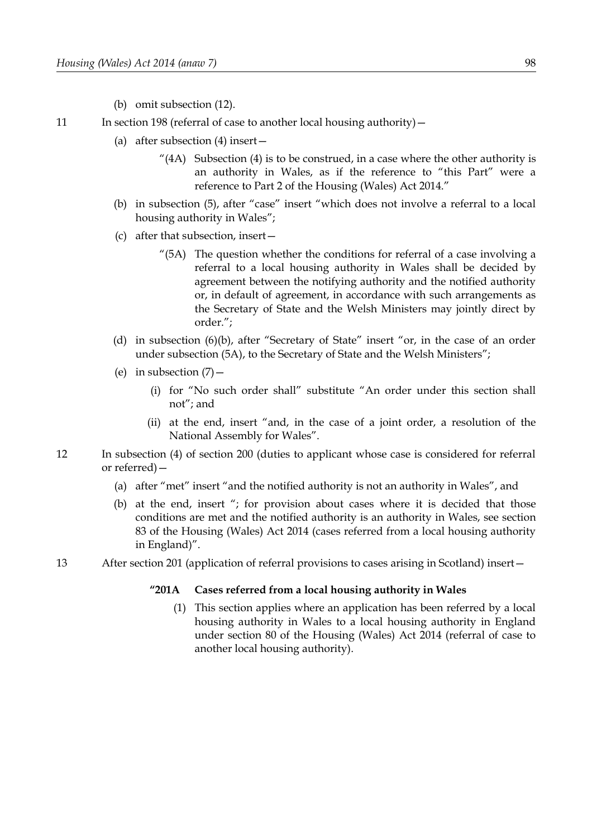- (b) omit subsection (12).
- 11 In section 198 (referral of case to another local housing authority)
	- (a) after subsection (4) insert—
		- "(4A) Subsection (4) is to be construed, in a case where the other authority is an authority in Wales, as if the reference to "this Part" were a reference to Part [2](#page-41-0) of the Housing (Wales) Act 2014."
	- (b) in subsection (5), after "case" insert "which does not involve a referral to a local housing authority in Wales";
	- (c) after that subsection, insert—
		- "(5A) The question whether the conditions for referral of a case involving a referral to a local housing authority in Wales shall be decided by agreement between the notifying authority and the notified authority or, in default of agreement, in accordance with such arrangements as the Secretary of State and the Welsh Ministers may jointly direct by order.";
	- (d) in subsection (6)(b), after "Secretary of State" insert "or, in the case of an order under subsection (5A), to the Secretary of State and the Welsh Ministers";
	- (e) in subsection  $(7)$  -
		- (i) for "No such order shall" substitute "An order under this section shall not"; and
		- (ii) at the end, insert "and, in the case of a joint order, a resolution of the National Assembly for Wales".
- 12 In subsection (4) of section 200 (duties to applicant whose case is considered for referral or referred)—
	- (a) after "met" insert "and the notified authority is not an authority in Wales", and
	- (b) at the end, insert "; for provision about cases where it is decided that those conditions are met and the notified authority is an authority in Wales, see section [83](#page-64-0) of the Housing (Wales) Act 2014 (cases referred from a local housing authority in England)".
- 13 After section 201 (application of referral provisions to cases arising in Scotland) insert—

#### **"201A Cases referred from a local housing authority in Wales**

(1) This section applies where an application has been referred by a local housing authority in Wales to a local housing authority in England under section [80](#page-62-0) of the Housing (Wales) Act 2014 (referral of case to another local housing authority).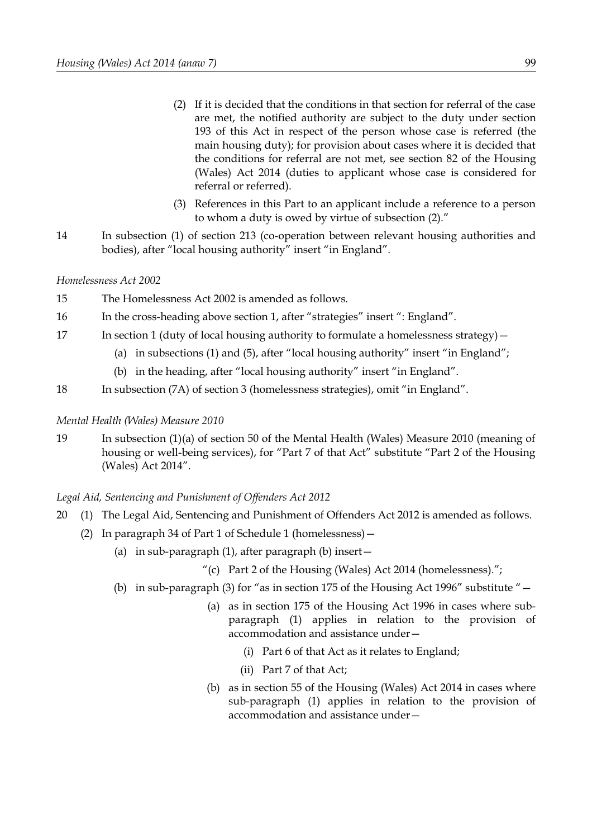- (2) If it is decided that the conditions in that section for referral of the case are met, the notified authority are subject to the duty under section 193 of this Act in respect of the person whose case is referred (the main housing duty); for provision about cases where it is decided that the conditions for referral are not met, see section [82](#page-64-1) of the Housing (Wales) Act 2014 (duties to applicant whose case is considered for referral or referred).
- (3) References in this Part to an applicant include a reference to a person to whom a duty is owed by virtue of subsection (2)."
- 14 In subsection (1) of section 213 (co-operation between relevant housing authorities and bodies), after "local housing authority" insert "in England".

### *Homelessness Act 2002*

- 15 The Homelessness Act 2002 is amended as follows.
- 16 In the cross-heading above section 1, after "strategies" insert ": England".
- 17 In section 1 (duty of local housing authority to formulate a homelessness strategy)
	- (a) in subsections (1) and (5), after "local housing authority" insert "in England";
	- (b) in the heading, after "local housing authority" insert "in England".
- 18 In subsection (7A) of section 3 (homelessness strategies), omit "in England".

### *Mental Health (Wales) Measure 2010*

19 In subsection (1)(a) of section 50 of the Mental Health (Wales) Measure 2010 (meaning of housing or well-being services), for "Part 7 of that Act" substitute "Part 2 of the Housing (Wales) Act 2014".

### *Legal Aid, Sentencing and Punishment of Offenders Act 2012*

- 20 (1) The Legal Aid, Sentencing and Punishment of Offenders Act 2012 is amended as follows.
	- (2) In paragraph 34 of Part 1 of Schedule 1 (homelessness)—
		- (a) in sub-paragraph  $(1)$ , after paragraph  $(b)$  insert  $-$ 
			- "(c) Part [2](#page-41-0) of the Housing (Wales) Act 2014 (homelessness).";
		- (b) in sub-paragraph (3) for "as in section 175 of the Housing Act 1996" substitute "—
			- (a) as in section 175 of the Housing Act 1996 in cases where subparagraph (1) applies in relation to the provision of accommodation and assistance under—
				- (i) Part 6 of that Act as it relates to England;
				- (ii) Part 7 of that Act;
			- (b) as in section [55](#page-44-0) of the Housing (Wales) Act 2014 in cases where sub-paragraph (1) applies in relation to the provision of accommodation and assistance under—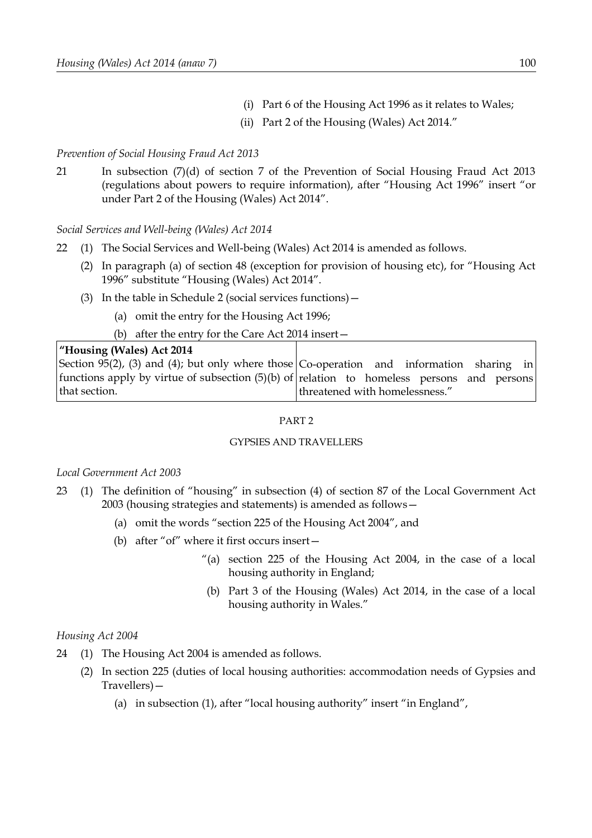- (i) Part 6 of the Housing Act 1996 as it relates to Wales;
- (ii) Part [2](#page-41-0) of the Housing (Wales) Act 2014."

### *Prevention of Social Housing Fraud Act 2013*

21 In subsection (7)(d) of section 7 of the Prevention of Social Housing Fraud Act 2013 (regulations about powers to require information), after "Housing Act 1996" insert "or under Part [2](#page-41-0) of the Housing (Wales) Act 2014".

*Social Services and Well-being (Wales) Act 2014*

- 22 (1) The Social Services and Well-being (Wales) Act 2014 is amended as follows.
	- (2) In paragraph (a) of section 48 (exception for provision of housing etc), for "Housing Act 1996" substitute "Housing (Wales) Act 2014".
	- (3) In the table in Schedule 2 (social services functions)—
		- (a) omit the entry for the Housing Act 1996;
		- (b) after the entry for the Care Act 2014 insert—

#### **"Housing (Wales) Act 2014** Section [95](#page-71-0)[\(2\),](#page-72-1) [\(3\)](#page-72-0) and [\(4\);](#page-72-4) but only where those Co-operation and information sharing in functions apply by virtue of subsection [\(5\)](#page-72-2)[\(b\)](#page-72-3) of relation to homeless persons and persons that section. threatened with homelessness."

### <span id="page-105-0"></span>PART 2

### GYPSIES AND TRAVELLERS

### *Local Government Act 2003*

- 23 (1) The definition of "housing" in subsection (4) of section 87 of the Local Government Act 2003 (housing strategies and statements) is amended as follows—
	- (a) omit the words "section 225 of the Housing Act 2004", and
	- (b) after "of" where it first occurs insert—
		- "(a) section 225 of the Housing Act 2004, in the case of a local housing authority in England;
		- (b) Part [3](#page-77-7) of the Housing (Wales) Act 2014, in the case of a local housing authority in Wales."

### *Housing Act 2004*

- 24 (1) The Housing Act 2004 is amended as follows.
	- (2) In section 225 (duties of local housing authorities: accommodation needs of Gypsies and Travellers)—
		- (a) in subsection (1), after "local housing authority" insert "in England",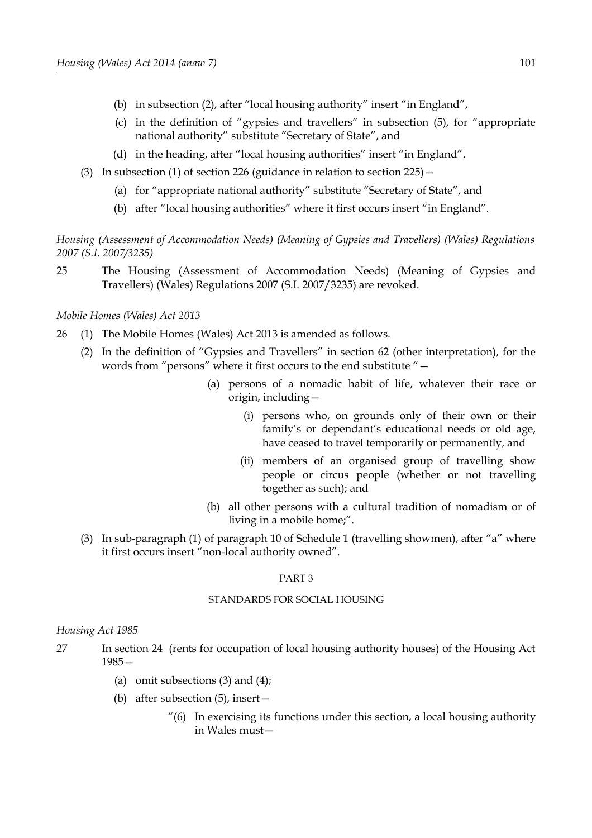- (b) in subsection (2), after "local housing authority" insert "in England",
- (c) in the definition of "gypsies and travellers" in subsection (5), for "appropriate national authority" substitute "Secretary of State", and
- (d) in the heading, after "local housing authorities" insert "in England".
- (3) In subsection (1) of section 226 (guidance in relation to section 225)—
	- (a) for "appropriate national authority" substitute "Secretary of State", and
	- (b) after "local housing authorities" where it first occurs insert "in England".

*Housing (Assessment of Accommodation Needs) (Meaning of Gypsies and Travellers) (Wales) Regulations 2007 (S.I. 2007/3235)*

25 The Housing (Assessment of Accommodation Needs) (Meaning of Gypsies and Travellers) (Wales) Regulations 2007 (S.I. 2007/3235) are revoked.

*Mobile Homes (Wales) Act 2013*

- 26 (1) The Mobile Homes (Wales) Act 2013 is amended as follows.
	- (2) In the definition of "Gypsies and Travellers" in section 62 (other interpretation), for the words from "persons" where it first occurs to the end substitute "—
		- (a) persons of a nomadic habit of life, whatever their race or origin, including—
			- (i) persons who, on grounds only of their own or their family's or dependant's educational needs or old age, have ceased to travel temporarily or permanently, and
			- (ii) members of an organised group of travelling show people or circus people (whether or not travelling together as such); and
		- (b) all other persons with a cultural tradition of nomadism or of living in a mobile home;".
	- (3) In sub-paragraph (1) of paragraph 10 of Schedule 1 (travelling showmen), after "a" where it first occurs insert "non-local authority owned".

#### <span id="page-106-0"></span>PART 3

#### STANDARDS FOR SOCIAL HOUSING

#### *Housing Act 1985*

- 27 In section 24 (rents for occupation of local housing authority houses) of the Housing Act 1985—
	- (a) omit subsections (3) and (4);
	- (b) after subsection (5), insert—
		- "(6) In exercising its functions under this section, a local housing authority in Wales must—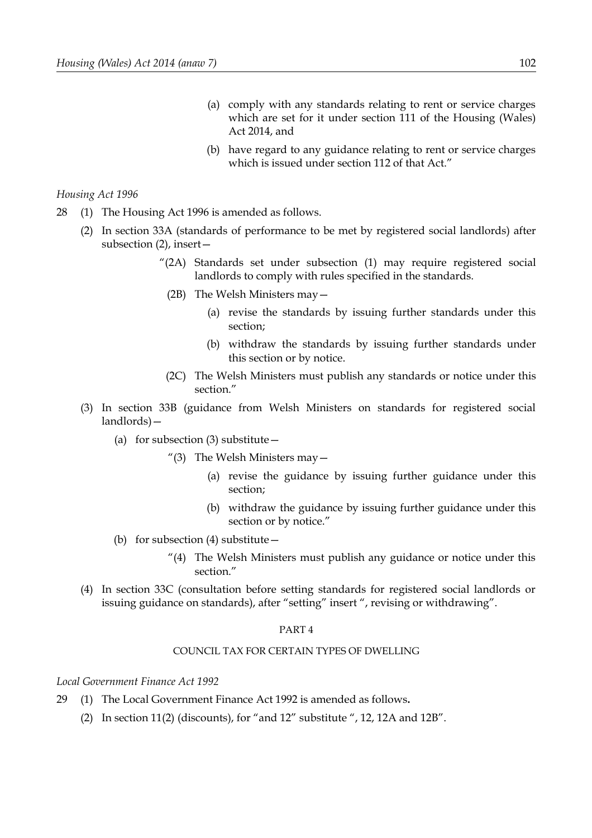- (a) comply with any standards relating to rent or service charges which are set for it under section [111](#page-80-0) of the Housing (Wales) Act 2014, and
- (b) have regard to any guidance relating to rent or service charges which is issued under section [112](#page-80-2) of that Act."

#### *Housing Act 1996*

- 28 (1) The Housing Act 1996 is amended as follows.
	- (2) In section 33A (standards of performance to be met by registered social landlords) after subsection (2), insert—
		- "(2A) Standards set under subsection (1) may require registered social landlords to comply with rules specified in the standards.
		- (2B) The Welsh Ministers may—
			- (a) revise the standards by issuing further standards under this section;
			- (b) withdraw the standards by issuing further standards under this section or by notice.
		- (2C) The Welsh Ministers must publish any standards or notice under this section."
	- (3) In section 33B (guidance from Welsh Ministers on standards for registered social landlords)—
		- (a) for subsection  $(3)$  substitute  $-$ 
			- "(3) The Welsh Ministers may  $-$ 
				- (a) revise the guidance by issuing further guidance under this section;
				- (b) withdraw the guidance by issuing further guidance under this section or by notice."
		- (b) for subsection (4) substitute—
			- "(4) The Welsh Ministers must publish any guidance or notice under this section."
	- (4) In section 33C (consultation before setting standards for registered social landlords or issuing guidance on standards), after "setting" insert ", revising or withdrawing".

#### <span id="page-107-0"></span>PART 4

#### COUNCIL TAX FOR CERTAIN TYPES OF DWELLING

*Local Government Finance Act 1992*

- 29 (1) The Local Government Finance Act 1992 is amended as follows**.**
	- (2) In section 11(2) (discounts), for "and 12" substitute ", 12, 12A and 12B".